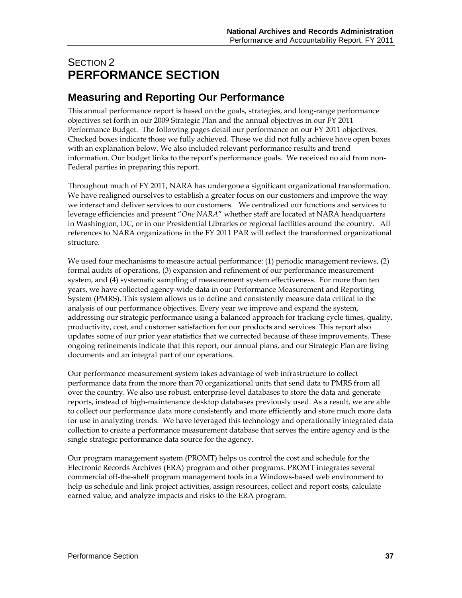# SECTION 2 **PERFORMANCE SECTION**

# **Measuring and Reporting Our Performance**

This annual performance report is based on the goals, strategies, and long-range performance objectives set forth in our 2009 Strategic Plan and the annual objectives in our FY 2011 Performance Budget. The following pages detail our performance on our FY 2011 objectives. Checked boxes indicate those we fully achieved. Those we did not fully achieve have open boxes with an explanation below. We also included relevant performance results and trend information. Our budget links to the report's performance goals. We received no aid from non-Federal parties in preparing this report.

Throughout much of FY 2011, NARA has undergone a significant organizational transformation. We have realigned ourselves to establish a greater focus on our customers and improve the way we interact and deliver services to our customers. We centralized our functions and services to leverage efficiencies and present "*One NARA*" whether staff are located at NARA headquarters in Washington, DC, or in our Presidential Libraries or regional facilities around the country. All references to NARA organizations in the FY 2011 PAR will reflect the transformed organizational structure.

We used four mechanisms to measure actual performance: (1) periodic management reviews, (2) formal audits of operations, (3) expansion and refinement of our performance measurement system, and (4) systematic sampling of measurement system effectiveness. For more than ten years, we have collected agency-wide data in our Performance Measurement and Reporting System (PMRS). This system allows us to define and consistently measure data critical to the analysis of our performance objectives. Every year we improve and expand the system, addressing our strategic performance using a balanced approach for tracking cycle times, quality, productivity, cost, and customer satisfaction for our products and services. This report also updates some of our prior year statistics that we corrected because of these improvements. These ongoing refinements indicate that this report, our annual plans, and our Strategic Plan are living documents and an integral part of our operations.

Our performance measurement system takes advantage of web infrastructure to collect performance data from the more than 70 organizational units that send data to PMRS from all over the country. We also use robust, enterprise-level databases to store the data and generate reports, instead of high-maintenance desktop databases previously used. As a result, we are able to collect our performance data more consistently and more efficiently and store much more data for use in analyzing trends. We have leveraged this technology and operationally integrated data collection to create a performance measurement database that serves the entire agency and is the single strategic performance data source for the agency.

Our program management system (PROMT) helps us control the cost and schedule for the Electronic Records Archives (ERA) program and other programs. PROMT integrates several commercial off-the-shelf program management tools in a Windows-based web environment to help us schedule and link project activities, assign resources, collect and report costs, calculate earned value, and analyze impacts and risks to the ERA program.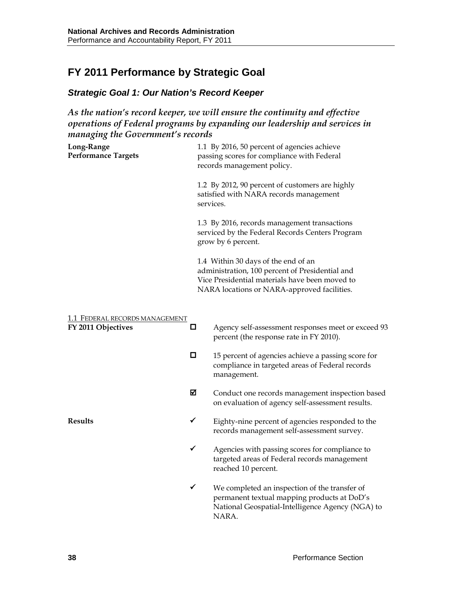# **FY 2011 Performance by Strategic Goal**

# *Strategic Goal 1: Our Nation's Record Keeper*

*As the nation's record keeper, we will ensure the continuity and effective operations of Federal programs by expanding our leadership and services in managing the Government's records*

| Long-Range<br><b>Performance Targets</b>             |                                                                                                                       | 1.1 By 2016, 50 percent of agencies achieve<br>passing scores for compliance with Federal<br>records management policy.                                                                 |  |  |  |  |
|------------------------------------------------------|-----------------------------------------------------------------------------------------------------------------------|-----------------------------------------------------------------------------------------------------------------------------------------------------------------------------------------|--|--|--|--|
|                                                      |                                                                                                                       | 1.2 By 2012, 90 percent of customers are highly<br>satisfied with NARA records management<br>services.                                                                                  |  |  |  |  |
|                                                      | 1.3 By 2016, records management transactions<br>serviced by the Federal Records Centers Program<br>grow by 6 percent. |                                                                                                                                                                                         |  |  |  |  |
|                                                      |                                                                                                                       | 1.4 Within 30 days of the end of an<br>administration, 100 percent of Presidential and<br>Vice Presidential materials have been moved to<br>NARA locations or NARA-approved facilities. |  |  |  |  |
| 1.1 FEDERAL RECORDS MANAGEMENT<br>FY 2011 Objectives | □                                                                                                                     | Agency self-assessment responses meet or exceed 93<br>percent (the response rate in FY 2010).                                                                                           |  |  |  |  |
|                                                      | □                                                                                                                     | 15 percent of agencies achieve a passing score for<br>compliance in targeted areas of Federal records<br>management.                                                                    |  |  |  |  |
|                                                      | ☑                                                                                                                     | Conduct one records management inspection based<br>on evaluation of agency self-assessment results.                                                                                     |  |  |  |  |
| Results                                              | ✓                                                                                                                     | Eighty-nine percent of agencies responded to the<br>records management self-assessment survey.                                                                                          |  |  |  |  |
|                                                      | ✔                                                                                                                     | Agencies with passing scores for compliance to<br>targeted areas of Federal records management<br>reached 10 percent.                                                                   |  |  |  |  |
|                                                      | ✓                                                                                                                     | We completed an inspection of the transfer of<br>permanent textual mapping products at DoD's<br>National Geospatial-Intelligence Agency (NGA) to<br>NARA.                               |  |  |  |  |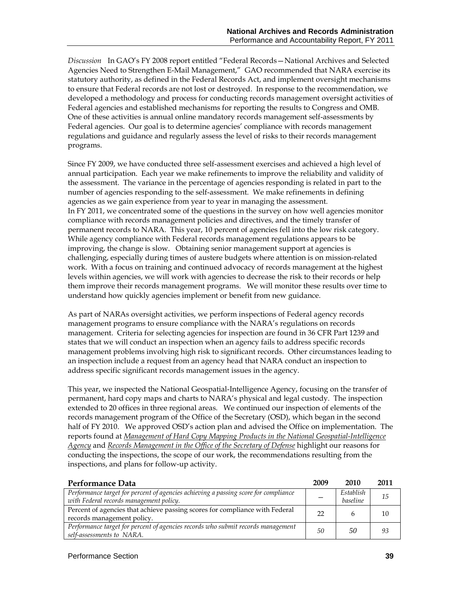*Discussion* In GAO's FY 2008 report entitled "Federal Records—National Archives and Selected Agencies Need to Strengthen E-Mail Management," GAO recommended that NARA exercise its statutory authority, as defined in the Federal Records Act, and implement oversight mechanisms to ensure that Federal records are not lost or destroyed. In response to the recommendation, we developed a methodology and process for conducting records management oversight activities of Federal agencies and established mechanisms for reporting the results to Congress and OMB. One of these activities is annual online mandatory records management self-assessments by Federal agencies. Our goal is to determine agencies' compliance with records management regulations and guidance and regularly assess the level of risks to their records management programs.

Since FY 2009, we have conducted three self-assessment exercises and achieved a high level of annual participation. Each year we make refinements to improve the reliability and validity of the assessment. The variance in the percentage of agencies responding is related in part to the number of agencies responding to the self-assessment. We make refinements in defining agencies as we gain experience from year to year in managing the assessment. In FY 2011, we concentrated some of the questions in the survey on how well agencies monitor compliance with records management policies and directives, and the timely transfer of permanent records to NARA. This year, 10 percent of agencies fell into the low risk category. While agency compliance with Federal records management regulations appears to be improving, the change is slow. Obtaining senior management support at agencies is challenging, especially during times of austere budgets where attention is on mission-related work. With a focus on training and continued advocacy of records management at the highest levels within agencies, we will work with agencies to decrease the risk to their records or help them improve their records management programs. We will monitor these results over time to understand how quickly agencies implement or benefit from new guidance.

As part of NARAs oversight activities, we perform inspections of Federal agency records management programs to ensure compliance with the NARA's regulations on records management. Criteria for selecting agencies for inspection are found in 36 CFR Part 1239 and states that we will conduct an inspection when an agency fails to address specific records management problems involving high risk to significant records. Other circumstances leading to an inspection include a request from an agency head that NARA conduct an inspection to address specific significant records management issues in the agency.

This year, we inspected the National Geospatial-Intelligence Agency, focusing on the transfer of permanent, hard copy maps and charts to NARA's physical and legal custody. The inspection extended to 20 offices in three regional areas. We continued our inspection of elements of the records management program of the Office of the Secretary (OSD), which began in the second half of FY 2010. We approved OSD's action plan and advised the Office on implementation. The reports found at *[Management of Hard Copy Mapping Products in the National Geospatial-Intelligence](http://www.archives.gov/records-mgmt/memos/ac03-2011.html)  [Agency](http://www.archives.gov/records-mgmt/memos/ac03-2011.html)* and *[Records Management in the Office of the Secretary of Defense](http://www.archives.gov/records-mgmt/memos/nwm06-2011.html)* highlight our reasons for conducting the inspections, the scope of our work, the recommendations resulting from the inspections, and plans for follow-up activity.

| Performance Data                                                                    | 2009 | 2010      | 2011 |
|-------------------------------------------------------------------------------------|------|-----------|------|
| Performance target for percent of agencies achieving a passing score for compliance |      | Establish | 15   |
| with Federal records management policy.                                             |      | baseline  |      |
| Percent of agencies that achieve passing scores for compliance with Federal         | 22   |           | 10   |
| records management policy.                                                          |      |           |      |
| Performance target for percent of agencies records who submit records management    | 50   | 50        | 93   |
| self-assessments to NARA.                                                           |      |           |      |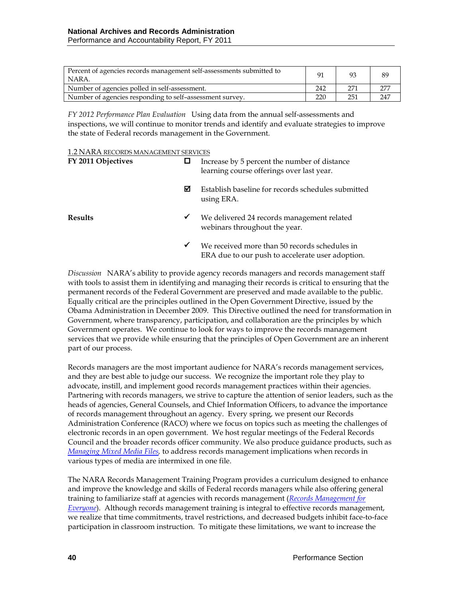| Percent of agencies records management self-assessments submitted to<br>NARA. |     | 93  | 89  |
|-------------------------------------------------------------------------------|-----|-----|-----|
| Number of agencies polled in self-assessment.                                 | 242 | 271 | 277 |
| Number of agencies responding to self-assessment survey.                      | 220 | 251 | 247 |

*FY 2012 Performance Plan Evaluation* Using data from the annual self-assessments and inspections, we will continue to monitor trends and identify and evaluate strategies to improve the state of Federal records management in the Government.

| 1.2 NARA RECORDS MANAGEMENT SERVICES |
|--------------------------------------|
|--------------------------------------|

| FY 2011 Objectives |              | Increase by 5 percent the number of distance<br>learning course offerings over last year.         |
|--------------------|--------------|---------------------------------------------------------------------------------------------------|
|                    | ☑            | Establish baseline for records schedules submitted<br>using ERA.                                  |
| <b>Results</b>     | ✔            | We delivered 24 records management related<br>webinars throughout the year.                       |
|                    | $\checkmark$ | We received more than 50 records schedules in<br>ERA due to our push to accelerate user adoption. |

*Discussion* NARA's ability to provide agency records managers and records management staff with tools to assist them in identifying and managing their records is critical to ensuring that the permanent records of the Federal Government are preserved and made available to the public. Equally critical are the principles outlined in the Open Government Directive, issued by the Obama Administration in December 2009. This Directive outlined the need for transformation in Government, where transparency, participation, and collaboration are the principles by which Government operates. We continue to look for ways to improve the records management services that we provide while ensuring that the principles of Open Government are an inherent part of our process.

Records managers are the most important audience for NARA's records management services, and they are best able to judge our success. We recognize the important role they play to advocate, instill, and implement good records management practices within their agencies. Partnering with records managers, we strive to capture the attention of senior leaders, such as the heads of agencies, General Counsels, and Chief Information Officers, to advance the importance of records management throughout an agency. Every spring, we present our Records Administration Conference (RACO) where we focus on topics such as meeting the challenges of electronic records in an open government. We host regular meetings of the Federal Records Council and the broader records officer community. We also produce guidance products, such as *[Managing Mixed Media Files,](http://www.archives.gov/records-mgmt/bulletins/2011/2011-04.html)* to address records management implications when records in various types of media are intermixed in one file.

The NARA Records Management Training Program provides a curriculum designed to enhance and improve the knowledge and skills of Federal records managers while also offering general training to familiarize staff at agencies with records management (*[Records Management for](http://www.archives.gov/records-mgmt/training/rm-everyone.html)  [Everyone](http://www.archives.gov/records-mgmt/training/rm-everyone.html)*). Although records management training is integral to effective records management, we realize that time commitments, travel restrictions, and decreased budgets inhibit face-to-face participation in classroom instruction. To mitigate these limitations, we want to increase the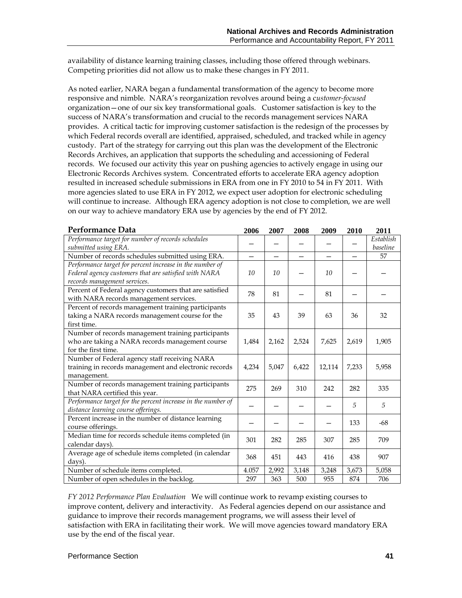availability of distance learning training classes, including those offered through webinars. Competing priorities did not allow us to make these changes in FY 2011.

As noted earlier, NARA began a fundamental transformation of the agency to become more responsive and nimble. NARA's reorganization revolves around being a c*ustomer-focused*  organization—one of our six key transformational goals. Customer satisfaction is key to the success of NARA's transformation and crucial to the records management services NARA provides. A critical tactic for improving customer satisfaction is the redesign of the processes by which Federal records overall are identified, appraised, scheduled, and tracked while in agency custody. Part of the strategy for carrying out this plan was the development of the Electronic Records Archives, an application that supports the scheduling and accessioning of Federal records. We focused our activity this year on pushing agencies to actively engage in using our Electronic Records Archives system. Concentrated efforts to accelerate ERA agency adoption resulted in increased schedule submissions in ERA from one in FY 2010 to 54 in FY 2011. With more agencies slated to use ERA in FY 2012, we expect user adoption for electronic scheduling will continue to increase. Although ERA agency adoption is not close to completion, we are well on our way to achieve mandatory ERA use by agencies by the end of FY 2012.

| Performance Data                                             | 2006                     | 2007  | 2008  | 2009   | 2010  | 2011      |
|--------------------------------------------------------------|--------------------------|-------|-------|--------|-------|-----------|
| Performance target for number of records schedules           |                          |       |       |        |       | Establish |
| submitted using ERA.                                         |                          |       |       |        |       | baseline  |
| Number of records schedules submitted using ERA.             | $\overline{\phantom{0}}$ | —     | —     |        |       | 57        |
| Performance target for percent increase in the number of     |                          |       |       |        |       |           |
| Federal agency customers that are satisfied with NARA        | 10                       | 10    |       | 10     |       |           |
| records management services.                                 |                          |       |       |        |       |           |
| Percent of Federal agency customers that are satisfied       | 78                       | 81    |       | 81     |       |           |
| with NARA records management services.                       |                          |       |       |        |       |           |
| Percent of records management training participants          |                          |       |       |        |       |           |
| taking a NARA records management course for the              | 35                       | 43    | 39    | 63     | 36    | 32        |
| first time.                                                  |                          |       |       |        |       |           |
| Number of records management training participants           |                          |       |       |        |       |           |
| who are taking a NARA records management course              | 1.484                    | 2,162 | 2,524 | 7,625  | 2,619 | 1,905     |
| for the first time.                                          |                          |       |       |        |       |           |
| Number of Federal agency staff receiving NARA                |                          |       |       |        |       |           |
| training in records management and electronic records        | 4,234                    | 5,047 | 6,422 | 12,114 | 7,233 | 5,958     |
| management.                                                  |                          |       |       |        |       |           |
| Number of records management training participants           | 275                      | 269   | 310   | 242    | 282   | 335       |
| that NARA certified this year.                               |                          |       |       |        |       |           |
| Performance target for the percent increase in the number of |                          |       |       |        | 5     | 5         |
| distance learning course offerings.                          |                          |       |       |        |       |           |
| Percent increase in the number of distance learning          |                          |       |       |        | 133   | -68       |
| course offerings.                                            |                          |       |       |        |       |           |
| Median time for records schedule items completed (in         | 301                      | 282   | 285   | 307    | 285   | 709       |
| calendar days).                                              |                          |       |       |        |       |           |
| Average age of schedule items completed (in calendar         | 368                      | 451   | 443   | 416    | 438   | 907       |
| days).                                                       |                          |       |       |        |       |           |
| Number of schedule items completed.                          | 4.057                    | 2,992 | 3,148 | 3,248  | 3,673 | 5,058     |
| Number of open schedules in the backlog.                     | 297                      | 363   | 500   | 955    | 874   | 706       |

*FY 2012 Performance Plan Evaluation*We will continue work to revamp existing courses to improve content, delivery and interactivity. As Federal agencies depend on our assistance and guidance to improve their records management programs, we will assess their level of satisfaction with ERA in facilitating their work. We will move agencies toward mandatory ERA use by the end of the fiscal year.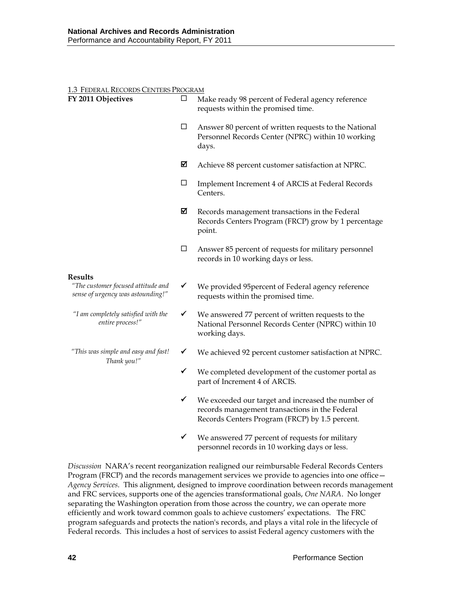| 1.3 FEDERAL RECORDS CENTERS PROGRAM                                                       |              |                                                                                                                                                        |
|-------------------------------------------------------------------------------------------|--------------|--------------------------------------------------------------------------------------------------------------------------------------------------------|
| FY 2011 Objectives                                                                        | ப            | Make ready 98 percent of Federal agency reference<br>requests within the promised time.                                                                |
|                                                                                           | $\Box$       | Answer 80 percent of written requests to the National<br>Personnel Records Center (NPRC) within 10 working<br>days.                                    |
|                                                                                           | ☑            | Achieve 88 percent customer satisfaction at NPRC.                                                                                                      |
|                                                                                           | ப            | Implement Increment 4 of ARCIS at Federal Records<br>Centers.                                                                                          |
|                                                                                           | ☑            | Records management transactions in the Federal<br>Records Centers Program (FRCP) grow by 1 percentage<br>point.                                        |
|                                                                                           | □            | Answer 85 percent of requests for military personnel<br>records in 10 working days or less.                                                            |
| <b>Results</b><br>"The customer focused attitude and<br>sense of urgency was astounding!" | $\checkmark$ | We provided 95 percent of Federal agency reference<br>requests within the promised time.                                                               |
| "I am completely satisfied with the<br>entire process!"                                   | ✓            | We answered 77 percent of written requests to the<br>National Personnel Records Center (NPRC) within 10<br>working days.                               |
| "This was simple and easy and fast!<br>Thank you!"                                        | ✓            | We achieved 92 percent customer satisfaction at NPRC.                                                                                                  |
|                                                                                           | ✓            | We completed development of the customer portal as<br>part of Increment 4 of ARCIS.                                                                    |
|                                                                                           | ✓            | We exceeded our target and increased the number of<br>records management transactions in the Federal<br>Records Centers Program (FRCP) by 1.5 percent. |
|                                                                                           | $\checkmark$ | We answered 77 percent of requests for military<br>personnel records in 10 working days or less.                                                       |

*Discussion* NARA's recent reorganization realigned our reimbursable Federal Records Centers Program (FRCP) and the records management services we provide to agencies into one office -*Agency Services*. This alignment, designed to improve coordination between records management and FRC services, supports one of the agencies transformational goals, *One NARA*. No longer separating the Washington operation from those across the country, we can operate more efficiently and work toward common goals to achieve customers' expectations. The FRC program safeguards and protects the nation's records, and plays a vital role in the lifecycle of Federal records. This includes a host of services to assist Federal agency customers with the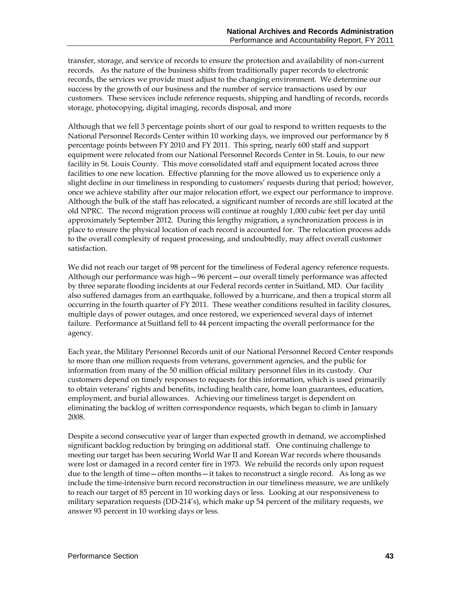transfer, storage, and service of records to ensure the protection and availability of non-current records. As the nature of the business shifts from traditionally paper records to electronic records, the services we provide must adjust to the changing environment. We determine our success by the growth of our business and the number of service transactions used by our customers. These services include reference requests, shipping and handling of records, records storage, photocopying, digital imaging, records disposal, and more

Although that we fell 3 percentage points short of our goal to respond to written requests to the National Personnel Records Center within 10 working days, we improved our performance by 8 percentage points between FY 2010 and FY 2011. This spring, nearly 600 staff and support equipment were relocated from our National Personnel Records Center in St. Louis, to our new facility in St. Louis County. This move consolidated staff and equipment located across three facilities to one new location. Effective planning for the move allowed us to experience only a slight decline in our timeliness in responding to customers' requests during that period; however, once we achieve stability after our major relocation effort, we expect our performance to improve. Although the bulk of the staff has relocated, a significant number of records are still located at the old NPRC. The record migration process will continue at roughly 1,000 cubic feet per day until approximately September 2012. During this lengthy migration, a synchronization process is in place to ensure the physical location of each record is accounted for. The relocation process adds to the overall complexity of request processing, and undoubtedly, may affect overall customer satisfaction.

We did not reach our target of 98 percent for the timeliness of Federal agency reference requests. Although our performance was high—96 percent—our overall timely performance was affected by three separate flooding incidents at our Federal records center in Suitland, MD. Our facility also suffered damages from an earthquake, followed by a hurricane, and then a tropical storm all occurring in the fourth quarter of FY 2011. These weather conditions resulted in facility closures, multiple days of power outages, and once restored, we experienced several days of internet failure. Performance at Suitland fell to 44 percent impacting the overall performance for the agency.

Each year, the Military Personnel Records unit of our National Personnel Record Center responds to more than one million requests from veterans, government agencies, and the public for information from many of the 50 million official military personnel files in its custody. Our customers depend on timely responses to requests for this information, which is used primarily to obtain veterans' rights and benefits, including health care, home loan guarantees, education, employment, and burial allowances. Achieving our timeliness target is dependent on eliminating the backlog of written correspondence requests, which began to climb in January 2008.

Despite a second consecutive year of larger than expected growth in demand, we accomplished significant backlog reduction by bringing on additional staff. One continuing challenge to meeting our target has been securing World War II and Korean War records where thousands were lost or damaged in a record center fire in 1973. We rebuild the records only upon request due to the length of time—often months—it takes to reconstruct a single record. As long as we include the time-intensive burn record reconstruction in our timeliness measure, we are unlikely to reach our target of 85 percent in 10 working days or less. Looking at our responsiveness to military separation requests (DD-214's), which make up 54 percent of the military requests, we answer 93 percent in 10 working days or less.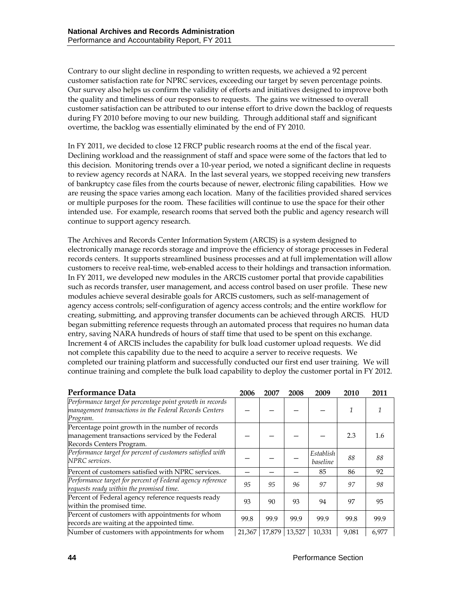Contrary to our slight decline in responding to written requests, we achieved a 92 percent customer satisfaction rate for NPRC services, exceeding our target by seven percentage points. Our survey also helps us confirm the validity of efforts and initiatives designed to improve both the quality and timeliness of our responses to requests. The gains we witnessed to overall customer satisfaction can be attributed to our intense effort to drive down the backlog of requests during FY 2010 before moving to our new building. Through additional staff and significant overtime, the backlog was essentially eliminated by the end of FY 2010.

In FY 2011, we decided to close 12 FRCP public research rooms at the end of the fiscal year. Declining workload and the reassignment of staff and space were some of the factors that led to this decision. Monitoring trends over a 10-year period, we noted a significant decline in requests to review agency records at NARA. In the last several years, we stopped receiving new transfers of bankruptcy case files from the courts because of newer, electronic filing capabilities. How we are reusing the space varies among each location. Many of the facilities provided shared services or multiple purposes for the room. These facilities will continue to use the space for their other intended use. For example, research rooms that served both the public and agency research will continue to support agency research.

The Archives and Records Center Information System (ARCIS) is a system designed to electronically manage records storage and improve the efficiency of storage processes in Federal records centers. It supports streamlined business processes and at full implementation will allow customers to receive real-time, web-enabled access to their holdings and transaction information. In FY 2011, we developed new modules in the ARCIS customer portal that provide capabilities such as records transfer, user management, and access control based on user profile. These new modules achieve several desirable goals for ARCIS customers, such as self-management of agency access controls; self-configuration of agency access controls; and the entire workflow for creating, submitting, and approving transfer documents can be achieved through ARCIS. HUD began submitting reference requests through an automated process that requires no human data entry, saving NARA hundreds of hours of staff time that used to be spent on this exchange. Increment 4 of ARCIS includes the capability for bulk load customer upload requests. We did not complete this capability due to the need to acquire a server to receive requests. We completed our training platform and successfully conducted our first end user training. We will continue training and complete the bulk load capability to deploy the customer portal in FY 2012.

| Performance Data                                                                                                                | 2006   | 2007   | 2008   | 2009                  | 2010  | 2011  |
|---------------------------------------------------------------------------------------------------------------------------------|--------|--------|--------|-----------------------|-------|-------|
| Performance target for percentage point growth in records<br>management transactions in the Federal Records Centers<br>Program. |        |        |        |                       |       |       |
| Percentage point growth in the number of records<br>management transactions serviced by the Federal<br>Records Centers Program. |        |        |        |                       | 2.3   | 1.6   |
| Performance target for percent of customers satisfied with<br>NPRC services.                                                    |        |        |        | Establish<br>baseline | 88    | 88    |
| Percent of customers satisfied with NPRC services.                                                                              |        |        |        | 85                    | 86    | 92    |
| Performance target for percent of Federal agency reference<br>requests ready within the promised time.                          | 95     | 95     | 96     | 97                    | 97    | 98    |
| Percent of Federal agency reference requests ready<br>within the promised time.                                                 | 93     | 90     | 93     | 94                    | 97    | 95    |
| Percent of customers with appointments for whom<br>records are waiting at the appointed time.                                   | 99.8   | 99.9   | 99.9   | 99.9                  | 99.8  | 99.9  |
| Number of customers with appointments for whom                                                                                  | 21,367 | 17,879 | 13,527 | 10,331                | 9,081 | 6,977 |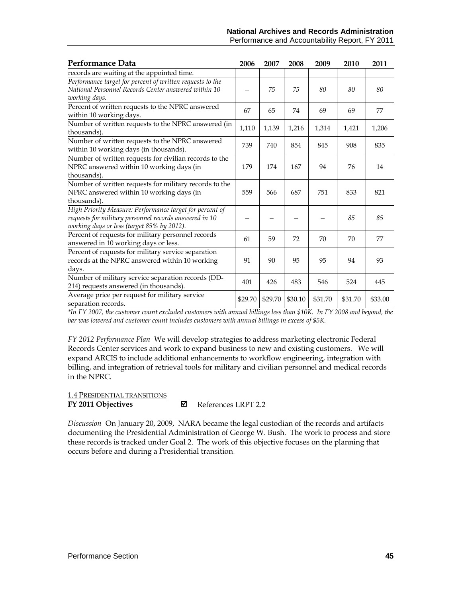#### **National Archives and Records Administration** Performance and Accountability Report, FY 2011

| Performance Data                                                                                                                                                 | 2006    | 2007    | 2008    | 2009    | 2010    | 2011    |
|------------------------------------------------------------------------------------------------------------------------------------------------------------------|---------|---------|---------|---------|---------|---------|
| records are waiting at the appointed time.                                                                                                                       |         |         |         |         |         |         |
| Performance target for percent of written requests to the<br>National Personnel Records Center answered within 10<br>working days.                               |         | 75      | 75      | 80      | 80      | 80      |
| Percent of written requests to the NPRC answered<br>within 10 working days.                                                                                      | 67      | 65      | 74      | 69      | 69      | 77      |
| Number of written requests to the NPRC answered (in<br>thousands).                                                                                               | 1,110   | 1,139   | 1,216   | 1,314   | 1,421   | 1,206   |
| Number of written requests to the NPRC answered<br>within 10 working days (in thousands).                                                                        | 739     | 740     | 854     | 845     | 908     | 835     |
| Number of written requests for civilian records to the<br>NPRC answered within 10 working days (in<br>thousands).                                                | 179     | 174     | 167     | 94      | 76      | 14      |
| Number of written requests for military records to the<br>NPRC answered within 10 working days (in<br>thousands).                                                | 559     | 566     | 687     | 751     | 833     | 821     |
| High Priority Measure: Performance target for percent of<br>requests for military personnel records answered in 10<br>working days or less (target 85% by 2012). |         |         |         |         | 85      | 85      |
| Percent of requests for military personnel records<br>answered in 10 working days or less.                                                                       | 61      | 59      | 72      | 70      | 70      | 77      |
| Percent of requests for military service separation<br>records at the NPRC answered within 10 working<br>days.                                                   | 91      | 90      | 95      | 95      | 94      | 93      |
| Number of military service separation records (DD-<br>214) requests answered (in thousands).                                                                     | 401     | 426     | 483     | 546     | 524     | 445     |
| Average price per request for military service<br>separation records.                                                                                            | \$29.70 | \$29.70 | \$30.10 | \$31.70 | \$31.70 | \$33.00 |

*\*In FY 2007, the customer count excluded customers with annual billings less than \$10K. In FY 2008 and beyond, the bar was lowered and customer count includes customers with annual billings in excess of \$5K.* 

*FY 2012 Performance Plan* We will develop strategies to address marketing electronic Federal Records Center services and work to expand business to new and existing customers. We will expand ARCIS to include additional enhancements to workflow engineering, integration with billing, and integration of retrieval tools for military and civilian personnel and medical records in the NPRC.

#### 1.4 PRESIDENTIAL TRANSITIONS

#### **FY 2011 Objectives**

References LRPT 2.2

*Discussion* On January 20, 2009, NARA became the legal custodian of the records and artifacts documenting the Presidential Administration of George W. Bush. The work to process and store these records is tracked under Goal 2. The work of this objective focuses on the planning that occurs before and during a Presidential transition.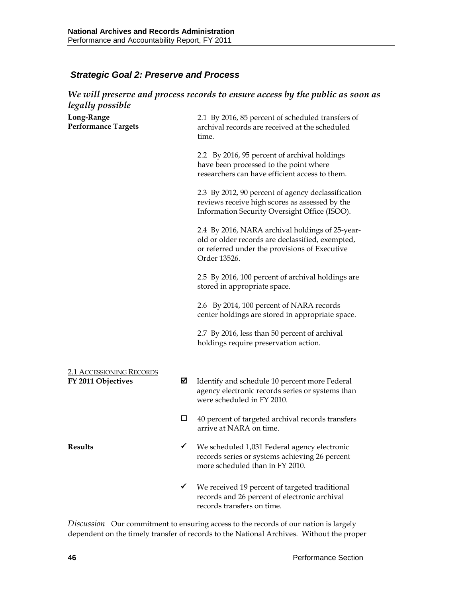# *Strategic Goal 2: Preserve and Process*

| legally possible                                      |   | We will preserve and process records to ensure access by the public as soon as                                                                                       |  |  |  |  |  |
|-------------------------------------------------------|---|----------------------------------------------------------------------------------------------------------------------------------------------------------------------|--|--|--|--|--|
| Long-Range<br><b>Performance Targets</b>              |   | 2.1 By 2016, 85 percent of scheduled transfers of<br>archival records are received at the scheduled<br>time.                                                         |  |  |  |  |  |
|                                                       |   | 2.2 By 2016, 95 percent of archival holdings<br>have been processed to the point where<br>researchers can have efficient access to them.                             |  |  |  |  |  |
|                                                       |   | 2.3 By 2012, 90 percent of agency declassification<br>reviews receive high scores as assessed by the<br>Information Security Oversight Office (ISOO).                |  |  |  |  |  |
|                                                       |   | 2.4 By 2016, NARA archival holdings of 25-year-<br>old or older records are declassified, exempted,<br>or referred under the provisions of Executive<br>Order 13526. |  |  |  |  |  |
|                                                       |   | 2.5 By 2016, 100 percent of archival holdings are<br>stored in appropriate space.                                                                                    |  |  |  |  |  |
|                                                       |   | 2.6 By 2014, 100 percent of NARA records<br>center holdings are stored in appropriate space.                                                                         |  |  |  |  |  |
|                                                       |   | 2.7 By 2016, less than 50 percent of archival<br>holdings require preservation action.                                                                               |  |  |  |  |  |
| <b>2.1 ACCESSIONING RECORDS</b><br>FY 2011 Objectives | ☑ | Identify and schedule 10 percent more Federal<br>agency electronic records series or systems than<br>were scheduled in FY 2010.                                      |  |  |  |  |  |
|                                                       | ◻ | 40 percent of targeted archival records transfers<br>arrive at NARA on time.                                                                                         |  |  |  |  |  |
| <b>Results</b>                                        | ✓ | We scheduled 1,031 Federal agency electronic<br>records series or systems achieving 26 percent<br>more scheduled than in FY 2010.                                    |  |  |  |  |  |
|                                                       | ✓ | We received 19 percent of targeted traditional<br>records and 26 percent of electronic archival<br>records transfers on time.                                        |  |  |  |  |  |

*Discussion* Our commitment to ensuring access to the records of our nation is largely dependent on the timely transfer of records to the National Archives. Without the proper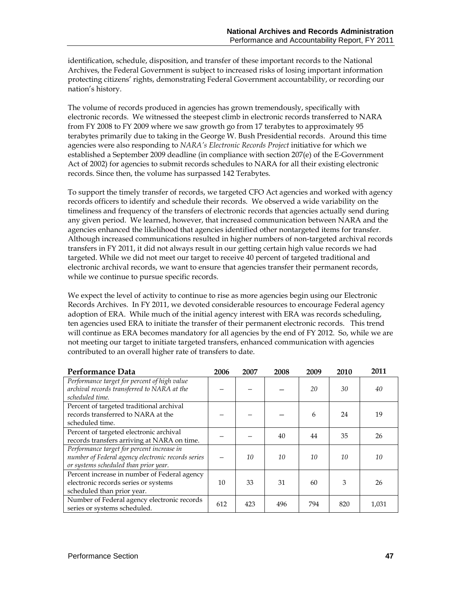identification, schedule, disposition, and transfer of these important records to the National Archives, the Federal Government is subject to increased risks of losing important information protecting citizens' rights, demonstrating Federal Government accountability, or recording our nation's history.

The volume of records produced in agencies has grown tremendously, specifically with electronic records. We witnessed the steepest climb in electronic records transferred to NARA from FY 2008 to FY 2009 where we saw growth go from 17 terabytes to approximately 95 terabytes primarily due to taking in the George W. Bush Presidential records. Around this time agencies were also responding to *NARA's Electronic Records Project* initiative for which we established a September 2009 deadline (in compliance with section 207(e) of the E-Government Act of 2002) for agencies to submit records schedules to NARA for all their existing electronic records. Since then, the volume has surpassed 142 Terabytes.

To support the timely transfer of records, we targeted CFO Act agencies and worked with agency records officers to identify and schedule their records. We observed a wide variability on the timeliness and frequency of the transfers of electronic records that agencies actually send during any given period. We learned, however, that increased communication between NARA and the agencies enhanced the likelihood that agencies identified other nontargeted items for transfer. Although increased communications resulted in higher numbers of non-targeted archival records transfers in FY 2011, it did not always result in our getting certain high value records we had targeted. While we did not meet our target to receive 40 percent of targeted traditional and electronic archival records, we want to ensure that agencies transfer their permanent records, while we continue to pursue specific records.

We expect the level of activity to continue to rise as more agencies begin using our Electronic Records Archives. In FY 2011, we devoted considerable resources to encourage Federal agency adoption of ERA. While much of the initial agency interest with ERA was records scheduling, ten agencies used ERA to initiate the transfer of their permanent electronic records. This trend will continue as ERA becomes mandatory for all agencies by the end of FY 2012. So, while we are not meeting our target to initiate targeted transfers, enhanced communication with agencies contributed to an overall higher rate of transfers to date.

| Performance Data                                                                                                                          | 2006 | 2007 | 2008 | 2009 | 2010 | 2011  |
|-------------------------------------------------------------------------------------------------------------------------------------------|------|------|------|------|------|-------|
| Performance target for percent of high value<br>archival records transferred to NARA at the<br>scheduled time.                            |      |      |      | 20   | 30   | 40    |
| Percent of targeted traditional archival<br>records transferred to NARA at the<br>scheduled time.                                         |      |      |      | 6    | 24   | 19    |
| Percent of targeted electronic archival<br>records transfers arriving at NARA on time.                                                    |      |      | 40   | 44   | 35   | 26    |
| Performance target for percent increase in<br>number of Federal agency electronic records series<br>or systems scheduled than prior year. |      | 10   | 10   | 10   | 10   | 10    |
| Percent increase in number of Federal agency<br>electronic records series or systems<br>scheduled than prior year.                        | 10   | 33   | 31   | 60   | 3    | 26    |
| Number of Federal agency electronic records<br>series or systems scheduled.                                                               | 612  | 423  | 496  | 794  | 820  | 1,031 |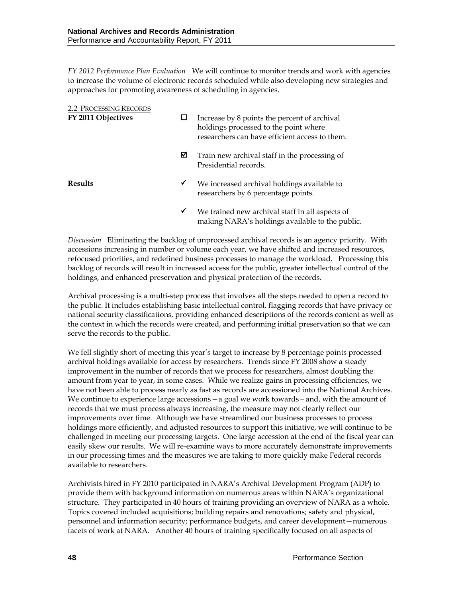*FY 2012 Performance Plan Evaluation*We will continue to monitor trends and work with agencies to increase the volume of electronic records scheduled while also developing new strategies and approaches for promoting awareness of scheduling in agencies.

| <b>2.2 PROCESSING RECORDS</b> |   |                                                                                                                                         |
|-------------------------------|---|-----------------------------------------------------------------------------------------------------------------------------------------|
| FY 2011 Objectives            | ப | Increase by 8 points the percent of archival<br>holdings processed to the point where<br>researchers can have efficient access to them. |
|                               | ⊠ | Train new archival staff in the processing of<br>Presidential records.                                                                  |
| <b>Results</b>                | ✔ | We increased archival holdings available to<br>researchers by 6 percentage points.                                                      |
|                               | ✔ | We trained new archival staff in all aspects of<br>making NARA's holdings available to the public.                                      |

*Discussion* Eliminating the backlog of unprocessed archival records is an agency priority. With accessions increasing in number or volume each year, we have shifted and increased resources, refocused priorities, and redefined business processes to manage the workload. Processing this backlog of records will result in increased access for the public, greater intellectual control of the holdings, and enhanced preservation and physical protection of the records.

Archival processing is a multi-step process that involves all the steps needed to open a record to the public. It includes establishing basic intellectual control, flagging records that have privacy or national security classifications, providing enhanced descriptions of the records content as well as the context in which the records were created, and performing initial preservation so that we can serve the records to the public.

We fell slightly short of meeting this year's target to increase by 8 percentage points processed archival holdings available for access by researchers. Trends since FY 2008 show a steady improvement in the number of records that we process for researchers, almost doubling the amount from year to year, in some cases. While we realize gains in processing efficiencies, we have not been able to process nearly as fast as records are accessioned into the National Archives. We continue to experience large accessions*—*a goal we work towards*—*and, with the amount of records that we must process always increasing, the measure may not clearly reflect our improvements over time. Although we have streamlined our business processes to process holdings more efficiently, and adjusted resources to support this initiative, we will continue to be challenged in meeting our processing targets. One large accession at the end of the fiscal year can easily skew our results. We will re-examine ways to more accurately demonstrate improvements in our processing times and the measures we are taking to more quickly make Federal records available to researchers.

Archivists hired in FY 2010 participated in NARA's Archival Development Program (ADP) to provide them with background information on numerous areas within NARA's organizational structure. They participated in 40 hours of training providing an overview of NARA as a whole. Topics covered included acquisitions; building repairs and renovations; safety and physical, personnel and information security; performance budgets, and career development—numerous facets of work at NARA. Another 40 hours of training specifically focused on all aspects of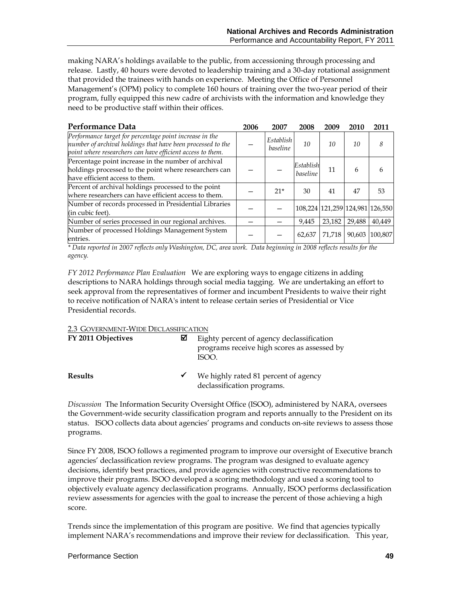making NARA's holdings available to the public, from accessioning through processing and release. Lastly, 40 hours were devoted to leadership training and a 30-day rotational assignment that provided the trainees with hands on experience. Meeting the Office of Personnel Management's (OPM) policy to complete 160 hours of training over the two-year period of their program, fully equipped this new cadre of archivists with the information and knowledge they need to be productive staff within their offices.

| Performance Data                                                                                                                                                                     | 2006 | 2007                  | 2008                  | 2009   | 2010   | 2011                            |
|--------------------------------------------------------------------------------------------------------------------------------------------------------------------------------------|------|-----------------------|-----------------------|--------|--------|---------------------------------|
| Performance target for percentage point increase in the<br>number of archival holdings that have been processed to the<br>point where researchers can have efficient access to them. |      | Establish<br>baseline | 10                    | 10     | 10     | 8                               |
| Percentage point increase in the number of archival<br>holdings processed to the point where researchers can<br>have efficient access to them.                                       |      |                       | Establish<br>baseline | 11     | 6      | <sub>b</sub>                    |
| Percent of archival holdings processed to the point<br>where researchers can have efficient access to them.                                                                          |      | $21*$                 | 30                    | 41     | 47     | 53                              |
| Number of records processed in Presidential Libraries<br>(in cubic feet).                                                                                                            |      |                       |                       |        |        | 108,224 121,259 124,981 126,550 |
| Number of series processed in our regional archives.                                                                                                                                 |      |                       | 9.445                 | 23,182 | 29,488 | 40,449                          |
| Number of processed Holdings Management System<br>entries.                                                                                                                           |      |                       | 62.637                | 71.718 | 90,603 | 100.807                         |

*\* Data reported in 2007 reflects only Washington, DC, area work. Data beginning in 2008 reflects results for the agency.*

*FY 2012 Performance Plan Evaluation*We are exploring ways to engage citizens in adding descriptions to NARA holdings through social media tagging. We are undertaking an effort to seek approval from the representatives of former and incumbent Presidents to waive their right to receive notification of NARA's intent to release certain series of Presidential or Vice Presidential records.

#### 2.3 GOVERNMENT-WIDE DECLASSIFICATION

| FY 2011 Objectives | M            | Eighty percent of agency declassification<br>programs receive high scores as assessed by<br>ISOO. |
|--------------------|--------------|---------------------------------------------------------------------------------------------------|
| <b>Results</b>     | $\checkmark$ | We highly rated 81 percent of agency<br>declassification programs.                                |

*Discussion* The Information Security Oversight Office (ISOO), administered by NARA, oversees the Government-wide security classification program and reports annually to the President on its status. ISOO collects data about agencies' programs and conducts on-site reviews to assess those programs.

Since FY 2008, ISOO follows a regimented program to improve our oversight of Executive branch agencies' declassification review programs. The program was designed to evaluate agency decisions, identify best practices, and provide agencies with constructive recommendations to improve their programs. ISOO developed a scoring methodology and used a scoring tool to objectively evaluate agency declassification programs. Annually, ISOO performs declassification review assessments for agencies with the goal to increase the percent of those achieving a high score.

Trends since the implementation of this program are positive. We find that agencies typically implement NARA's recommendations and improve their review for declassification. This year,

#### Performance Section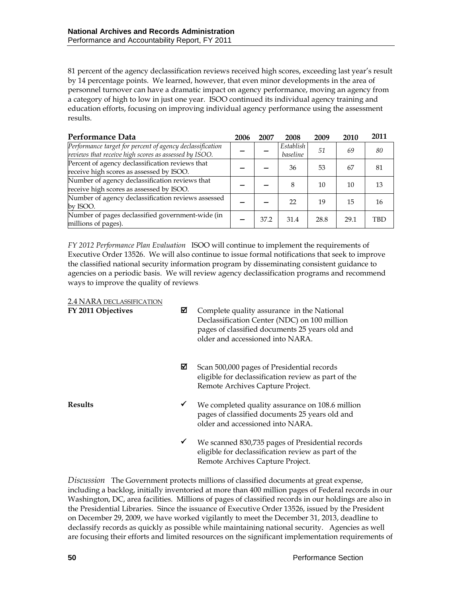81 percent of the agency declassification reviews received high scores, exceeding last year's result by 14 percentage points. We learned, however, that even minor developments in the area of personnel turnover can have a dramatic impact on agency performance, moving an agency from a category of high to low in just one year. ISOO continued its individual agency training and education efforts, focusing on improving individual agency performance using the assessment results.

| Performance Data                                                                                                   | 2006 | 2007 | 2008                  | 2009 | 2010 | 2011       |
|--------------------------------------------------------------------------------------------------------------------|------|------|-----------------------|------|------|------------|
| Performance target for percent of agency declassification<br>reviews that receive high scores as assessed by ISOO. |      |      | Establish<br>baseline | .51  | 69   | 80         |
| Percent of agency declassification reviews that<br>receive high scores as assessed by ISOO.                        |      |      | 36                    | 53   | 67   | 81         |
| Number of agency declassification reviews that<br>receive high scores as assessed by ISOO.                         |      |      | 8                     | 10   | 10   | 13         |
| Number of agency declassification reviews assessed<br>by ISOO.                                                     |      |      | 22                    | 19   | 15   | 16         |
| Number of pages declassified government-wide (in<br>millions of pages).                                            |      | 37.2 | 31.4                  | 28.8 | 29.1 | <b>TBD</b> |

*FY 2012 Performance Plan Evaluation*ISOO will continue to implement the requirements of Executive Order 13526. We will also continue to issue formal notifications that seek to improve the classified national security information program by disseminating consistent guidance to agencies on a periodic basis. We will review agency declassification programs and recommend ways to improve the quality of reviews.

| 2.4 NARA DECLASSIFICATION<br>FY 2011 Objectives | ⊠            | Complete quality assurance in the National<br>Declassification Center (NDC) on 100 million<br>pages of classified documents 25 years old and<br>older and accessioned into NARA. |
|-------------------------------------------------|--------------|----------------------------------------------------------------------------------------------------------------------------------------------------------------------------------|
|                                                 | ⊠            | Scan 500,000 pages of Presidential records<br>eligible for declassification review as part of the<br>Remote Archives Capture Project.                                            |
| <b>Results</b>                                  | $\checkmark$ | We completed quality assurance on 108.6 million<br>pages of classified documents 25 years old and<br>older and accessioned into NARA.                                            |
|                                                 | $\checkmark$ | We scanned 830,735 pages of Presidential records<br>eligible for declassification review as part of the<br>Remote Archives Capture Project.                                      |

*Discussion* The Government protects millions of classified documents at great expense, including a backlog, initially inventoried at more than 400 million pages of Federal records in our Washington, DC, area facilities. Millions of pages of classified records in our holdings are also in the Presidential Libraries. Since the issuance of Executive Order 13526, issued by the President on December 29, 2009, we have worked vigilantly to meet the December 31, 2013, deadline to declassify records as quickly as possible while maintaining national security. Agencies as well are focusing their efforts and limited resources on the significant implementation requirements of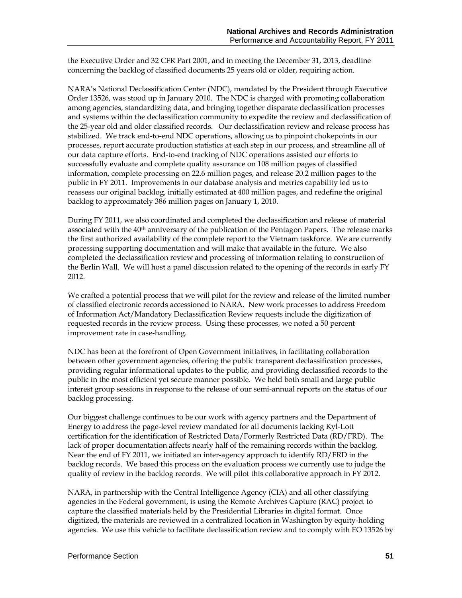the Executive Order and 32 CFR Part 2001, and in meeting the December 31, 2013, deadline concerning the backlog of classified documents 25 years old or older, requiring action.

NARA's National Declassification Center (NDC), mandated by the President through Executive Order 13526, was stood up in January 2010. The NDC is charged with promoting collaboration among agencies, standardizing data, and bringing together disparate declassification processes and systems within the declassification community to expedite the review and declassification of the 25-year old and older classified records. Our declassification review and release process has stabilized. We track end-to-end NDC operations, allowing us to pinpoint chokepoints in our processes, report accurate production statistics at each step in our process, and streamline all of our data capture efforts. End-to-end tracking of NDC operations assisted our efforts to successfully evaluate and complete quality assurance on 108 million pages of classified information, complete processing on 22.6 million pages, and release 20.2 million pages to the public in FY 2011. Improvements in our database analysis and metrics capability led us to reassess our original backlog, initially estimated at 400 million pages, and redefine the original backlog to approximately 386 million pages on January 1, 2010.

During FY 2011, we also coordinated and completed the declassification and release of material associated with the 40<sup>th</sup> anniversary of the publication of the Pentagon Papers. The release marks the first authorized availability of the complete report to the Vietnam taskforce. We are currently processing supporting documentation and will make that available in the future. We also completed the declassification review and processing of information relating to construction of the Berlin Wall. We will host a panel discussion related to the opening of the records in early FY 2012.

We crafted a potential process that we will pilot for the review and release of the limited number of classified electronic records accessioned to NARA. New work processes to address Freedom of Information Act/Mandatory Declassification Review requests include the digitization of requested records in the review process. Using these processes, we noted a 50 percent improvement rate in case-handling.

NDC has been at the forefront of Open Government initiatives, in facilitating collaboration between other government agencies, offering the public transparent declassification processes, providing regular informational updates to the public, and providing declassified records to the public in the most efficient yet secure manner possible. We held both small and large public interest group sessions in response to the release of our semi-annual reports on the status of our backlog processing.

Our biggest challenge continues to be our work with agency partners and the Department of Energy to address the page-level review mandated for all documents lacking Kyl-Lott certification for the identification of Restricted Data/Formerly Restricted Data (RD/FRD). The lack of proper documentation affects nearly half of the remaining records within the backlog. Near the end of FY 2011, we initiated an inter-agency approach to identify RD/FRD in the backlog records. We based this process on the evaluation process we currently use to judge the quality of review in the backlog records. We will pilot this collaborative approach in FY 2012.

NARA, in partnership with the Central Intelligence Agency (CIA) and all other classifying agencies in the Federal government, is using the Remote Archives Capture (RAC) project to capture the classified materials held by the Presidential Libraries in digital format. Once digitized, the materials are reviewed in a centralized location in Washington by equity-holding agencies. We use this vehicle to facilitate declassification review and to comply with EO 13526 by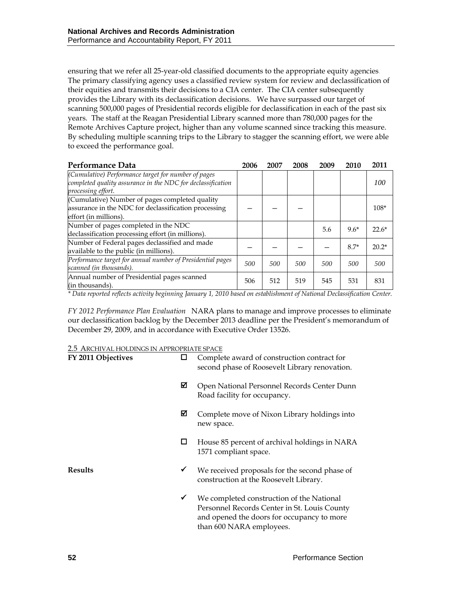ensuring that we refer all 25-year-old classified documents to the appropriate equity agencies. The primary classifying agency uses a classified review system for review and declassification of their equities and transmits their decisions to a CIA center. The CIA center subsequently provides the Library with its declassification decisions. We have surpassed our target of scanning 500,000 pages of Presidential records eligible for declassification in each of the past six years. The staff at the Reagan Presidential Library scanned more than 780,000 pages for the Remote Archives Capture project, higher than any volume scanned since tracking this measure. By scheduling multiple scanning trips to the Library to stagger the scanning effort, we were able to exceed the performance goal.

| Performance Data                                                                                                                         | 2006 | 2007 | 2008 | 2009 | 2010   | 2011    |
|------------------------------------------------------------------------------------------------------------------------------------------|------|------|------|------|--------|---------|
| (Cumulative) Performance target for number of pages<br>completed quality assurance in the NDC for declassification<br>processing effort. |      |      |      |      |        | 100     |
| (Cumulative) Number of pages completed quality<br>assurance in the NDC for declassification processing<br>effort (in millions).          |      |      |      |      |        | $108*$  |
| Number of pages completed in the NDC<br>declassification processing effort (in millions).                                                |      |      |      | 5.6  | $9.6*$ | $22.6*$ |
| Number of Federal pages declassified and made<br>available to the public (in millions).                                                  |      |      |      |      | $8.7*$ | $20.2*$ |
| Performance target for annual number of Presidential pages<br>scanned (in thousands).                                                    | 500  | 500  | 500  | 500  | 500    | 500     |
| Annual number of Presidential pages scanned<br>(in thousands).                                                                           | 506  | 512  | 519  | 545  | 531    | 831     |

*\* Data reported reflects activity beginning January 1, 2010 based on establishment of National Declassification Center.*

*FY 2012 Performance Plan Evaluation*NARA plans to manage and improve processes to eliminate our declassification backlog by the December 2013 deadline per the President's memorandum of December 29, 2009, and in accordance with Executive Order 13526.

#### 2.5 ARCHIVAL HOLDINGS IN APPROPRIATE SPACE

| FY 2011 Objectives |   | Complete award of construction contract for<br>second phase of Roosevelt Library renovation.                                                                        |
|--------------------|---|---------------------------------------------------------------------------------------------------------------------------------------------------------------------|
|                    | ⊠ | Open National Personnel Records Center Dunn<br>Road facility for occupancy.                                                                                         |
|                    | ⊠ | Complete move of Nixon Library holdings into<br>new space.                                                                                                          |
|                    | ப | House 85 percent of archival holdings in NARA<br>1571 compliant space.                                                                                              |
| <b>Results</b>     | ✔ | We received proposals for the second phase of<br>construction at the Roosevelt Library.                                                                             |
|                    | ✔ | We completed construction of the National<br>Personnel Records Center in St. Louis County<br>and opened the doors for occupancy to more<br>than 600 NARA employees. |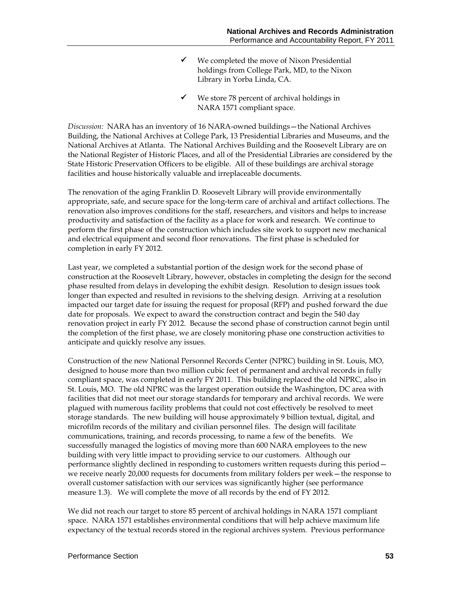- $\checkmark$  We completed the move of Nixon Presidential holdings from College Park, MD, to the Nixon Library in Yorba Linda, CA.
- We store 78 percent of archival holdings in NARA 1571 compliant space.

*Discussion:* NARA has an inventory of 16 NARA-owned buildings—the National Archives Building, the National Archives at College Park, 13 Presidential Libraries and Museums, and the National Archives at Atlanta. The National Archives Building and the Roosevelt Library are on the National Register of Historic Places, and all of the Presidential Libraries are considered by the State Historic Preservation Officers to be eligible. All of these buildings are archival storage facilities and house historically valuable and irreplaceable documents.

The renovation of the aging Franklin D. Roosevelt Library will provide environmentally appropriate, safe, and secure space for the long-term care of archival and artifact collections. The renovation also improves conditions for the staff, researchers, and visitors and helps to increase productivity and satisfaction of the facility as a place for work and research. We continue to perform the first phase of the construction which includes site work to support new mechanical and electrical equipment and second floor renovations. The first phase is scheduled for completion in early FY 2012.

Last year, we completed a substantial portion of the design work for the second phase of construction at the Roosevelt Library, however, obstacles in completing the design for the second phase resulted from delays in developing the exhibit design. Resolution to design issues took longer than expected and resulted in revisions to the shelving design. Arriving at a resolution impacted our target date for issuing the request for proposal (RFP) and pushed forward the due date for proposals. We expect to award the construction contract and begin the 540 day renovation project in early FY 2012. Because the second phase of construction cannot begin until the completion of the first phase, we are closely monitoring phase one construction activities to anticipate and quickly resolve any issues.

Construction of the new National Personnel Records Center (NPRC) building in St. Louis, MO, designed to house more than two million cubic feet of permanent and archival records in fully compliant space, was completed in early FY 2011. This building replaced the old NPRC, also in St. Louis, MO. The old NPRC was the largest operation outside the Washington, DC area with facilities that did not meet our storage standards for temporary and archival records. We were plagued with numerous facility problems that could not cost effectively be resolved to meet storage standards. The new building will house approximately 9 billion textual, digital, and microfilm records of the military and civilian personnel files. The design will facilitate communications, training, and records processing, to name a few of the benefits. We successfully managed the logistics of moving more than 600 NARA employees to the new building with very little impact to providing service to our customers. Although our performance slightly declined in responding to customers written requests during this period we receive nearly 20,000 requests for documents from military folders per week—the response to overall customer satisfaction with our services was significantly higher (see performance measure 1.3). We will complete the move of all records by the end of FY 2012.

We did not reach our target to store 85 percent of archival holdings in NARA 1571 compliant space. NARA 1571 establishes environmental conditions that will help achieve maximum life expectancy of the textual records stored in the regional archives system. Previous performance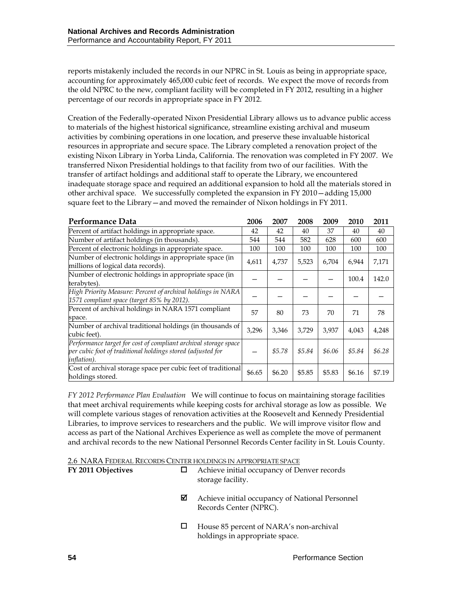reports mistakenly included the records in our NPRC in St. Louis as being in appropriate space, accounting for approximately 465,000 cubic feet of records. We expect the move of records from the old NPRC to the new, compliant facility will be completed in FY 2012, resulting in a higher percentage of our records in appropriate space in FY 2012.

Creation of the Federally-operated Nixon Presidential Library allows us to advance public access to materials of the highest historical significance, streamline existing archival and museum activities by combining operations in one location, and preserve these invaluable historical resources in appropriate and secure space. The Library completed a renovation project of the existing Nixon Library in Yorba Linda, California. The renovation was completed in FY 2007. We transferred Nixon Presidential holdings to that facility from two of our facilities. With the transfer of artifact holdings and additional staff to operate the Library, we encountered inadequate storage space and required an additional expansion to hold all the materials stored in other archival space. We successfully completed the expansion in FY 2010—adding 15,000 square feet to the Library—and moved the remainder of Nixon holdings in FY 2011.

| Performance Data                                                                                                                              | 2006   | 2007   | 2008   | 2009   | 2010   | 2011   |
|-----------------------------------------------------------------------------------------------------------------------------------------------|--------|--------|--------|--------|--------|--------|
| Percent of artifact holdings in appropriate space.                                                                                            | 42     | 42     | 40     | 37     | 40     | 40     |
| Number of artifact holdings (in thousands).                                                                                                   | 544    | 544    | 582    | 628    | 600    | 600    |
| Percent of electronic holdings in appropriate space.                                                                                          | 100    | 100    | 100    | 100    | 100    | 100    |
| Number of electronic holdings in appropriate space (in<br>millions of logical data records).                                                  | 4,611  | 4,737  | 5,523  | 6,704  | 6,944  | 7,171  |
| Number of electronic holdings in appropriate space (in<br>terabytes).                                                                         |        |        |        |        | 100.4  | 142.0  |
| High Priority Measure: Percent of archival holdings in NARA<br>1571 compliant space (target 85% by 2012).                                     |        |        |        |        |        |        |
| Percent of archival holdings in NARA 1571 compliant<br>space.                                                                                 | 57     | 80     | 73     | 70     | 71     | 78     |
| Number of archival traditional holdings (in thousands of<br>cubic feet).                                                                      | 3,296  | 3,346  | 3,729  | 3,937  | 4,043  | 4,248  |
| Performance target for cost of compliant archival storage space<br>per cubic foot of traditional holdings stored (adjusted for<br>inflation). |        | \$5.78 | \$5.84 | \$6.06 | \$5.84 | \$6.28 |
| Cost of archival storage space per cubic feet of traditional<br>holdings stored.                                                              | \$6.65 | \$6.20 | \$5.85 | \$5.83 | \$6.16 | \$7.19 |

*FY 2012 Performance Plan Evaluation*We will continue to focus on maintaining storage facilities that meet archival requirements while keeping costs for archival storage as low as possible. We will complete various stages of renovation activities at the Roosevelt and Kennedy Presidential Libraries, to improve services to researchers and the public. We will improve visitor flow and access as part of the National Archives Experience as well as complete the move of permanent and archival records to the new National Personnel Records Center facility in St. Louis County.

|                    |   | 2.6 NARA FEDERAL RECORDS CENTER HOLDINGS IN APPROPRIATE SPACE             |
|--------------------|---|---------------------------------------------------------------------------|
| FY 2011 Objectives |   | Achieve initial occupancy of Denver records<br>storage facility.          |
|                    | ⊠ | Achieve initial occupancy of National Personnel<br>Records Center (NPRC). |
|                    |   | House 85 percent of NARA's non-archival<br>holdings in appropriate space. |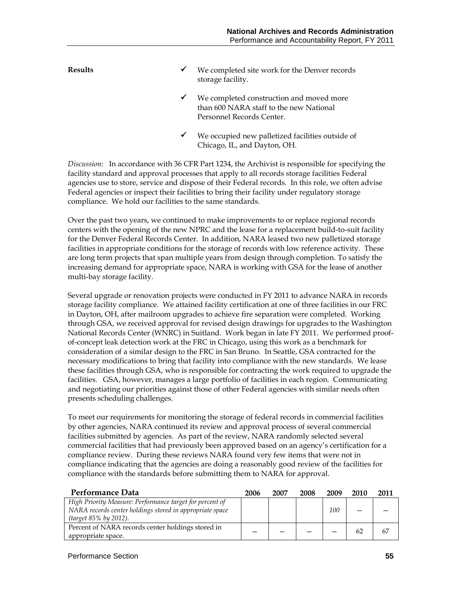| <b>Results</b> | ✔ | We completed site work for the Denver records<br>storage facility.                                               |
|----------------|---|------------------------------------------------------------------------------------------------------------------|
|                | ✔ | We completed construction and moved more<br>than 600 NARA staff to the new National<br>Personnel Records Center. |
|                | ✔ | We occupied new palletized facilities outside of<br>Chicago, IL, and Dayton, OH.                                 |

*Discussion*: In accordance with 36 CFR Part 1234, the Archivist is responsible for specifying the facility standard and approval processes that apply to all records storage facilities Federal agencies use to store, service and dispose of their Federal records. In this role, we often advise Federal agencies or inspect their facilities to bring their facility under regulatory storage compliance. We hold our facilities to the same standards.

Over the past two years, we continued to make improvements to or replace regional records centers with the opening of the new NPRC and the lease for a replacement build-to-suit facility for the Denver Federal Records Center. In addition, NARA leased two new palletized storage facilities in appropriate conditions for the storage of records with low reference activity. These are long term projects that span multiple years from design through completion. To satisfy the increasing demand for appropriate space, NARA is working with GSA for the lease of another multi-bay storage facility.

Several upgrade or renovation projects were conducted in FY 2011 to advance NARA in records storage facility compliance. We attained facility certification at one of three facilities in our FRC in Dayton, OH, after mailroom upgrades to achieve fire separation were completed. Working through GSA, we received approval for revised design drawings for upgrades to the Washington National Records Center (WNRC) in Suitland. Work began in late FY 2011. We performed proofof-concept leak detection work at the FRC in Chicago, using this work as a benchmark for consideration of a similar design to the FRC in San Bruno. In Seattle, GSA contracted for the necessary modifications to bring that facility into compliance with the new standards. We lease these facilities through GSA, who is responsible for contracting the work required to upgrade the facilities. GSA, however, manages a large portfolio of facilities in each region. Communicating and negotiating our priorities against those of other Federal agencies with similar needs often presents scheduling challenges.

To meet our requirements for monitoring the storage of federal records in commercial facilities by other agencies, NARA continued its review and approval process of several commercial facilities submitted by agencies. As part of the review, NARA randomly selected several commercial facilities that had previously been approved based on an agency's certification for a compliance review. During these reviews NARA found very few items that were not in compliance indicating that the agencies are doing a reasonably good review of the facilities for compliance with the standards before submitting them to NARA for approval.

| Performance Data                                         | 2006 | 2007 | 2008 | 2009 | 2010 | 2011 |
|----------------------------------------------------------|------|------|------|------|------|------|
| High Priority Measure: Performance target for percent of |      |      |      |      |      |      |
| NARA records center holdings stored in appropriate space |      |      |      | 100  |      |      |
| (target 85% by 2012).                                    |      |      |      |      |      |      |
| Percent of NARA records center holdings stored in        |      |      |      |      | 62   | 67   |
| appropriate space.                                       |      |      |      |      |      |      |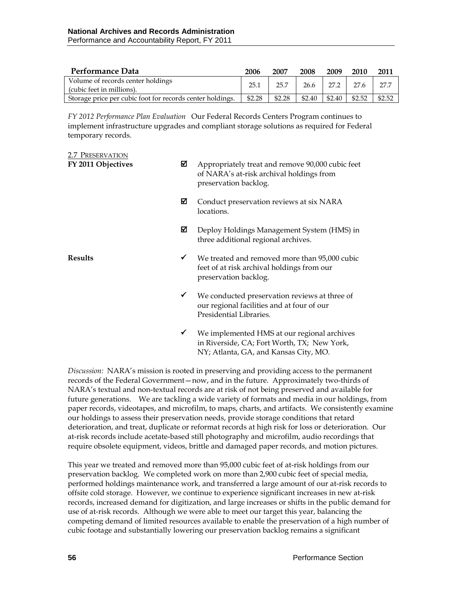| Performance Data                                                                                                                                                            | 2006 | 2007                        | 2008 | 2009 | 2010 | 2011   |
|-----------------------------------------------------------------------------------------------------------------------------------------------------------------------------|------|-----------------------------|------|------|------|--------|
| Volume of records center holdings<br>(cubic feet in millions).                                                                                                              | 25.1 | $25.7$   26.6   27.2   27.6 |      |      |      | - 27.7 |
| Storage price per cubic foot for records center holdings. $\parallel$ \$2.28 $\parallel$ \$2.28 $\parallel$ \$2.40 $\parallel$ \$2.40 $\parallel$ \$2.52 $\parallel$ \$2.52 |      |                             |      |      |      |        |

*FY 2012 Performance Plan Evaluation*Our Federal Records Centers Program continues to implement infrastructure upgrades and compliant storage solutions as required for Federal temporary records.

| 2.7 PRESERVATION<br>FY 2011 Objectives | ⊠            | Appropriately treat and remove 90,000 cubic feet<br>of NARA's at-risk archival holdings from<br>preservation backlog.  |
|----------------------------------------|--------------|------------------------------------------------------------------------------------------------------------------------|
|                                        | ⊠            | Conduct preservation reviews at six NARA<br>locations.                                                                 |
|                                        | ⊠            | Deploy Holdings Management System (HMS) in<br>three additional regional archives.                                      |
| <b>Results</b>                         | $\checkmark$ | We treated and removed more than 95,000 cubic<br>feet of at risk archival holdings from our<br>preservation backlog.   |
|                                        | ✔            | We conducted preservation reviews at three of<br>our regional facilities and at four of our<br>Presidential Libraries. |
|                                        | ✔            | We implemented HMS at our regional archives<br>in Riverside, CA; Fort Worth, TX; New York,                             |

*Discussion:* NARA's mission is rooted in preserving and providing access to the permanent records of the Federal Government—now, and in the future. Approximately two-thirds of NARA's textual and non-textual records are at risk of not being preserved and available for future generations. We are tackling a wide variety of formats and media in our holdings, from paper records, videotapes, and microfilm, to maps, charts, and artifacts. We consistently examine our holdings to assess their preservation needs, provide storage conditions that retard deterioration, and treat, duplicate or reformat records at high risk for loss or deterioration. Our at-risk records include acetate-based still photography and microfilm, audio recordings that require obsolete equipment, videos, brittle and damaged paper records, and motion pictures.

NY; Atlanta, GA, and Kansas City, MO.

This year we treated and removed more than 95,000 cubic feet of at-risk holdings from our preservation backlog. We completed work on more than 2,900 cubic feet of special media, performed holdings maintenance work, and transferred a large amount of our at-risk records to offsite cold storage. However, we continue to experience significant increases in new at-risk records, increased demand for digitization, and large increases or shifts in the public demand for use of at-risk records. Although we were able to meet our target this year, balancing the competing demand of limited resources available to enable the preservation of a high number of cubic footage and substantially lowering our preservation backlog remains a significant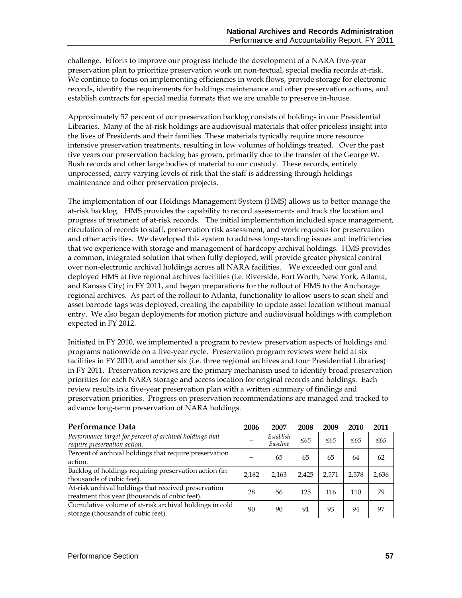challenge. Efforts to improve our progress include the development of a NARA five-year preservation plan to prioritize preservation work on non-textual, special media records at-risk. We continue to focus on implementing efficiencies in work flows, provide storage for electronic records, identify the requirements for holdings maintenance and other preservation actions, and establish contracts for special media formats that we are unable to preserve in-house.

Approximately 57 percent of our preservation backlog consists of holdings in our Presidential Libraries. Many of the at-risk holdings are audiovisual materials that offer priceless insight into the lives of Presidents and their families. These materials typically require more resource intensive preservation treatments, resulting in low volumes of holdings treated. Over the past five years our preservation backlog has grown, primarily due to the transfer of the George W. Bush records and other large bodies of material to our custody. These records, entirely unprocessed, carry varying levels of risk that the staff is addressing through holdings maintenance and other preservation projects.

The implementation of our Holdings Management System (HMS) allows us to better manage the at-risk backlog. HMS provides the capability to record assessments and track the location and progress of treatment of at-risk records. The initial implementation included space management, circulation of records to staff, preservation risk assessment, and work requests for preservation and other activities. We developed this system to address long-standing issues and inefficiencies that we experience with storage and management of hardcopy archival holdings. HMS provides a common, integrated solution that when fully deployed, will provide greater physical control over non-electronic archival holdings across all NARA facilities. We exceeded our goal and deployed HMS at five regional archives facilities (i.e. Riverside, Fort Worth, New York, Atlanta, and Kansas City) in FY 2011, and began preparations for the rollout of HMS to the Anchorage regional archives. As part of the rollout to Atlanta, functionality to allow users to scan shelf and asset barcode tags was deployed, creating the capability to update asset location without manual entry. We also began deployments for motion picture and audiovisual holdings with completion expected in FY 2012.

Initiated in FY 2010, we implemented a program to review preservation aspects of holdings and programs nationwide on a five-year cycle. Preservation program reviews were held at six facilities in FY 2010, and another six (i.e. three regional archives and four Presidential Libraries) in FY 2011. Preservation reviews are the primary mechanism used to identify broad preservation priorities for each NARA storage and access location for original records and holdings. Each review results in a five-year preservation plan with a written summary of findings and preservation priorities. Progress on preservation recommendations are managed and tracked to advance long-term preservation of NARA holdings.

| Performance Data                                                                                       | 2006  | 2007                         | 2008       | 2009       | 2010       | 2011       |
|--------------------------------------------------------------------------------------------------------|-------|------------------------------|------------|------------|------------|------------|
| Performance target for percent of archival holdings that<br>require preservation action.               |       | Establish<br><b>Baseline</b> | $\leq 6.5$ | $\leq 6.5$ | $\leq 6.5$ | $\leq 6.5$ |
| Percent of archival holdings that require preservation<br>action.                                      |       | 65                           | 65         | 65         | 64         | 62         |
| Backlog of holdings requiring preservation action (in<br>thousands of cubic feet).                     | 2,182 | 2.163                        | 2,425      | 2.571      | 2,578      | 2,636      |
| At-risk archival holdings that received preservation<br>treatment this year (thousands of cubic feet). | 28    | 56                           | 125        | 116        | 110        | 79         |
| Cumulative volume of at-risk archival holdings in cold<br>storage (thousands of cubic feet).           | 90    | 90                           | 91         | 93         | 94         | 97         |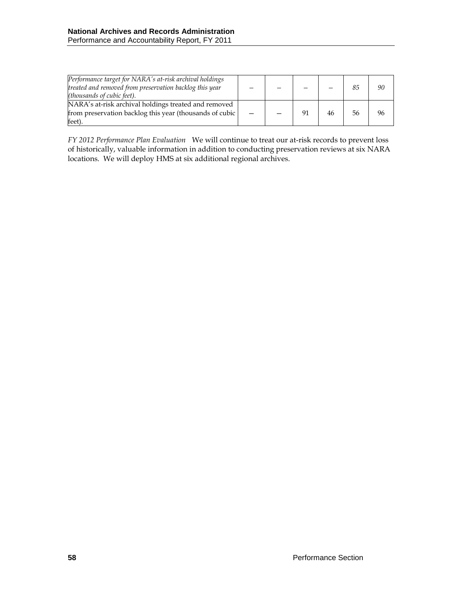| Performance target for NARA's at-risk archival holdings<br>treated and removed from preservation backlog this year<br>( <i>thousands of cubic feet</i> ). |  |    |    | 85 | 90 |
|-----------------------------------------------------------------------------------------------------------------------------------------------------------|--|----|----|----|----|
| NARA's at-risk archival holdings treated and removed                                                                                                      |  |    |    |    |    |
| from preservation backlog this year (thousands of cubic                                                                                                   |  | 91 | 46 | 56 | 96 |
| feet).                                                                                                                                                    |  |    |    |    |    |

*FY 2012 Performance Plan Evaluation*We will continue to treat our at-risk records to prevent loss of historically, valuable information in addition to conducting preservation reviews at six NARA locations. We will deploy HMS at six additional regional archives.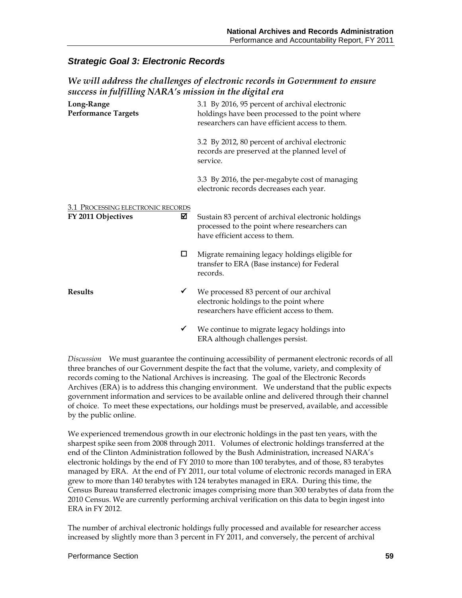# *Strategic Goal 3: Electronic Records*

# *We will address the challenges of electronic records in Government to ensure success in fulfilling NARA's mission in the digital era*

| Long-Range<br><b>Performance Targets</b>                     | 3.1 By 2016, 95 percent of archival electronic<br>holdings have been processed to the point where<br>researchers can have efficient access to them. |
|--------------------------------------------------------------|-----------------------------------------------------------------------------------------------------------------------------------------------------|
|                                                              | 3.2 By 2012, 80 percent of archival electronic<br>records are preserved at the planned level of<br>service.                                         |
|                                                              | 3.3 By 2016, the per-megabyte cost of managing<br>electronic records decreases each year.                                                           |
| 3.1 PROCESSING ELECTRONIC RECORDS<br>☑<br>FY 2011 Objectives | Sustain 83 percent of archival electronic holdings<br>processed to the point where researchers can<br>have efficient access to them.                |
| □                                                            | Migrate remaining legacy holdings eligible for<br>transfer to ERA (Base instance) for Federal<br>records.                                           |
| <b>Results</b><br>$\checkmark$                               | We processed 83 percent of our archival<br>electronic holdings to the point where<br>researchers have efficient access to them.                     |
| ✔                                                            | We continue to migrate legacy holdings into<br>ERA although challenges persist.                                                                     |

*Discussion* We must guarantee the continuing accessibility of permanent electronic records of all three branches of our Government despite the fact that the volume, variety, and complexity of records coming to the National Archives is increasing. The goal of the Electronic Records Archives (ERA) is to address this changing environment. We understand that the public expects government information and services to be available online and delivered through their channel of choice. To meet these expectations, our holdings must be preserved, available, and accessible by the public online.

We experienced tremendous growth in our electronic holdings in the past ten years, with the sharpest spike seen from 2008 through 2011. Volumes of electronic holdings transferred at the end of the Clinton Administration followed by the Bush Administration, increased NARA's electronic holdings by the end of FY 2010 to more than 100 terabytes, and of those, 83 terabytes managed by ERA. At the end of FY 2011, our total volume of electronic records managed in ERA grew to more than 140 terabytes with 124 terabytes managed in ERA. During this time, the Census Bureau transferred electronic images comprising more than 300 terabytes of data from the 2010 Census. We are currently performing archival verification on this data to begin ingest into ERA in FY 2012.

The number of archival electronic holdings fully processed and available for researcher access increased by slightly more than 3 percent in FY 2011, and conversely, the percent of archival

#### Performance Section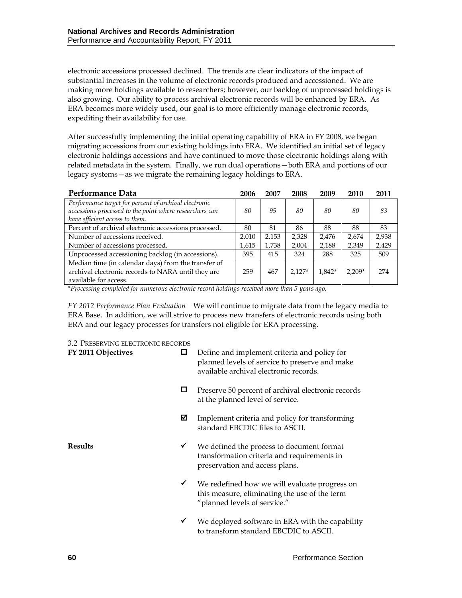electronic accessions processed declined. The trends are clear indicators of the impact of substantial increases in the volume of electronic records produced and accessioned. We are making more holdings available to researchers; however, our backlog of unprocessed holdings is also growing. Our ability to process archival electronic records will be enhanced by ERA. As ERA becomes more widely used, our goal is to more efficiently manage electronic records, expediting their availability for use.

After successfully implementing the initial operating capability of ERA in FY 2008, we began migrating accessions from our existing holdings into ERA. We identified an initial set of legacy electronic holdings accessions and have continued to move those electronic holdings along with related metadata in the system. Finally, we run dual operations—both ERA and portions of our legacy systems—as we migrate the remaining legacy holdings to ERA.

| Performance Data                                        | 2006  | 2007  | 2008     | 2009   | 2010     | 2011  |
|---------------------------------------------------------|-------|-------|----------|--------|----------|-------|
| Performance target for percent of archival electronic   |       |       |          |        |          |       |
| accessions processed to the point where researchers can | 80    | 95    | 80       | 80     | 80       | 83    |
| have efficient access to them.                          |       |       |          |        |          |       |
| Percent of archival electronic accessions processed.    | 80    | 81    | 86       | 88     | 88       | 83    |
| Number of accessions received.                          | 2,010 | 2,153 | 2,328    | 2,476  | 2,674    | 2,938 |
| Number of accessions processed.                         | 1,615 | 1,738 | 2,004    | 2,188  | 2,349    | 2,429 |
| Unprocessed accessioning backlog (in accessions).       | 395   | 415   | 324      | 288    | 325      | 509   |
| Median time (in calendar days) from the transfer of     |       |       |          |        |          |       |
| archival electronic records to NARA until they are      | 259   | 467   | $2.127*$ | 1.842* | $2.209*$ | 274   |
| available for access.                                   |       |       |          |        |          |       |

*\*Processing completed for numerous electronic record holdings received more than 5 years ago.*

*FY 2012 Performance Plan Evaluation*We will continue to migrate data from the legacy media to ERA Base. In addition, we will strive to process new transfers of electronic records using both ERA and our legacy processes for transfers not eligible for ERA processing.

3.2 PRESERVING ELECTRONIC RECORDS

| FY 2011 Objectives | 0            | Define and implement criteria and policy for<br>planned levels of service to preserve and make<br>available archival electronic records. |
|--------------------|--------------|------------------------------------------------------------------------------------------------------------------------------------------|
|                    | ப            | Preserve 50 percent of archival electronic records<br>at the planned level of service.                                                   |
|                    | ⊠            | Implement criteria and policy for transforming<br>standard EBCDIC files to ASCII.                                                        |
| <b>Results</b>     | $\checkmark$ | We defined the process to document format<br>transformation criteria and requirements in<br>preservation and access plans.               |
|                    | ✓            | We redefined how we will evaluate progress on<br>this measure, eliminating the use of the term<br>"planned levels of service."           |
|                    |              | We deployed software in ERA with the capability<br>to transform standard EBCDIC to ASCII.                                                |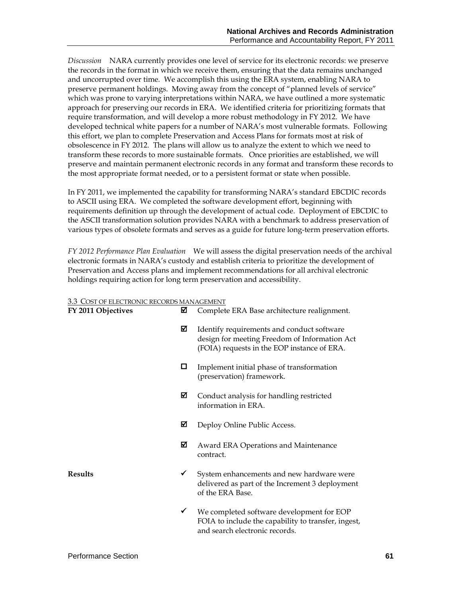*Discussion* NARA currently provides one level of service for its electronic records: we preserve the records in the format in which we receive them, ensuring that the data remains unchanged and uncorrupted over time. We accomplish this using the ERA system, enabling NARA to preserve permanent holdings. Moving away from the concept of "planned levels of service" which was prone to varying interpretations within NARA, we have outlined a more systematic approach for preserving our records in ERA. We identified criteria for prioritizing formats that require transformation, and will develop a more robust methodology in FY 2012. We have developed technical white papers for a number of NARA's most vulnerable formats. Following this effort, we plan to complete Preservation and Access Plans for formats most at risk of obsolescence in FY 2012. The plans will allow us to analyze the extent to which we need to transform these records to more sustainable formats. Once priorities are established, we will preserve and maintain permanent electronic records in any format and transform these records to the most appropriate format needed, or to a persistent format or state when possible.

In FY 2011, we implemented the capability for transforming NARA's standard EBCDIC records to ASCII using ERA. We completed the software development effort, beginning with requirements definition up through the development of actual code. Deployment of EBCDIC to the ASCII transformation solution provides NARA with a benchmark to address preservation of various types of obsolete formats and serves as a guide for future long-term preservation efforts.

*FY 2012 Performance Plan Evaluation*We will assess the digital preservation needs of the archival electronic formats in NARA's custody and establish criteria to prioritize the development of Preservation and Access plans and implement recommendations for all archival electronic holdings requiring action for long term preservation and accessibility.

#### 3.3 COST OF ELECTRONIC RECORDS MANAGEMENT

| ☑<br>FY 2011 Objectives | Complete ERA Base architecture realignment. |                                                                                                                                            |
|-------------------------|---------------------------------------------|--------------------------------------------------------------------------------------------------------------------------------------------|
|                         | ☑                                           | Identify requirements and conduct software<br>design for meeting Freedom of Information Act<br>(FOIA) requests in the EOP instance of ERA. |
|                         | □                                           | Implement initial phase of transformation<br>(preservation) framework.                                                                     |
|                         | ☑                                           | Conduct analysis for handling restricted<br>information in ERA.                                                                            |
|                         | ☑                                           | Deploy Online Public Access.                                                                                                               |
|                         | ⊠                                           | Award ERA Operations and Maintenance<br>contract.                                                                                          |
| <b>Results</b>          | ✓                                           | System enhancements and new hardware were<br>delivered as part of the Increment 3 deployment<br>of the ERA Base.                           |
|                         | ✔                                           | We completed software development for EOP<br>FOIA to include the capability to transfer, ingest,<br>and search electronic records.         |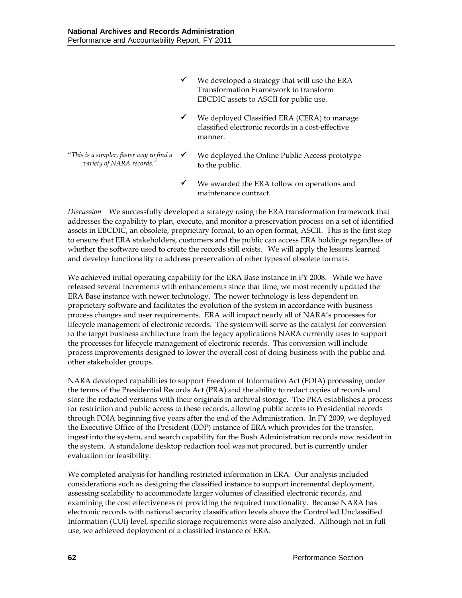- We developed a strategy that will use the ERA Transformation Framework to transform EBCDIC assets to ASCII for public use.
- $\checkmark$  We deployed Classified ERA (CERA) to manage classified electronic records in a cost-effective manner.
- "*This is a simpler, faster way to find a variety of NARA records."*
	- $\checkmark$  We deployed the Online Public Access prototype to the public.
	- $\checkmark$  We awarded the ERA follow on operations and maintenance contract.

*Discussion* We successfully developed a strategy using the ERA transformation framework that addresses the capability to plan, execute, and monitor a preservation process on a set of identified assets in EBCDIC, an obsolete, proprietary format, to an open format, ASCII. This is the first step to ensure that ERA stakeholders, customers and the public can access ERA holdings regardless of whether the software used to create the records still exists. We will apply the lessons learned and develop functionality to address preservation of other types of obsolete formats.

We achieved initial operating capability for the ERA Base instance in FY 2008. While we have released several increments with enhancements since that time, we most recently updated the ERA Base instance with newer technology. The newer technology is less dependent on proprietary software and facilitates the evolution of the system in accordance with business process changes and user requirements. ERA will impact nearly all of NARA's processes for lifecycle management of electronic records. The system will serve as the catalyst for conversion to the target business architecture from the legacy applications NARA currently uses to support the processes for lifecycle management of electronic records. This conversion will include process improvements designed to lower the overall cost of doing business with the public and other stakeholder groups.

NARA developed capabilities to support Freedom of Information Act (FOIA) processing under the terms of the Presidential Records Act (PRA) and the ability to redact copies of records and store the redacted versions with their originals in archival storage. The PRA establishes a process for restriction and public access to these records, allowing public access to Presidential records through FOIA beginning five years after the end of the Administration. In FY 2009, we deployed the Executive Office of the President (EOP) instance of ERA which provides for the transfer, ingest into the system, and search capability for the Bush Administration records now resident in the system. A standalone desktop redaction tool was not procured, but is currently under evaluation for feasibility.

We completed analysis for handling restricted information in ERA. Our analysis included considerations such as designing the classified instance to support incremental deployment, assessing scalability to accommodate larger volumes of classified electronic records, and examining the cost effectiveness of providing the required functionality. Because NARA has electronic records with national security classification levels above the Controlled Unclassified Information (CUI) level, specific storage requirements were also analyzed. Although not in full use, we achieved deployment of a classified instance of ERA.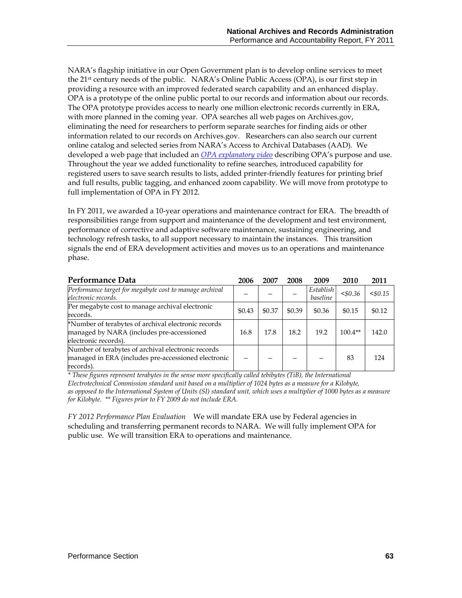NARA's flagship initiative in our Open Government plan is to develop online services to meet the 21st century needs of the public. NARA's Online Public Access (OPA), is our first step in providing a resource with an improved federated search capability and an enhanced display. OPA is a prototype of the online public portal to our records and information about our records. The OPA prototype provides access to nearly one million electronic records currently in ERA, with more planned in the coming year. OPA searches all web pages on Archives.gov, eliminating the need for researchers to perform separate searches for finding aids or other information related to our records on Archives.gov. Researchers can also search our current online catalog and selected series from NARA's Access to Archival Databases (AAD). We developed a web page that included an *[OPA explanatory video](http://www.archives.gov/research/search/)* describing OPA's purpose and use. Throughout the year we added functionality to refine searches, introduced capability for registered users to save search results to lists, added printer-friendly features for printing brief and full results, public tagging, and enhanced zoom capability. We will move from prototype to full implementation of OPA in FY 2012.

In FY 2011, we awarded a 10-year operations and maintenance contract for ERA. The breadth of responsibilities range from support and maintenance of the development and test environment, performance of corrective and adaptive software maintenance, sustaining engineering, and technology refresh tasks, to all support necessary to maintain the instances. This transition signals the end of ERA development activities and moves us to an operations and maintenance phase.

| Performance Data                                                                                                         | 2006   | 2007   | 2008   | 2009                  | 2010       | 2011   |
|--------------------------------------------------------------------------------------------------------------------------|--------|--------|--------|-----------------------|------------|--------|
| Performance target for megabyte cost to manage archival<br>electronic records.                                           |        |        |        | Establish<br>baseline | $<$ \$0.36 | < 0.15 |
| Per megabyte cost to manage archival electronic<br>records.                                                              | \$0.43 | \$0.37 | \$0.39 | \$0.36                | \$0.15     | \$0.12 |
| *Number of terabytes of archival electronic records<br>managed by NARA (includes pre-accessioned<br>electronic records). | 16.8   | 17.8   | 18.2   | 19.2                  | $100.4**$  | 142.0  |
| Number of terabytes of archival electronic records<br>managed in ERA (includes pre-accessioned electronic<br>records).   |        |        |        |                       | 83         | 124    |

*\* These figures represent terabytes in the sense more specifically called tebibytes (TiB), the International Electrotechnical Commission standard unit based on a multiplier of 1024 bytes as a measure for a Kilobyte, as opposed to the International System of Units (SI) standard unit, which uses a multiplier of 1000 bytes as a measure for Kilobyte. \*\* Figures prior to FY 2009 do not include ERA.* 

*FY 2012 Performance Plan Evaluation*We will mandate ERA use by Federal agencies in scheduling and transferring permanent records to NARA. We will fully implement OPA for public use. We will transition ERA to operations and maintenance.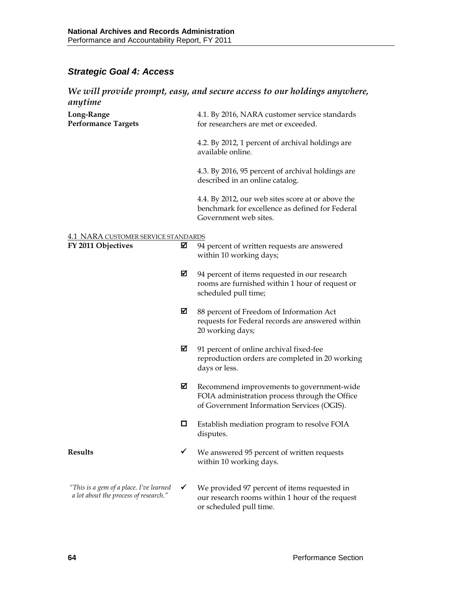# *Strategic Goal 4: Access*

## *We will provide prompt, easy, and secure access to our holdings anywhere, anytime*

| Long-Range<br><b>Performance Targets</b>                                         |   | 4.1. By 2016, NARA customer service standards<br>for researchers are met or exceeded.                                                     |
|----------------------------------------------------------------------------------|---|-------------------------------------------------------------------------------------------------------------------------------------------|
|                                                                                  |   | 4.2. By 2012, 1 percent of archival holdings are<br>available online.                                                                     |
|                                                                                  |   | 4.3. By 2016, 95 percent of archival holdings are<br>described in an online catalog.                                                      |
|                                                                                  |   | 4.4. By 2012, our web sites score at or above the<br>benchmark for excellence as defined for Federal<br>Government web sites.             |
|                                                                                  |   |                                                                                                                                           |
| <b>4.1 NARA CUSTOMER SERVICE STANDARDS</b><br>FY 2011 Objectives                 | ☑ | 94 percent of written requests are answered<br>within 10 working days;                                                                    |
|                                                                                  | ⊠ | 94 percent of items requested in our research<br>rooms are furnished within 1 hour of request or<br>scheduled pull time;                  |
|                                                                                  | ⊠ | 88 percent of Freedom of Information Act<br>requests for Federal records are answered within<br>20 working days;                          |
|                                                                                  | ☑ | 91 percent of online archival fixed-fee<br>reproduction orders are completed in 20 working<br>days or less.                               |
|                                                                                  | ☑ | Recommend improvements to government-wide<br>FOIA administration process through the Office<br>of Government Information Services (OGIS). |
|                                                                                  | 0 | Establish mediation program to resolve FOIA<br>disputes.                                                                                  |
| <b>Results</b>                                                                   |   | We answered 95 percent of written requests<br>within 10 working days.                                                                     |
| "This is a gem of a place. I've learned<br>a lot about the process of research." | ✔ | We provided 97 percent of items requested in<br>our research rooms within 1 hour of the request<br>or scheduled pull time.                |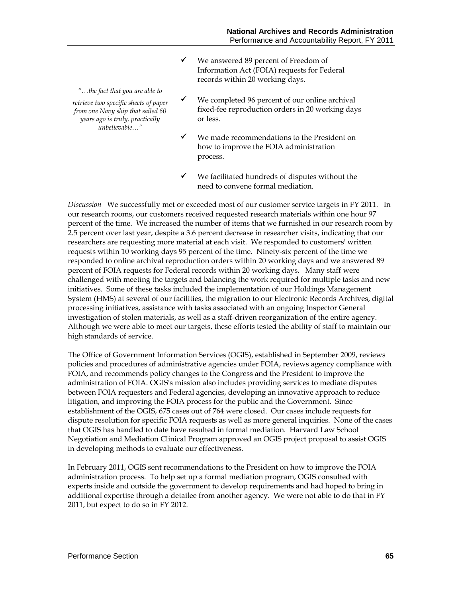We answered 89 percent of Freedom of Information Act (FOIA) requests for Federal records within 20 working days.

*"…the fact that you are able to retrieve two specific sheets of paper from one Navy ship that sailed 60 years ago is truly, practically unbelievable…"*

- $\checkmark$  We completed 96 percent of our online archival fixed-fee reproduction orders in 20 working days or less.
- We made recommendations to the President on how to improve the FOIA administration process.
- $\checkmark$  We facilitated hundreds of disputes without the need to convene formal mediation.

*Discussion* We successfully met or exceeded most of our customer service targets in FY 2011. In our research rooms, our customers received requested research materials within one hour 97 percent of the time. We increased the number of items that we furnished in our research room by 2.5 percent over last year, despite a 3.6 percent decrease in researcher visits, indicating that our researchers are requesting more material at each visit. We responded to customers' written requests within 10 working days 95 percent of the time. Ninety-six percent of the time we responded to online archival reproduction orders within 20 working days and we answered 89 percent of FOIA requests for Federal records within 20 working days. Many staff were challenged with meeting the targets and balancing the work required for multiple tasks and new initiatives. Some of these tasks included the implementation of our Holdings Management System (HMS) at several of our facilities, the migration to our Electronic Records Archives, digital processing initiatives, assistance with tasks associated with an ongoing Inspector General investigation of stolen materials, as well as a staff-driven reorganization of the entire agency. Although we were able to meet our targets, these efforts tested the ability of staff to maintain our high standards of service.

The Office of Government Information Services (OGIS), established in September 2009, reviews policies and procedures of administrative agencies under FOIA, reviews agency compliance with FOIA, and recommends policy changes to the Congress and the President to improve the administration of FOIA. OGIS's mission also includes providing services to mediate disputes between FOIA requesters and Federal agencies, developing an innovative approach to reduce litigation, and improving the FOIA process for the public and the Government. Since establishment of the OGIS, 675 cases out of 764 were closed. Our cases include requests for dispute resolution for specific FOIA requests as well as more general inquiries. None of the cases that OGIS has handled to date have resulted in formal mediation. Harvard Law School Negotiation and Mediation Clinical Program approved an OGIS project proposal to assist OGIS in developing methods to evaluate our effectiveness.

In February 2011, OGIS sent recommendations to the President on how to improve the FOIA administration process. To help set up a formal mediation program, OGIS consulted with experts inside and outside the government to develop requirements and had hoped to bring in additional expertise through a detailee from another agency. We were not able to do that in FY 2011, but expect to do so in FY 2012.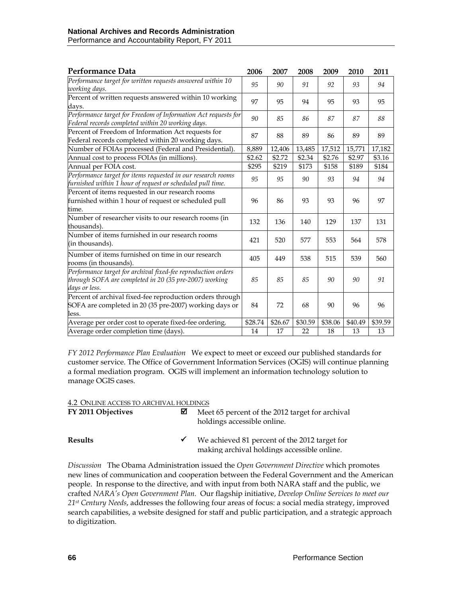| Performance Data                                                                                                                         | 2006    | 2007    | 2008    | 2009    | 2010    | 2011    |
|------------------------------------------------------------------------------------------------------------------------------------------|---------|---------|---------|---------|---------|---------|
| Performance target for written requests answered within 10<br>working days.                                                              | 95      | 90      | 91      | 92      | 93      | 94      |
| Percent of written requests answered within 10 working<br>davs.                                                                          | 97      | 95      | 94      | 95      | 93      | 95      |
| Performance target for Freedom of Information Act requests for<br>Federal records completed within 20 working days.                      | 90      | 85      | 86      | 87      | 87      | 88      |
| Percent of Freedom of Information Act requests for<br>Federal records completed within 20 working days.                                  | 87      | 88      | 89      | 86      | 89      | 89      |
| Number of FOIAs processed (Federal and Presidential).                                                                                    | 8,889   | 12,406  | 13,485  | 17,512  | 15,771  | 17,182  |
| Annual cost to process FOIAs (in millions).                                                                                              | \$2.62  | \$2.72  | \$2.34  | \$2.76  | \$2.97  | \$3.16  |
| Annual per FOIA cost.                                                                                                                    | \$295   | \$219   | \$173   | \$158   | \$189   | \$184   |
| Performance target for items requested in our research rooms<br>furnished within 1 hour of request or scheduled pull time.               | 95      | 95      | 90      | 93      | 94      | 94      |
| Percent of items requested in our research rooms<br>furnished within 1 hour of request or scheduled pull<br>time.                        | 96      | 86      | 93      | 93      | 96      | 97      |
| Number of researcher visits to our research rooms (in<br>thousands).                                                                     | 132     | 136     | 140     | 129     | 137     | 131     |
| Number of items furnished in our research rooms<br>(in thousands).                                                                       | 421     | 520     | 577     | 553     | 564     | 578     |
| Number of items furnished on time in our research<br>rooms (in thousands).                                                               | 405     | 449     | 538     | 515     | 539     | 560     |
| Performance target for archival fixed-fee reproduction orders<br>through SOFA are completed in 20 (35 pre-2007) working<br>days or less. | 85      | 85      | 85      | 90      | 90      | 91      |
| Percent of archival fixed-fee reproduction orders through<br>SOFA are completed in 20 (35 pre-2007) working days or<br>less.             | 84      | 72      | 68      | 90      | 96      | 96      |
| Average per order cost to operate fixed-fee ordering.                                                                                    | \$28.74 | \$26.67 | \$30.59 | \$38.06 | \$40.49 | \$39.59 |
| Average order completion time (days).                                                                                                    | 14      | 17      | 22      | 18      | 13      | 13      |

*FY 2012 Performance Plan Evaluation*We expect to meet or exceed our published standards for customer service. The Office of Government Information Services (OGIS) will continue planning a formal mediation program. OGIS will implement an information technology solution to manage OGIS cases.

#### 4.2 ONLINE ACCESS TO ARCHIVAL HOLDINGS

| FY 2011 Objectives | ⊠            | Meet 65 percent of the 2012 target for archival<br>holdings accessible online.               |
|--------------------|--------------|----------------------------------------------------------------------------------------------|
| <b>Results</b>     | $\checkmark$ | We achieved 81 percent of the 2012 target for<br>making archival holdings accessible online. |

*Discussion* The Obama Administration issued the *Open Government Directive* which promotes new lines of communication and cooperation between the Federal Government and the American people. In response to the directive, and with input from both NARA staff and the public, we crafted *NARA's Open Government Plan.* Our flagship initiative, *Develop Online Services to meet our 21st Century Needs*, addresses the following four areas of focus: a social media strategy, improved search capabilities, a website designed for staff and public participation, and a strategic approach to digitization.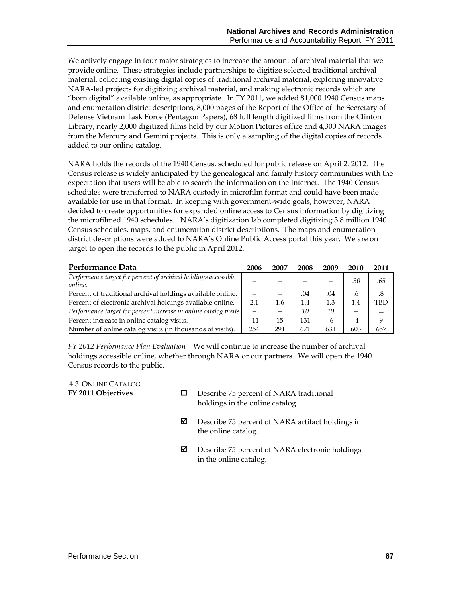We actively engage in four major strategies to increase the amount of archival material that we provide online. These strategies include partnerships to digitize selected traditional archival material, collecting existing digital copies of traditional archival material, exploring innovative NARA-led projects for digitizing archival material, and making electronic records which are "born digital" available online, as appropriate. In FY 2011, we added 81,000 1940 Census maps and enumeration district descriptions, 8,000 pages of the Report of the Office of the Secretary of Defense Vietnam Task Force (Pentagon Papers), 68 full length digitized films from the Clinton Library, nearly 2,000 digitized films held by our Motion Pictures office and 4,300 NARA images from the Mercury and Gemini projects. This is only a sampling of the digital copies of records added to our online catalog.

NARA holds the records of the 1940 Census, scheduled for public release on April 2, 2012. The Census release is widely anticipated by the genealogical and family history communities with the expectation that users will be able to search the information on the Internet. The 1940 Census schedules were transferred to NARA custody in microfilm format and could have been made available for use in that format. In keeping with government-wide goals, however, NARA decided to create opportunities for expanded online access to Census information by digitizing the microfilmed 1940 schedules. NARA's digitization lab completed digitizing 3.8 million 1940 Census schedules, maps, and enumeration district descriptions. The maps and enumeration district descriptions were added to NARA's Online Public Access portal this year. We are on target to open the records to the public in April 2012.

| Performance Data                                                          | 2006  | 2007 | 2008 | 2009 | 2010 | 2011 |
|---------------------------------------------------------------------------|-------|------|------|------|------|------|
| Performance target for percent of archival holdings accessible<br>online. |       |      |      |      | .30  | .65  |
| Percent of traditional archival holdings available online.                |       |      | .04  | .04  | .6   | .8   |
| Percent of electronic archival holdings available online.                 | 2.1   | 1.6  | 1.4  | 1.3  | 1.4  | TBD  |
| Performance target for percent increase in online catalog visits.         |       |      | 10   | 10   |      |      |
| Percent increase in online catalog visits.                                | $-11$ | 15   | 131  | -6   | $-4$ |      |
| Number of online catalog visits (in thousands of visits).                 | 254   | 291  | 671  | 631  | 603  | 657  |

*FY 2012 Performance Plan Evaluation*We will continue to increase the number of archival holdings accessible online, whether through NARA or our partners. We will open the 1940 Census records to the public.

4.3 ONLINE CATALOG

- **FY 2011 Objectives**  $\Box$  Describe 75 percent of NARA traditional holdings in the online catalog.
	- $\boxtimes$  Describe 75 percent of NARA artifact holdings in the online catalog.
	- $\boxtimes$  Describe 75 percent of NARA electronic holdings in the online catalog.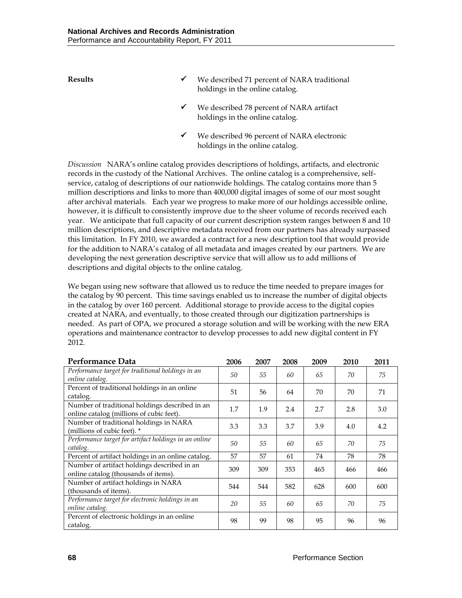**Results** state and the described 71 percent of NARA traditional holdings in the online catalog. We described 78 percent of NARA artifact holdings in the online catalog.

> We described 96 percent of NARA electronic holdings in the online catalog.

*Discussion* NARA's online catalog provides descriptions of holdings, artifacts, and electronic records in the custody of the National Archives. The online catalog is a comprehensive, selfservice, catalog of descriptions of our nationwide holdings. The catalog contains more than 5 million descriptions and links to more than 400,000 digital images of some of our most sought after archival materials. Each year we progress to make more of our holdings accessible online, however, it is difficult to consistently improve due to the sheer volume of records received each year. We anticipate that full capacity of our current description system ranges between 8 and 10 million descriptions, and descriptive metadata received from our partners has already surpassed this limitation. In FY 2010, we awarded a contract for a new description tool that would provide for the addition to NARA's catalog of all metadata and images created by our partners. We are developing the next generation descriptive service that will allow us to add millions of descriptions and digital objects to the online catalog.

We began using new software that allowed us to reduce the time needed to prepare images for the catalog by 90 percent. This time savings enabled us to increase the number of digital objects in the catalog by over 160 percent. Additional storage to provide access to the digital copies created at NARA, and eventually, to those created through our digitization partnerships is needed. As part of OPA, we procured a storage solution and will be working with the new ERA operations and maintenance contractor to develop processes to add new digital content in FY 2012.

| Performance Data                                                                           | 2006 | 2007 | 2008 | 2009 | 2010 | 2011 |
|--------------------------------------------------------------------------------------------|------|------|------|------|------|------|
| Performance target for traditional holdings in an<br>online catalog.                       | 50   | 55   | 60   | 65   | 70   | 75   |
| Percent of traditional holdings in an online<br>catalog.                                   | 51   | 56   | 64   | 70   | 70   | 71   |
| Number of traditional holdings described in an<br>online catalog (millions of cubic feet). | 1.7  | 1.9  | 2.4  | 2.7  | 2.8  | 3.0  |
| Number of traditional holdings in NARA<br>(millions of cubic feet). *                      | 3.3  | 3.3  | 3.7  | 3.9  | 4.0  | 4.2  |
| Performance target for artifact holdings in an online<br>catalog.                          | 50   | 55   | 60   | 65   | 70   | 75   |
| Percent of artifact holdings in an online catalog.                                         | 57   | 57   | 61   | 74   | 78   | 78   |
| Number of artifact holdings described in an<br>online catalog (thousands of items).        | 309  | 309  | 353  | 465  | 466  | 466  |
| Number of artifact holdings in NARA<br>(thousands of items).                               | 544  | 544  | 582  | 628  | 600  | 600  |
| Performance target for electronic holdings in an<br>online catalog.                        | 20   | 55   | 60   | 65   | 70   | 75   |
| Percent of electronic holdings in an online<br>catalog.                                    | 98   | 99   | 98   | 95   | 96   | 96   |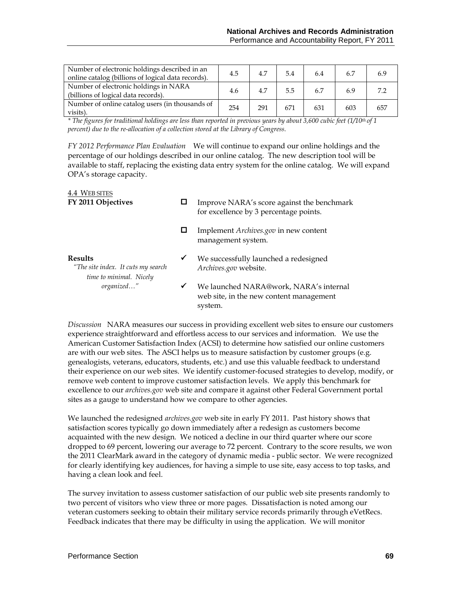| Number of electronic holdings described in an<br>online catalog (billions of logical data records). | 4.5 | 4.7 | 5.4 | 6.4 | 6.7 | 6.9 |
|-----------------------------------------------------------------------------------------------------|-----|-----|-----|-----|-----|-----|
| Number of electronic holdings in NARA<br>(billions of logical data records).                        | 4.6 | 4.7 | 5.5 |     | 6.9 | 72  |
| Number of online catalog users (in thousands of<br>visits).                                         | 254 | 291 | 671 | 631 | 603 | 657 |

*\* The figures for traditional holdings are less than reported in previous years by about 3,600 cubic feet (1/10th of 1 percent) due to the re-allocation of a collection stored at the Library of Congress.*

*FY 2012 Performance Plan Evaluation*We will continue to expand our online holdings and the percentage of our holdings described in our online catalog. The new description tool will be available to staff, replacing the existing data entry system for the online catalog. We will expand OPA's storage capacity.

| 4.4 WEB SITES<br>FY 2011 Objectives                                             |   | Improve NARA's score against the benchmark<br>for excellence by 3 percentage points.         |
|---------------------------------------------------------------------------------|---|----------------------------------------------------------------------------------------------|
|                                                                                 |   | Implement Archives.gov in new content<br>management system.                                  |
| <b>Results</b><br>"The site index. It cuts my search<br>time to minimal. Nicely | ✔ | We successfully launched a redesigned<br>Archives.gov website.                               |
| organized"                                                                      | ✔ | We launched NARA@work, NARA's internal<br>web site, in the new content management<br>system. |

*Discussion* NARA measures our success in providing excellent web sites to ensure our customers experience straightforward and effortless access to our services and information. We use the American Customer Satisfaction Index (ACSI) to determine how satisfied our online customers are with our web sites. The ASCI helps us to measure satisfaction by customer groups (e.g. genealogists, veterans, educators, students, etc.) and use this valuable feedback to understand their experience on our web sites. We identify customer-focused strategies to develop, modify, or remove web content to improve customer satisfaction levels. We apply this benchmark for excellence to our *archives.gov* web site and compare it against other Federal Government portal sites as a gauge to understand how we compare to other agencies.

We launched the redesigned *archives.gov* web site in early FY 2011. Past history shows that satisfaction scores typically go down immediately after a redesign as customers become acquainted with the new design. We noticed a decline in our third quarter where our score dropped to 69 percent, lowering our average to 72 percent. Contrary to the score results, we won the 2011 ClearMark award in the category of dynamic media - public sector. We were recognized for clearly identifying key audiences, for having a simple to use site, easy access to top tasks, and having a clean look and feel.

The survey invitation to assess customer satisfaction of our public web site presents randomly to two percent of visitors who view three or more pages. Dissatisfaction is noted among our veteran customers seeking to obtain their military service records primarily through eVetRecs. Feedback indicates that there may be difficulty in using the application. We will monitor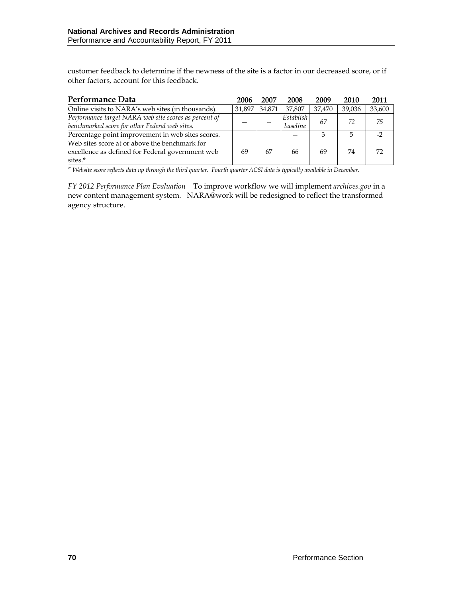customer feedback to determine if the newness of the site is a factor in our decreased score, or if other factors, account for this feedback.

| Performance Data                                                                                             | 2006   | 2007   | 2008                  | 2009   | 2010   | 2011   |
|--------------------------------------------------------------------------------------------------------------|--------|--------|-----------------------|--------|--------|--------|
| Online visits to NARA's web sites (in thousands).                                                            | 31.897 | 34,871 | 37.807                | 37.470 | 39.036 | 33,600 |
| Performance target NARA web site scores as percent of<br>benchmarked score for other Federal web sites.      |        |        | Establish<br>baseline | 67     | 72     | 75     |
| Percentage point improvement in web sites scores.                                                            |        |        |                       |        |        | $-2$   |
| Web sites score at or above the benchmark for<br>excellence as defined for Federal government web<br>sites.* | 69     | 67     | 66                    | 69     | 74     | 72     |

*\* Website score reflects data up through the third quarter. Fourth quarter ACSI data is typically available in December.*

*FY 2012 Performance Plan Evaluation* To improve workflow we will implement *archives.gov* in a new content management system. NARA@work will be redesigned to reflect the transformed agency structure.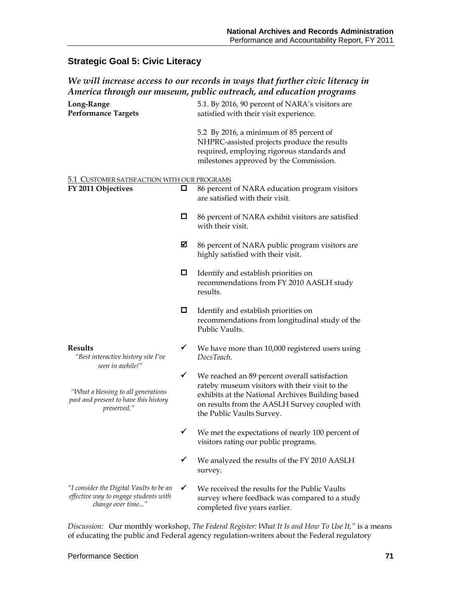# **Strategic Goal 5: Civic Literacy**

# *We will increase access to our records in ways that further civic literacy in America through our museum, public outreach, and education programs*

| Long-Range<br><b>Performance Targets</b>                                                              |   | 5.1. By 2016, 90 percent of NARA's visitors are<br>satisfied with their visit experience.                                                                                                                                         |
|-------------------------------------------------------------------------------------------------------|---|-----------------------------------------------------------------------------------------------------------------------------------------------------------------------------------------------------------------------------------|
|                                                                                                       |   | 5.2 By 2016, a minimum of 85 percent of<br>NHPRC-assisted projects produce the results<br>required, employing rigorous standards and<br>milestones approved by the Commission.                                                    |
| 5.1 CUSTOMER SATISFACTION WITH OUR PROGRAMS                                                           |   |                                                                                                                                                                                                                                   |
| FY 2011 Objectives                                                                                    | О | 86 percent of NARA education program visitors<br>are satisfied with their visit.                                                                                                                                                  |
|                                                                                                       | □ | 86 percent of NARA exhibit visitors are satisfied<br>with their visit.                                                                                                                                                            |
|                                                                                                       | ☑ | 86 percent of NARA public program visitors are<br>highly satisfied with their visit.                                                                                                                                              |
|                                                                                                       | □ | Identify and establish priorities on<br>recommendations from FY 2010 AASLH study<br>results.                                                                                                                                      |
|                                                                                                       | П | Identify and establish priorities on<br>recommendations from longitudinal study of the<br>Public Vaults.                                                                                                                          |
| <b>Results</b><br>"Best interactive history site I've<br>seen in awhile!"                             | ✓ | We have more than 10,000 registered users using<br>DocsTeach.                                                                                                                                                                     |
| "What a blessing to all generations<br>past and present to have this history<br>preserved."           | ✓ | We reached an 89 percent overall satisfaction<br>rateby museum visitors with their visit to the<br>exhibits at the National Archives Building based<br>on results from the AASLH Survey coupled with<br>the Public Vaults Survey. |
|                                                                                                       | ✔ | We met the expectations of nearly 100 percent of<br>visitors rating our public programs.                                                                                                                                          |
|                                                                                                       |   | We analyzed the results of the FY 2010 AASLH<br>survey.                                                                                                                                                                           |
| "I consider the Digital Vaults to be an<br>effective way to engage students with<br>change over time" | ✓ | We received the results for the Public Vaults<br>survey where feedback was compared to a study<br>completed five years earlier.                                                                                                   |

*Discussion:* Our monthly workshop, *The Federal Register: What It Is and How To Use It,"* is a means of educating the public and Federal agency regulation-writers about the Federal regulatory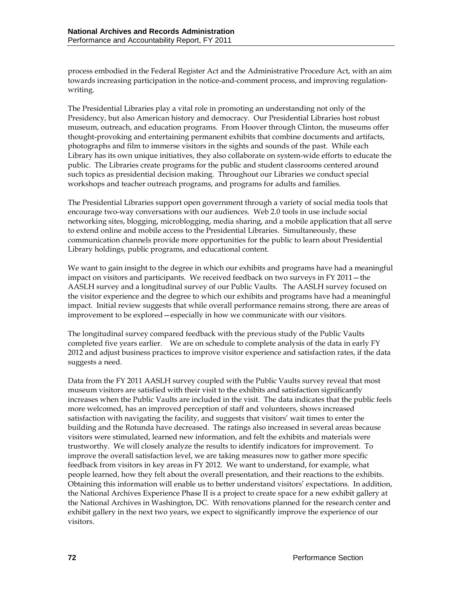process embodied in the Federal Register Act and the Administrative Procedure Act, with an aim towards increasing participation in the notice-and-comment process, and improving regulationwriting.

The Presidential Libraries play a vital role in promoting an understanding not only of the Presidency, but also American history and democracy. Our Presidential Libraries host robust museum, outreach, and education programs. From Hoover through Clinton, the museums offer thought-provoking and entertaining permanent exhibits that combine documents and artifacts, photographs and film to immerse visitors in the sights and sounds of the past. While each Library has its own unique initiatives, they also collaborate on system-wide efforts to educate the public. The Libraries create programs for the public and student classrooms centered around such topics as presidential decision making. Throughout our Libraries we conduct special workshops and teacher outreach programs, and programs for adults and families.

The Presidential Libraries support open government through a variety of social media tools that encourage two-way conversations with our audiences. Web 2.0 tools in use include social networking sites, blogging, microblogging, media sharing, and a mobile application that all serve to extend online and mobile access to the Presidential Libraries. Simultaneously, these communication channels provide more opportunities for the public to learn about Presidential Library holdings, public programs, and educational content.

We want to gain insight to the degree in which our exhibits and programs have had a meaningful impact on visitors and participants. We received feedback on two surveys in FY 2011—the AASLH survey and a longitudinal survey of our Public Vaults. The AASLH survey focused on the visitor experience and the degree to which our exhibits and programs have had a meaningful impact. Initial review suggests that while overall performance remains strong, there are areas of improvement to be explored—especially in how we communicate with our visitors.

The longitudinal survey compared feedback with the previous study of the Public Vaults completed five years earlier. We are on schedule to complete analysis of the data in early FY 2012 and adjust business practices to improve visitor experience and satisfaction rates, if the data suggests a need.

Data from the FY 2011 AASLH survey coupled with the Public Vaults survey reveal that most museum visitors are satisfied with their visit to the exhibits and satisfaction significantly increases when the Public Vaults are included in the visit. The data indicates that the public feels more welcomed, has an improved perception of staff and volunteers, shows increased satisfaction with navigating the facility, and suggests that visitors' wait times to enter the building and the Rotunda have decreased. The ratings also increased in several areas because visitors were stimulated, learned new information, and felt the exhibits and materials were trustworthy. We will closely analyze the results to identify indicators for improvement. To improve the overall satisfaction level, we are taking measures now to gather more specific feedback from visitors in key areas in FY 2012. We want to understand, for example, what people learned, how they felt about the overall presentation, and their reactions to the exhibits. Obtaining this information will enable us to better understand visitors' expectations. In addition, the National Archives Experience Phase II is a project to create space for a new exhibit gallery at the National Archives in Washington, DC. With renovations planned for the research center and exhibit gallery in the next two years, we expect to significantly improve the experience of our visitors.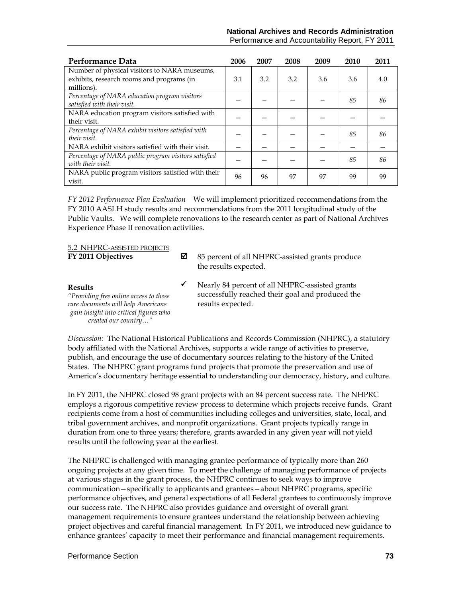| Performance Data                                                                                        | 2006 | 2007 | 2008 | 2009 | 2010 | 2011 |
|---------------------------------------------------------------------------------------------------------|------|------|------|------|------|------|
| Number of physical visitors to NARA museums,<br>exhibits, research rooms and programs (in<br>millions). | 3.1  | 3.2  | 3.2  | 3.6  | 3.6  | 4.0  |
| Percentage of NARA education program visitors<br>satisfied with their visit.                            |      |      |      |      | 85   | 86   |
| NARA education program visitors satisfied with<br>their visit.                                          |      |      |      |      |      |      |
| Percentage of NARA exhibit visitors satisfied with<br>their visit.                                      |      |      |      |      | 85   | 86   |
| NARA exhibit visitors satisfied with their visit.                                                       |      |      |      |      |      |      |
| Percentage of NARA public program visitors satisfied<br>with their visit.                               |      |      |      |      | 85   | 86   |
| NARA public program visitors satisfied with their<br>visit.                                             | 96   | 96   | 97   | 97   | 99   | 99   |

*FY 2012 Performance Plan Evaluation*We will implement prioritized recommendations from the FY 2010 AASLH study results and recommendations from the 2011 longitudinal study of the Public Vaults. We will complete renovations to the research center as part of National Archives Experience Phase II renovation activities.

#### 5.2 NHPRC-ASSISTED PROJECTS

| FY 2011 Objectives                                                                                                                                        | М | 85 percent of all NHPRC-assisted grants produce<br>the results expected.                                                |
|-----------------------------------------------------------------------------------------------------------------------------------------------------------|---|-------------------------------------------------------------------------------------------------------------------------|
| Results<br>"Providing free online access to these<br>rare documents will help Americans<br>gain insight into critical figures who<br>created our country" | ✔ | Nearly 84 percent of all NHPRC-assisted grants<br>successfully reached their goal and produced the<br>results expected. |

*Discussion:* The National Historical Publications and Records Commission (NHPRC), a statutory body affiliated with the National Archives, supports a wide range of activities to preserve, publish, and encourage the use of documentary sources relating to the history of the United States. The NHPRC grant programs fund projects that promote the preservation and use of America's documentary heritage essential to understanding our democracy, history, and culture.

In FY 2011, the NHPRC closed 98 grant projects with an 84 percent success rate. The NHPRC employs a rigorous competitive review process to determine which projects receive funds. Grant recipients come from a host of communities including colleges and universities, state, local, and tribal government archives, and nonprofit organizations. Grant projects typically range in duration from one to three years; therefore, grants awarded in any given year will not yield results until the following year at the earliest.

The NHPRC is challenged with managing grantee performance of typically more than 260 ongoing projects at any given time. To meet the challenge of managing performance of projects at various stages in the grant process, the NHPRC continues to seek ways to improve communication—specifically to applicants and grantees—about NHPRC programs, specific performance objectives, and general expectations of all Federal grantees to continuously improve our success rate. The NHPRC also provides guidance and oversight of overall grant management requirements to ensure grantees understand the relationship between achieving project objectives and careful financial management. In FY 2011, we introduced new guidance to enhance grantees' capacity to meet their performance and financial management requirements.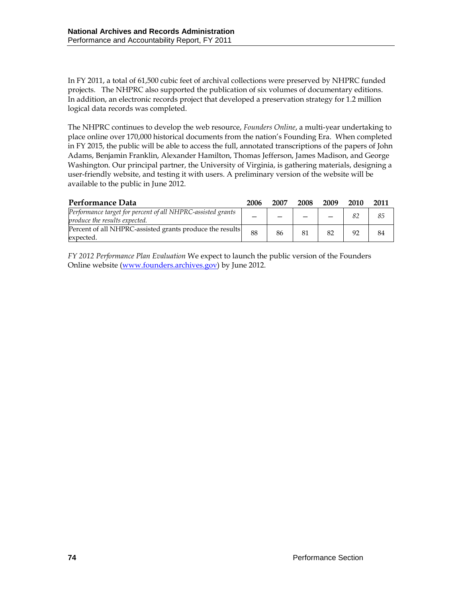In FY 2011, a total of 61,500 cubic feet of archival collections were preserved by NHPRC funded projects. The NHPRC also supported the publication of six volumes of documentary editions. In addition, an electronic records project that developed a preservation strategy for 1.2 million logical data records was completed.

The NHPRC continues to develop the web resource, *Founders Online*, a multi-year undertaking to place online over 170,000 historical documents from the nation's Founding Era. When completed in FY 2015, the public will be able to access the full, annotated transcriptions of the papers of John Adams, Benjamin Franklin, Alexander Hamilton, Thomas Jefferson, James Madison, and George Washington. Our principal partner, the University of Virginia, is gathering materials, designing a user-friendly website, and testing it with users. A preliminary version of the website will be available to the public in June 2012.

| Performance Data                                                                             | 2006 | 2007 | 2008 | 2009 | 2010 | 2011 |
|----------------------------------------------------------------------------------------------|------|------|------|------|------|------|
| Performance target for percent of all NHPRC-assisted grants<br>produce the results expected. |      |      |      |      |      | 85   |
| Percent of all NHPRC-assisted grants produce the results<br>expected.                        | 88   | 86   | 81   | 82   | 92   | 84   |

*FY 2012 Performance Plan Evaluation* We expect to launch the public version of the Founders Online website [\(www.founders.archives.gov\)](http://www.founders.archives.gov/) by June 2012.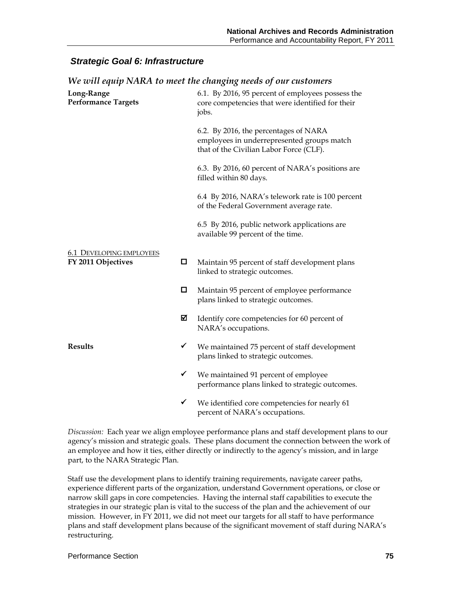### *Strategic Goal 6: Infrastructure*

| To well equip infinite to move the changing needs of our ensembles |   |                                                                                                                                |  |  |  |
|--------------------------------------------------------------------|---|--------------------------------------------------------------------------------------------------------------------------------|--|--|--|
| Long-Range<br><b>Performance Targets</b>                           |   | 6.1. By 2016, 95 percent of employees possess the<br>core competencies that were identified for their<br>jobs.                 |  |  |  |
|                                                                    |   | 6.2. By 2016, the percentages of NARA<br>employees in underrepresented groups match<br>that of the Civilian Labor Force (CLF). |  |  |  |
|                                                                    |   | 6.3. By 2016, 60 percent of NARA's positions are<br>filled within 80 days.                                                     |  |  |  |
|                                                                    |   | 6.4 By 2016, NARA's telework rate is 100 percent<br>of the Federal Government average rate.                                    |  |  |  |
|                                                                    |   | 6.5 By 2016, public network applications are<br>available 99 percent of the time.                                              |  |  |  |
| <b>6.1 DEVELOPING EMPLOYEES</b><br>FY 2011 Objectives              | 0 | Maintain 95 percent of staff development plans<br>linked to strategic outcomes.                                                |  |  |  |
|                                                                    | 0 | Maintain 95 percent of employee performance<br>plans linked to strategic outcomes.                                             |  |  |  |
|                                                                    | ⊠ | Identify core competencies for 60 percent of<br>NARA's occupations.                                                            |  |  |  |
| <b>Results</b>                                                     | ✔ | We maintained 75 percent of staff development<br>plans linked to strategic outcomes.                                           |  |  |  |
|                                                                    | ✔ | We maintained 91 percent of employee<br>performance plans linked to strategic outcomes.                                        |  |  |  |
|                                                                    | ✓ | We identified core competencies for nearly 61<br>percent of NARA's occupations.                                                |  |  |  |

*We will equip NARA to meet the changing needs of our customers*

*Discussion:* Each year we align employee performance plans and staff development plans to our agency's mission and strategic goals. These plans document the connection between the work of an employee and how it ties, either directly or indirectly to the agency's mission, and in large part, to the NARA Strategic Plan.

Staff use the development plans to identify training requirements, navigate career paths, experience different parts of the organization, understand Government operations, or close or narrow skill gaps in core competencies. Having the internal staff capabilities to execute the strategies in our strategic plan is vital to the success of the plan and the achievement of our mission. However, in FY 2011, we did not meet our targets for all staff to have performance plans and staff development plans because of the significant movement of staff during NARA's restructuring.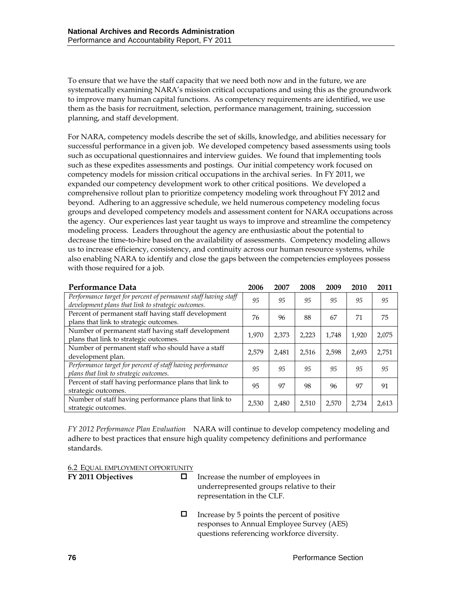To ensure that we have the staff capacity that we need both now and in the future, we are systematically examining NARA's mission critical occupations and using this as the groundwork to improve many human capital functions. As competency requirements are identified, we use them as the basis for recruitment, selection, performance management, training, succession planning, and staff development.

For NARA, competency models describe the set of skills, knowledge, and abilities necessary for successful performance in a given job. We developed competency based assessments using tools such as occupational questionnaires and interview guides. We found that implementing tools such as these expedites assessments and postings. Our initial competency work focused on competency models for mission critical occupations in the archival series. In FY 2011, we expanded our competency development work to other critical positions. We developed a comprehensive rollout plan to prioritize competency modeling work throughout FY 2012 and beyond. Adhering to an aggressive schedule, we held numerous competency modeling focus groups and developed competency models and assessment content for NARA occupations across the agency. Our experiences last year taught us ways to improve and streamline the competency modeling process. Leaders throughout the agency are enthusiastic about the potential to decrease the time-to-hire based on the availability of assessments. Competency modeling allows us to increase efficiency, consistency, and continuity across our human resource systems, while also enabling NARA to identify and close the gaps between the competencies employees possess with those required for a job.

| Performance Data                                                                                                     | 2006  | 2007  | 2008  | 2009  | 2010  | 2011  |
|----------------------------------------------------------------------------------------------------------------------|-------|-------|-------|-------|-------|-------|
| Performance target for percent of permanent staff having staff<br>development plans that link to strategic outcomes. | 95    | 95    | 95    | 95    | 95    | 95    |
| Percent of permanent staff having staff development<br>plans that link to strategic outcomes.                        | 76    | 96    | 88    | 67    | 71    | 75    |
| Number of permanent staff having staff development<br>plans that link to strategic outcomes.                         | 1.970 | 2.373 | 2.223 | 1.748 | 1.920 | 2,075 |
| Number of permanent staff who should have a staff<br>development plan.                                               | 2.579 | 2.481 | 2.516 | 2.598 | 2,693 | 2,751 |
| Performance target for percent of staff having performance<br>plans that link to strategic outcomes.                 | 95    | 95    | 95    | 95    | 95    | 95    |
| Percent of staff having performance plans that link to<br>strategic outcomes.                                        | 95    | 97    | 98    | 96    | 97    | 91    |
| Number of staff having performance plans that link to<br>strategic outcomes.                                         | 2,530 | 2,480 | 2,510 | 2,570 | 2,734 | 2,613 |

*FY 2012 Performance Plan Evaluation*NARA will continue to develop competency modeling and adhere to best practices that ensure high quality competency definitions and performance standards.

6.2 EQUAL EMPLOYMENT OPPORTUNITY

**FY 2011 Objectives**  $\Box$  Increase the number of employees in underrepresented groups relative to their representation in the CLF.

> $\Box$  Increase by 5 points the percent of positive responses to Annual Employee Survey (AES) questions referencing workforce diversity.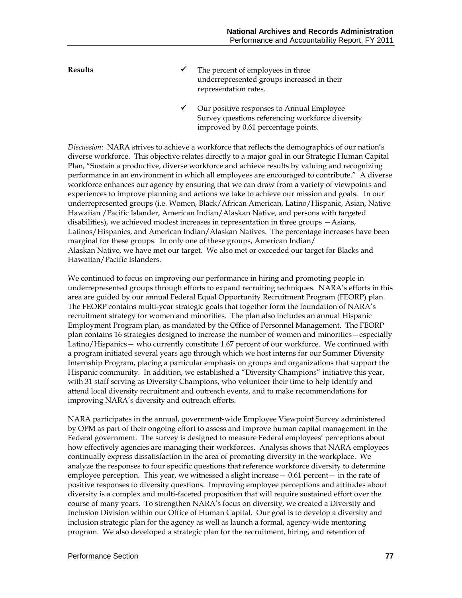- **Results**  $\checkmark$  The percent of employees in three underrepresented groups increased in their representation rates.
	- Our positive responses to Annual Employee Survey questions referencing workforce diversity improved by 0.61 percentage points.

*Discussion:* NARA strives to achieve a workforce that reflects the demographics of our nation's diverse workforce. This objective relates directly to a major goal in our Strategic Human Capital Plan, "Sustain a productive, diverse workforce and achieve results by valuing and recognizing performance in an environment in which all employees are encouraged to contribute." A diverse workforce enhances our agency by ensuring that we can draw from a variety of viewpoints and experiences to improve planning and actions we take to achieve our mission and goals. In our underrepresented groups (i.e. Women, Black/African American, Latino/Hispanic, Asian, Native Hawaiian /Pacific Islander, American Indian/Alaskan Native, and persons with targeted disabilities), we achieved modest increases in representation in three groups —Asians, Latinos/Hispanics, and American Indian/Alaskan Natives. The percentage increases have been marginal for these groups. In only one of these groups, American Indian/ Alaskan Native, we have met our target. We also met or exceeded our target for Blacks and Hawaiian/Pacific Islanders.

We continued to focus on improving our performance in hiring and promoting people in underrepresented groups through efforts to expand recruiting techniques. NARA's efforts in this area are guided by our annual Federal Equal Opportunity Recruitment Program (FEORP) plan. The FEORP contains multi-year strategic goals that together form the foundation of NARA's recruitment strategy for women and minorities. The plan also includes an annual Hispanic Employment Program plan, as mandated by the Office of Personnel Management. The FEORP plan contains 16 strategies designed to increase the number of women and minorities—especially Latino/Hispanics— who currently constitute 1.67 percent of our workforce. We continued with a program initiated several years ago through which we host interns for our Summer Diversity Internship Program, placing a particular emphasis on groups and organizations that support the Hispanic community. In addition, we established a "Diversity Champions" initiative this year, with 31 staff serving as Diversity Champions, who volunteer their time to help identify and attend local diversity recruitment and outreach events, and to make recommendations for improving NARA's diversity and outreach efforts.

NARA participates in the annual, government-wide Employee Viewpoint Survey administered by OPM as part of their ongoing effort to assess and improve human capital management in the Federal government. The survey is designed to measure Federal employees' perceptions about how effectively agencies are managing their workforces. Analysis shows that NARA employees continually express dissatisfaction in the area of promoting diversity in the workplace. We analyze the responses to four specific questions that reference workforce diversity to determine employee perception. This year, we witnessed a slight increase— 0.61 percent— in the rate of positive responses to diversity questions. Improving employee perceptions and attitudes about diversity is a complex and multi-faceted proposition that will require sustained effort over the course of many years. To strengthen NARA's focus on diversity, we created a Diversity and Inclusion Division within our Office of Human Capital. Our goal is to develop a diversity and inclusion strategic plan for the agency as well as launch a formal, agency-wide mentoring program. We also developed a strategic plan for the recruitment, hiring, and retention of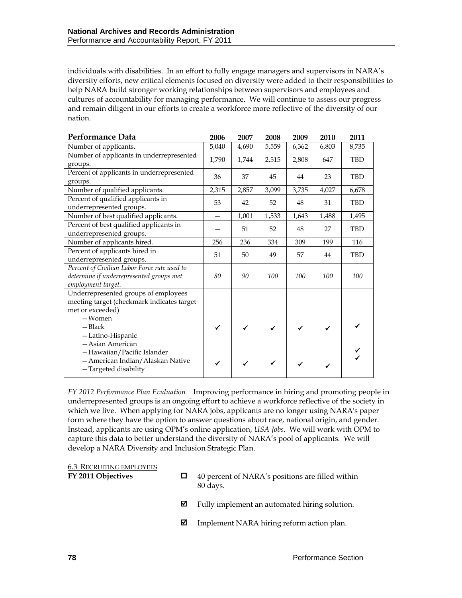individuals with disabilities. In an effort to fully engage managers and supervisors in NARA's diversity efforts, new critical elements focused on diversity were added to their responsibilities to help NARA build stronger working relationships between supervisors and employees and cultures of accountability for managing performance. We will continue to assess our progress and remain diligent in our efforts to create a workforce more reflective of the diversity of our nation.

| Performance Data                                                                   | 2006                     | 2007  | 2008         | 2009  | 2010  | 2011       |
|------------------------------------------------------------------------------------|--------------------------|-------|--------------|-------|-------|------------|
| Number of applicants.                                                              | 5,040                    | 4,690 | 5,559        | 6,362 | 6,803 | 8,735      |
| Number of applicants in underrepresented                                           | 1,790                    | 1,744 | 2,515        | 2,808 | 647   | <b>TBD</b> |
| groups.                                                                            |                          |       |              |       |       |            |
| Percent of applicants in underrepresented<br>groups.                               | 36                       | 37    | 45           | 44    | 23    | <b>TBD</b> |
| Number of qualified applicants.                                                    | 2,315                    | 2,857 | 3,099        | 3,735 | 4,027 | 6,678      |
| Percent of qualified applicants in<br>underrepresented groups.                     | 53                       | 42    | 52           | 48    | 31    | <b>TBD</b> |
| Number of best qualified applicants.                                               | $\overline{\phantom{0}}$ | 1,001 | 1,533        | 1,643 | 1,488 | 1,495      |
| Percent of best qualified applicants in<br>underrepresented groups.                |                          | 51    | 52           | 48    | 27    | <b>TBD</b> |
| Number of applicants hired.                                                        | 256                      | 236   | 334          | 309   | 199   | 116        |
| Percent of applicants hired in                                                     | 51                       | 50    | 49           | 57    | 44    | TBD        |
| underrepresented groups.                                                           |                          |       |              |       |       |            |
| Percent of Civilian Labor Force rate used to                                       |                          |       |              |       |       |            |
| determine if underrepresented groups met<br>employment target.                     | 80                       | 90    | 100          | 100   | 100   | 100        |
|                                                                                    |                          |       |              |       |       |            |
| Underrepresented groups of employees<br>meeting target (checkmark indicates target |                          |       |              |       |       |            |
| met or exceeded)                                                                   |                          |       |              |       |       |            |
| -Women                                                                             |                          |       |              |       |       |            |
| $-$ Black                                                                          |                          |       | $\checkmark$ | ✔     |       |            |
| -Latino-Hispanic                                                                   |                          |       |              |       |       |            |
| - Asian American                                                                   |                          |       |              |       |       |            |
| -Hawaiian/Pacific Islander                                                         |                          |       |              |       |       |            |
| - American Indian/Alaskan Native                                                   |                          |       | ✔            |       |       |            |
| -Targeted disability                                                               |                          |       |              |       |       |            |

*FY 2012 Performance Plan Evaluation*Improving performance in hiring and promoting people in underrepresented groups is an ongoing effort to achieve a workforce reflective of the society in which we live. When applying for NARA jobs, applicants are no longer using NARA's paper form where they have the option to answer questions about race, national origin, and gender. Instead, applicants are using OPM's online application, *USA Jobs.* We will work with OPM to capture this data to better understand the diversity of NARA's pool of applicants. We will develop a NARA Diversity and Inclusion Strategic Plan.

6.3 RECRUITING EMPLOYEES

- **FY 2011 Objectives**  $\Box$  40 percent of NARA's positions are filled within 80 days.
	- $\boxtimes$  Fully implement an automated hiring solution.
	- Implement NARA hiring reform action plan.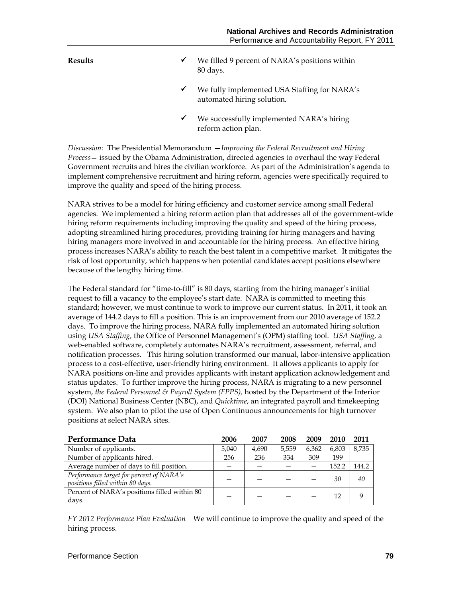- **Results We filled 9 percent of NARA's positions within** 80 days.
	- We fully implemented USA Staffing for NARA's automated hiring solution.
	- We successfully implemented NARA's hiring reform action plan.

*Discussion:* The Presidential Memorandum —*Improving the Federal Recruitment and Hiring Process*— issued by the Obama Administration, directed agencies to overhaul the way Federal Government recruits and hires the civilian workforce. As part of the Administration's agenda to implement comprehensive recruitment and hiring reform, agencies were specifically required to improve the quality and speed of the hiring process.

NARA strives to be a model for hiring efficiency and customer service among small Federal agencies. We implemented a hiring reform action plan that addresses all of the government-wide hiring reform requirements including improving the quality and speed of the hiring process, adopting streamlined hiring procedures, providing training for hiring managers and having hiring managers more involved in and accountable for the hiring process. An effective hiring process increases NARA's ability to reach the best talent in a competitive market. It mitigates the risk of lost opportunity, which happens when potential candidates accept positions elsewhere because of the lengthy hiring time.

The Federal standard for "time-to-fill" is 80 days, starting from the hiring manager's initial request to fill a vacancy to the employee's start date. NARA is committed to meeting this standard; however, we must continue to work to improve our current status. In 2011, it took an average of 144.2 days to fill a position. This is an improvement from our 2010 average of 152.2 days. To improve the hiring process, NARA fully implemented an automated hiring solution using *USA Staffing,* the Office of Personnel Management's (OPM) staffing tool. *USA Staffing,* a web-enabled software, completely automates NARA's recruitment, assessment, referral, and notification processes. This hiring solution transformed our manual, labor-intensive application process to a cost-effective, user-friendly hiring environment. It allows applicants to apply for NARA positions on-line and provides applicants with instant application acknowledgement and status updates. To further improve the hiring process, NARA is migrating to a new personnel system, *the Federal Personnel & Payroll System (FPPS),* hosted by the Department of the Interior (DOI) National Business Center (NBC), and *Quicktime*, an integrated payroll and timekeeping system. We also plan to pilot the use of Open Continuous announcements for high turnover positions at select NARA sites.

| Performance Data                                                             | 2006  | 2007  | 2008  | 2009  | 2010  | 2011  |
|------------------------------------------------------------------------------|-------|-------|-------|-------|-------|-------|
| Number of applicants.                                                        | 5.040 | 4,690 | 5,559 | 6,362 | 6,803 | 8,735 |
| Number of applicants hired.                                                  | 256   | 236   | 334   | 309   | 199   |       |
| Average number of days to fill position.                                     |       |       |       |       | 152.2 | 144.2 |
| Performance target for percent of NARA's<br>positions filled within 80 days. |       |       |       |       | 30    | 40    |
| Percent of NARA's positions filled within 80<br>days.                        |       |       |       |       | 12    |       |

*FY 2012 Performance Plan Evaluation*We will continue to improve the quality and speed of the hiring process.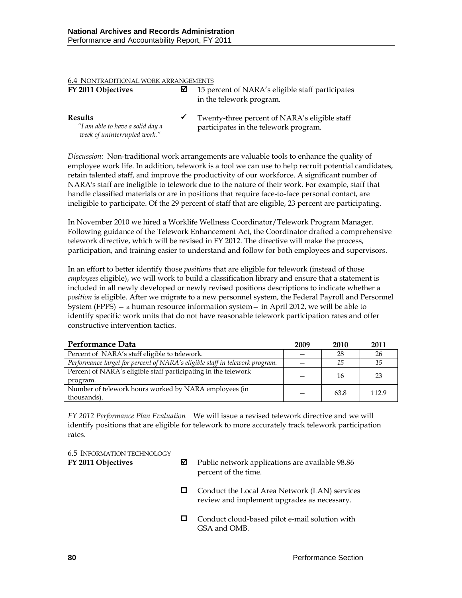| <b>6.4 NONTRADITIONAL WORK ARRANGEMENTS</b>                                        |              |                                                                                        |  |  |  |
|------------------------------------------------------------------------------------|--------------|----------------------------------------------------------------------------------------|--|--|--|
| FY 2011 Objectives                                                                 | ☑            | 15 percent of NARA's eligible staff participates<br>in the telework program.           |  |  |  |
| <b>Results</b><br>"I am able to have a solid day a<br>week of uninterrupted work." | $\checkmark$ | Twenty-three percent of NARA's eligible staff<br>participates in the telework program. |  |  |  |

*Discussion:* Non-traditional work arrangements are valuable tools to enhance the quality of employee work life. In addition, telework is a tool we can use to help recruit potential candidates, retain talented staff, and improve the productivity of our workforce. A significant number of NARA's staff are ineligible to telework due to the nature of their work. For example, staff that handle classified materials or are in positions that require face-to-face personal contact, are ineligible to participate. Of the 29 percent of staff that are eligible, 23 percent are participating.

In November 2010 we hired a Worklife Wellness Coordinator/Telework Program Manager. Following guidance of the Telework Enhancement Act, the Coordinator drafted a comprehensive telework directive, which will be revised in FY 2012. The directive will make the process, participation, and training easier to understand and follow for both employees and supervisors.

In an effort to better identify those *positions* that are eligible for telework (instead of those *employees* eligible), we will work to build a classification library and ensure that a statement is included in all newly developed or newly revised positions descriptions to indicate whether a *position* is eligible. After we migrate to a new personnel system, the Federal Payroll and Personnel System (FPPS) — a human resource information system— in April 2012, we will be able to identify specific work units that do not have reasonable telework participation rates and offer constructive intervention tactics.

| Performance Data                                                             | 2009 | 2010 | 2011  |
|------------------------------------------------------------------------------|------|------|-------|
| Percent of NARA's staff eligible to telework.                                |      | 28   | 26    |
| Performance target for percent of NARA's eligible staff in telework program. |      | 15   | 15    |
| Percent of NARA's eligible staff participating in the telework               |      | 16   | 23    |
| program.                                                                     |      |      |       |
| Number of telework hours worked by NARA employees (in                        |      | 63.8 | 112.9 |
| thousands).                                                                  |      |      |       |

*FY 2012 Performance Plan Evaluation*We will issue a revised telework directive and we will identify positions that are eligible for telework to more accurately track telework participation rates.

| <b>6.5 INFORMATION TECHNOLOGY</b> |  |
|-----------------------------------|--|
| FY 2011 Objectives                |  |

- **F** Public network applications are available 98.86 percent of the time.
- □ Conduct the Local Area Network (LAN) services review and implement upgrades as necessary.
- Conduct cloud-based pilot e-mail solution with GSA and OMB.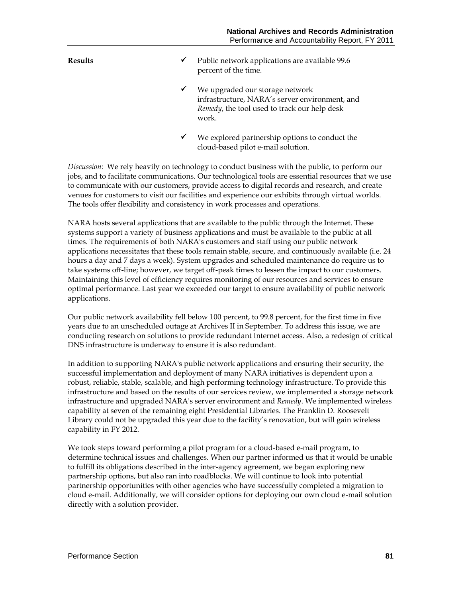- **Results**  $\checkmark$  Public network applications are available 99.6 percent of the time.
	- $\checkmark$  We upgraded our storage network infrastructure, NARA's server environment, and *Remedy*, the tool used to track our help desk work.
	- We explored partnership options to conduct the cloud-based pilot e-mail solution.

*Discussion:* We rely heavily on technology to conduct business with the public, to perform our jobs, and to facilitate communications. Our technological tools are essential resources that we use to communicate with our customers, provide access to digital records and research, and create venues for customers to visit our facilities and experience our exhibits through virtual worlds. The tools offer flexibility and consistency in work processes and operations.

NARA hosts several applications that are available to the public through the Internet. These systems support a variety of business applications and must be available to the public at all times. The requirements of both NARA's customers and staff using our public network applications necessitates that these tools remain stable, secure, and continuously available (i.e. 24 hours a day and 7 days a week). System upgrades and scheduled maintenance do require us to take systems off-line; however, we target off-peak times to lessen the impact to our customers. Maintaining this level of efficiency requires monitoring of our resources and services to ensure optimal performance. Last year we exceeded our target to ensure availability of public network applications.

Our public network availability fell below 100 percent, to 99.8 percent, for the first time in five years due to an unscheduled outage at Archives II in September. To address this issue, we are conducting research on solutions to provide redundant Internet access. Also, a redesign of critical DNS infrastructure is underway to ensure it is also redundant.

In addition to supporting NARA's public network applications and ensuring their security, the successful implementation and deployment of many NARA initiatives is dependent upon a robust, reliable, stable, scalable, and high performing technology infrastructure. To provide this infrastructure and based on the results of our services review, we implemented a storage network infrastructure and upgraded NARA's server environment and *Remedy*. We implemented wireless capability at seven of the remaining eight Presidential Libraries. The Franklin D. Roosevelt Library could not be upgraded this year due to the facility's renovation, but will gain wireless capability in FY 2012.

We took steps toward performing a pilot program for a cloud-based e-mail program, to determine technical issues and challenges. When our partner informed us that it would be unable to fulfill its obligations described in the inter-agency agreement, we began exploring new partnership options, but also ran into roadblocks. We will continue to look into potential partnership opportunities with other agencies who have successfully completed a migration to cloud e-mail. Additionally, we will consider options for deploying our own cloud e-mail solution directly with a solution provider.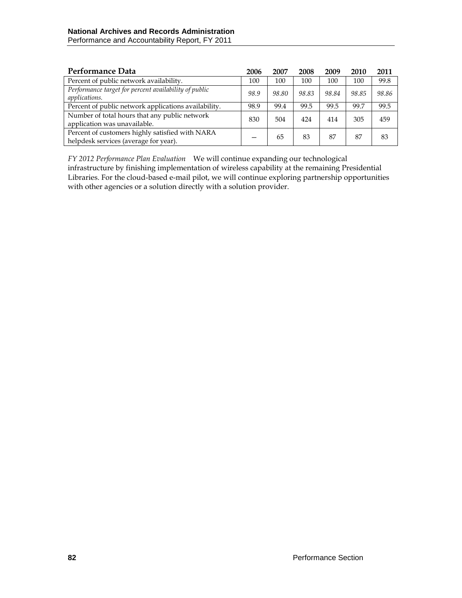| Performance Data                                                                         | 2006 | 2007  | 2008  | 2009  | 2010  | 2011  |
|------------------------------------------------------------------------------------------|------|-------|-------|-------|-------|-------|
| Percent of public network availability.                                                  | 100  | 100   | 100   | 100   | 100   | 99.8  |
| Performance target for percent availability of public<br><i>applications.</i>            | 98.9 | 98.80 | 98.83 | 98.84 | 98.85 | 98.86 |
| Percent of public network applications availability.                                     | 98.9 | 99.4  | 99.5  | 99.5  | 99.7  | 99.5  |
| Number of total hours that any public network<br>application was unavailable.            | 830  | 504   | 424   | 414   | 305   | 459   |
| Percent of customers highly satisfied with NARA<br>helpdesk services (average for year). | -    | 65    | 83    | 87    | 87    | 83    |

*FY 2012 Performance Plan Evaluation*We will continue expanding our technological infrastructure by finishing implementation of wireless capability at the remaining Presidential Libraries. For the cloud-based e-mail pilot, we will continue exploring partnership opportunities with other agencies or a solution directly with a solution provider.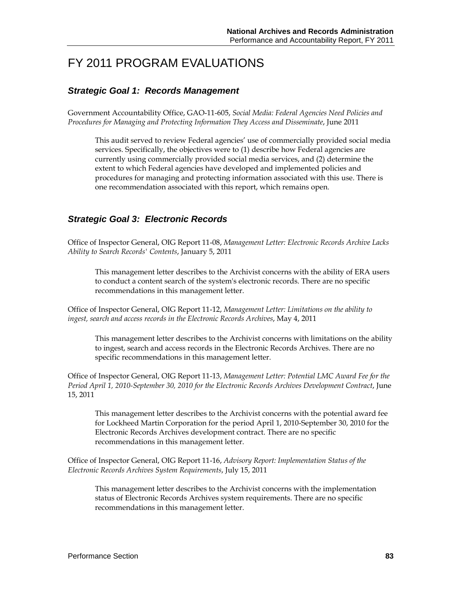# FY 2011 PROGRAM EVALUATIONS

## *Strategic Goal 1: Records Management*

Government Accountability Office, GAO-11-605, *Social Media: Federal Agencies Need Policies and Procedures for Managing and Protecting Information They Access and Disseminate*, June 2011

This audit served to review Federal agencies' use of commercially provided social media services. Specifically, the objectives were to (1) describe how Federal agencies are currently using commercially provided social media services, and (2) determine the extent to which Federal agencies have developed and implemented policies and procedures for managing and protecting information associated with this use. There is one recommendation associated with this report, which remains open.

## *Strategic Goal 3: Electronic Records*

Office of Inspector General, OIG Report 11-08, *Management Letter: Electronic Records Archive Lacks Ability to Search Records' Contents*, January 5, 2011

This management letter describes to the Archivist concerns with the ability of ERA users to conduct a content search of the system's electronic records. There are no specific recommendations in this management letter.

Office of Inspector General, OIG Report 11-12, *Management Letter: Limitations on the ability to ingest, search and access records in the Electronic Records Archives*, May 4, 2011

This management letter describes to the Archivist concerns with limitations on the ability to ingest, search and access records in the Electronic Records Archives. There are no specific recommendations in this management letter.

Office of Inspector General, OIG Report 11-13, *Management Letter: Potential LMC Award Fee for the Period April 1, 2010-September 30, 2010 for the Electronic Records Archives Development Contract*, June 15, 2011

This management letter describes to the Archivist concerns with the potential award fee for Lockheed Martin Corporation for the period April 1, 2010-September 30, 2010 for the Electronic Records Archives development contract. There are no specific recommendations in this management letter.

Office of Inspector General, OIG Report 11-16, *Advisory Report: Implementation Status of the Electronic Records Archives System Requirements*, July 15, 2011

This management letter describes to the Archivist concerns with the implementation status of Electronic Records Archives system requirements. There are no specific recommendations in this management letter.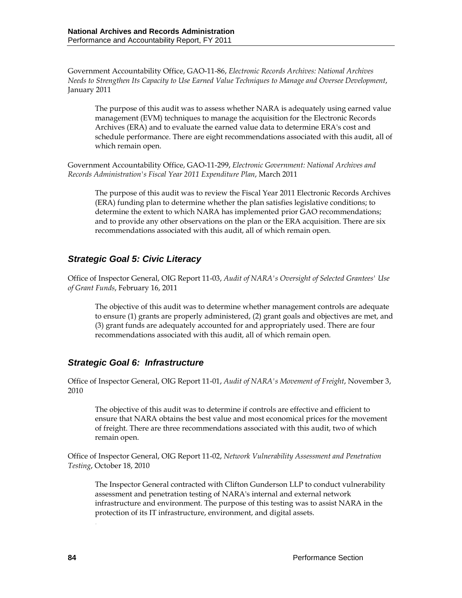Government Accountability Office, GAO-11-86, *Electronic Records Archives: National Archives Needs to Strengthen Its Capacity to Use Earned Value Techniques to Manage and Oversee Development*, January 2011

The purpose of this audit was to assess whether NARA is adequately using earned value management (EVM) techniques to manage the acquisition for the Electronic Records Archives (ERA) and to evaluate the earned value data to determine ERA's cost and schedule performance. There are eight recommendations associated with this audit, all of which remain open.

Government Accountability Office, GAO-11-299, *Electronic Government: National Archives and Records Administration's Fiscal Year 2011 Expenditure Plan*, March 2011

The purpose of this audit was to review the Fiscal Year 2011 Electronic Records Archives (ERA) funding plan to determine whether the plan satisfies legislative conditions; to determine the extent to which NARA has implemented prior GAO recommendations; and to provide any other observations on the plan or the ERA acquisition. There are six recommendations associated with this audit, all of which remain open.

# *Strategic Goal 5: Civic Literacy*

Office of Inspector General, OIG Report 11-03, *Audit of NARA's Oversight of Selected Grantees' Use of Grant Funds*, February 16, 2011

The objective of this audit was to determine whether management controls are adequate to ensure (1) grants are properly administered, (2) grant goals and objectives are met, and (3) grant funds are adequately accounted for and appropriately used. There are four recommendations associated with this audit, all of which remain open.

## *Strategic Goal 6: Infrastructure*

Office of Inspector General, OIG Report 11-01, *Audit of NARA's Movement of Freight*, November 3, 2010

The objective of this audit was to determine if controls are effective and efficient to ensure that NARA obtains the best value and most economical prices for the movement of freight. There are three recommendations associated with this audit, two of which remain open.

Office of Inspector General, OIG Report 11-02, *Network Vulnerability Assessment and Penetration Testing*, October 18, 2010

The Inspector General contracted with Clifton Gunderson LLP to conduct vulnerability assessment and penetration testing of NARA's internal and external network infrastructure and environment. The purpose of this testing was to assist NARA in the protection of its IT infrastructure, environment, and digital assets.

.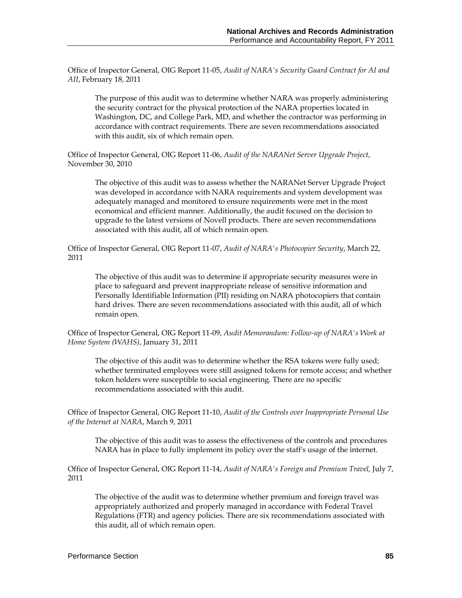Office of Inspector General, OIG Report 11-05, *Audit of NARA's Security Guard Contract for AI and AII*, February 18, 2011

The purpose of this audit was to determine whether NARA was properly administering the security contract for the physical protection of the NARA properties located in Washington, DC, and College Park, MD, and whether the contractor was performing in accordance with contract requirements. There are seven recommendations associated with this audit, six of which remain open.

Office of Inspector General, OIG Report 11-06, *Audit of the NARANet Server Upgrade Project*, November 30, 2010

The objective of this audit was to assess whether the NARANet Server Upgrade Project was developed in accordance with NARA requirements and system development was adequately managed and monitored to ensure requirements were met in the most economical and efficient manner. Additionally, the audit focused on the decision to upgrade to the latest versions of Novell products. There are seven recommendations associated with this audit, all of which remain open.

Office of Inspector General, OIG Report 11-07, *Audit of NARA's Photocopier Security*, March 22, 2011

The objective of this audit was to determine if appropriate security measures were in place to safeguard and prevent inappropriate release of sensitive information and Personally Identifiable Information (PII) residing on NARA photocopiers that contain hard drives. There are seven recommendations associated with this audit, all of which remain open.

Office of Inspector General, OIG Report 11-09, *Audit Memorandum: Follow-up of NARA's Work at Home System (WAHS)*, January 31, 2011

The objective of this audit was to determine whether the RSA tokens were fully used; whether terminated employees were still assigned tokens for remote access; and whether token holders were susceptible to social engineering. There are no specific recommendations associated with this audit.

Office of Inspector General, OIG Report 11-10, *Audit of the Controls over Inappropriate Personal Use of the Internet at NARA*, March 9, 2011

The objective of this audit was to assess the effectiveness of the controls and procedures NARA has in place to fully implement its policy over the staff's usage of the internet.

Office of Inspector General, OIG Report 11-14, *Audit of NARA's Foreign and Premium Travel,* July 7, 2011

The objective of the audit was to determine whether premium and foreign travel was appropriately authorized and properly managed in accordance with Federal Travel Regulations (FTR) and agency policies. There are six recommendations associated with this audit, all of which remain open.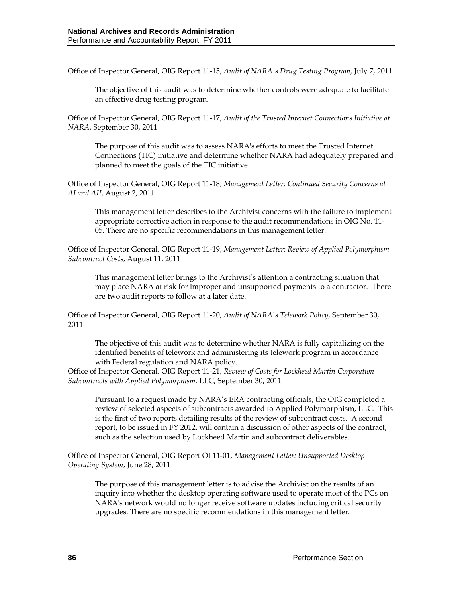Office of Inspector General, OIG Report 11-15, *Audit of NARA's Drug Testing Program*, July 7, 2011

The objective of this audit was to determine whether controls were adequate to facilitate an effective drug testing program.

Office of Inspector General, OIG Report 11-17, *Audit of the Trusted Internet Connections Initiative at NARA*, September 30, 2011

The purpose of this audit was to assess NARA's efforts to meet the Trusted Internet Connections (TIC) initiative and determine whether NARA had adequately prepared and planned to meet the goals of the TIC initiative.

Office of Inspector General, OIG Report 11-18, *Management Letter: Continued Security Concerns at AI and AII*, August 2, 2011

This management letter describes to the Archivist concerns with the failure to implement appropriate corrective action in response to the audit recommendations in OIG No. 11- 05. There are no specific recommendations in this management letter.

Office of Inspector General, OIG Report 11-19, *Management Letter: Review of Applied Polymorphism Subcontract Costs*, August 11, 2011

This management letter brings to the Archivist's attention a contracting situation that may place NARA at risk for improper and unsupported payments to a contractor. There are two audit reports to follow at a later date.

Office of Inspector General, OIG Report 11-20, *Audit of NARA's Telework Policy*, September 30, 2011

The objective of this audit was to determine whether NARA is fully capitalizing on the identified benefits of telework and administering its telework program in accordance with Federal regulation and NARA policy.

Office of Inspector General, OIG Report 11-21, *Review of Costs for Lockheed Martin Corporation Subcontracts with Applied Polymorphism,* LLC, September 30, 2011

Pursuant to a request made by NARA's ERA contracting officials, the OIG completed a review of selected aspects of subcontracts awarded to Applied Polymorphism, LLC. This is the first of two reports detailing results of the review of subcontract costs. A second report, to be issued in FY 2012, will contain a discussion of other aspects of the contract, such as the selection used by Lockheed Martin and subcontract deliverables.

Office of Inspector General, OIG Report OI 11-01, *Management Letter: Unsupported Desktop Operating System*, June 28, 2011

The purpose of this management letter is to advise the Archivist on the results of an inquiry into whether the desktop operating software used to operate most of the PCs on NARA's network would no longer receive software updates including critical security upgrades. There are no specific recommendations in this management letter.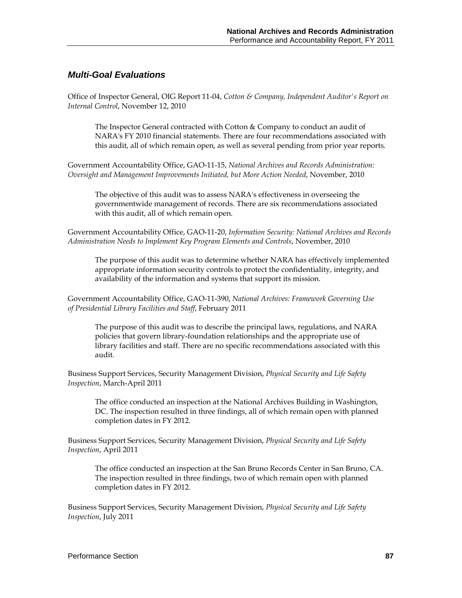### *Multi-Goal Evaluations*

Office of Inspector General, OIG Report 11-04, *Cotton & Company, Independent Auditor's Report on Internal Control*, November 12, 2010

The Inspector General contracted with Cotton & Company to conduct an audit of NARA's FY 2010 financial statements. There are four recommendations associated with this audit, all of which remain open, as well as several pending from prior year reports.

Government Accountability Office, GAO-11-15, *National Archives and Records Administration: Oversight and Management Improvements Initiated, but More Action Needed*, November, 2010

The objective of this audit was to assess NARA's effectiveness in overseeing the governmentwide management of records. There are six recommendations associated with this audit, all of which remain open.

Government Accountability Office, GAO-11-20, *Information Security: National Archives and Records Administration Needs to Implement Key Program Elements and Controls*, November, 2010

The purpose of this audit was to determine whether NARA has effectively implemented appropriate information security controls to protect the confidentiality, integrity, and availability of the information and systems that support its mission.

Government Accountability Office, GAO-11-390, *National Archives: Framework Governing Use of Presidential Library Facilities and Staff*, February 2011

The purpose of this audit was to describe the principal laws, regulations, and NARA policies that govern library-foundation relationships and the appropriate use of library facilities and staff. There are no specific recommendations associated with this audit.

Business Support Services, Security Management Division, *Physical Security and Life Safety Inspection*, March-April 2011

The office conducted an inspection at the National Archives Building in Washington, DC. The inspection resulted in three findings, all of which remain open with planned completion dates in FY 2012.

Business Support Services, Security Management Division, *Physical Security and Life Safety Inspection*, April 2011

The office conducted an inspection at the San Bruno Records Center in San Bruno, CA. The inspection resulted in three findings, two of which remain open with planned completion dates in FY 2012.

Business Support Services, Security Management Division, *Physical Security and Life Safety Inspection*, July 2011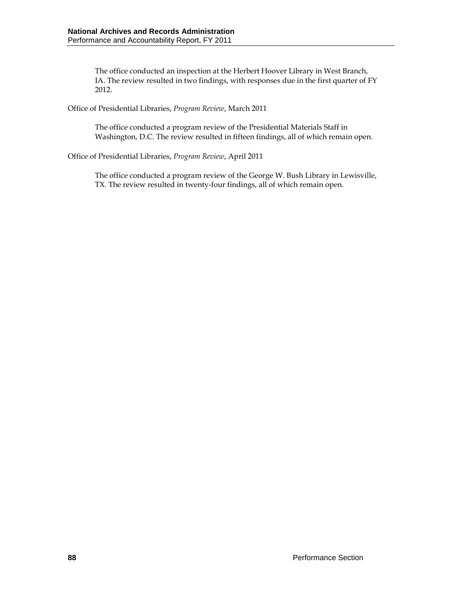The office conducted an inspection at the Herbert Hoover Library in West Branch, IA. The review resulted in two findings, with responses due in the first quarter of FY 2012.

Office of Presidential Libraries, *Program Review*, March 2011

The office conducted a program review of the Presidential Materials Staff in Washington, D.C. The review resulted in fifteen findings, all of which remain open.

Office of Presidential Libraries, *Program Review*, April 2011

The office conducted a program review of the George W. Bush Library in Lewisville, TX. The review resulted in twenty-four findings, all of which remain open.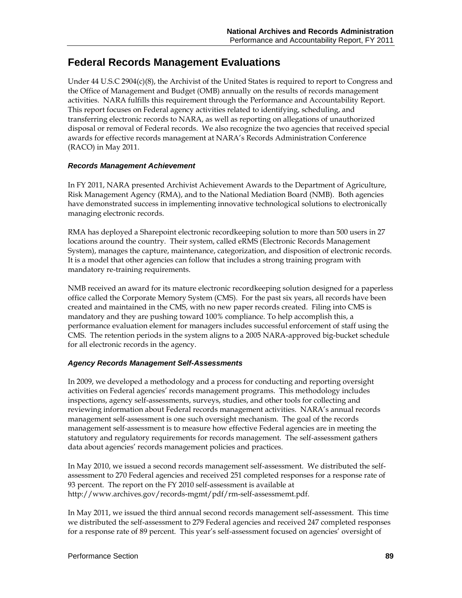# **Federal Records Management Evaluations**

Under  $44$  U.S.C 290 $4(c)(8)$ , the Archivist of the United States is required to report to Congress and the Office of Management and Budget (OMB) annually on the results of records management activities. NARA fulfills this requirement through the Performance and Accountability Report. This report focuses on Federal agency activities related to identifying, scheduling, and transferring electronic records to NARA, as well as reporting on allegations of unauthorized disposal or removal of Federal records. We also recognize the two agencies that received special awards for effective records management at NARA's Records Administration Conference (RACO) in May 2011.

#### *Records Management Achievement*

In FY 2011, NARA presented Archivist Achievement Awards to the Department of Agriculture, Risk Management Agency (RMA), and to the National Mediation Board (NMB). Both agencies have demonstrated success in implementing innovative technological solutions to electronically managing electronic records.

RMA has deployed a Sharepoint electronic recordkeeping solution to more than 500 users in 27 locations around the country. Their system, called eRMS (Electronic Records Management System), manages the capture, maintenance, categorization, and disposition of electronic records. It is a model that other agencies can follow that includes a strong training program with mandatory re-training requirements.

NMB received an award for its mature electronic recordkeeping solution designed for a paperless office called the Corporate Memory System (CMS). For the past six years, all records have been created and maintained in the CMS, with no new paper records created. Filing into CMS is mandatory and they are pushing toward 100% compliance. To help accomplish this, a performance evaluation element for managers includes successful enforcement of staff using the CMS. The retention periods in the system aligns to a 2005 NARA-approved big-bucket schedule for all electronic records in the agency.

#### *Agency Records Management Self-Assessments*

In 2009, we developed a methodology and a process for conducting and reporting oversight activities on Federal agencies' records management programs. This methodology includes inspections, agency self-assessments, surveys, studies, and other tools for collecting and reviewing information about Federal records management activities. NARA's annual records management self-assessment is one such oversight mechanism. The goal of the records management self-assessment is to measure how effective Federal agencies are in meeting the statutory and regulatory requirements for records management. The self-assessment gathers data about agencies' records management policies and practices.

In May 2010, we issued a second records management self-assessment. We distributed the selfassessment to 270 Federal agencies and received 251 completed responses for a response rate of 93 percent. The report on the FY 2010 self-assessment is available at http://www.archives.gov/records-mgmt/pdf/rm-self-assessmemt.pdf.

In May 2011, we issued the third annual second records management self-assessment. This time we distributed the self-assessment to 279 Federal agencies and received 247 completed responses for a response rate of 89 percent. This year's self-assessment focused on agencies' oversight of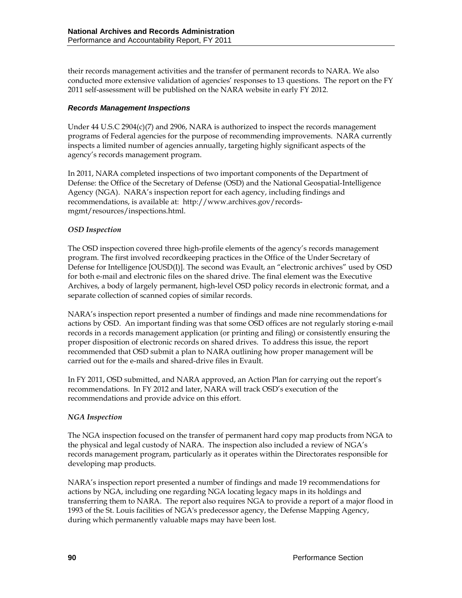their records management activities and the transfer of permanent records to NARA. We also conducted more extensive validation of agencies' responses to 13 questions. The report on the FY 2011 self-assessment will be published on the NARA website in early FY 2012.

### *Records Management Inspections*

Under  $44$  U.S.C 290 $4$ (c)(7) and 2906, NARA is authorized to inspect the records management programs of Federal agencies for the purpose of recommending improvements. NARA currently inspects a limited number of agencies annually, targeting highly significant aspects of the agency's records management program.

In 2011, NARA completed inspections of two important components of the Department of Defense: the Office of the Secretary of Defense (OSD) and the National Geospatial-Intelligence Agency (NGA). NARA's inspection report for each agency, including findings and recommendations, is available at: http://www.archives.gov/recordsmgmt/resources/inspections.html.

#### *OSD Inspection*

The OSD inspection covered three high-profile elements of the agency's records management program. The first involved recordkeeping practices in the Office of the Under Secretary of Defense for Intelligence [OUSD(I)]. The second was Evault, an "electronic archives" used by OSD for both e-mail and electronic files on the shared drive. The final element was the Executive Archives, a body of largely permanent, high-level OSD policy records in electronic format, and a separate collection of scanned copies of similar records.

NARA's inspection report presented a number of findings and made nine recommendations for actions by OSD. An important finding was that some OSD offices are not regularly storing e-mail records in a records management application (or printing and filing) or consistently ensuring the proper disposition of electronic records on shared drives. To address this issue, the report recommended that OSD submit a plan to NARA outlining how proper management will be carried out for the e-mails and shared-drive files in Evault.

In FY 2011, OSD submitted, and NARA approved, an Action Plan for carrying out the report's recommendations. In FY 2012 and later, NARA will track OSD's execution of the recommendations and provide advice on this effort.

## *NGA Inspection*

The NGA inspection focused on the transfer of permanent hard copy map products from NGA to the physical and legal custody of NARA. The inspection also included a review of NGA's records management program, particularly as it operates within the Directorates responsible for developing map products.

NARA's inspection report presented a number of findings and made 19 recommendations for actions by NGA, including one regarding NGA locating legacy maps in its holdings and transferring them to NARA. The report also requires NGA to provide a report of a major flood in 1993 of the St. Louis facilities of NGA's predecessor agency, the Defense Mapping Agency, during which permanently valuable maps may have been lost.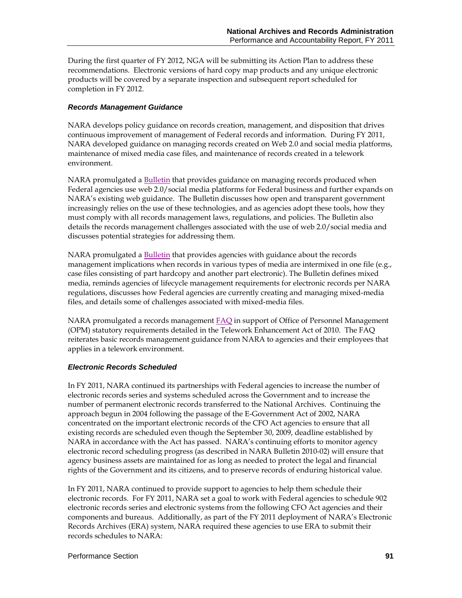During the first quarter of FY 2012, NGA will be submitting its Action Plan to address these recommendations. Electronic versions of hard copy map products and any unique electronic products will be covered by a separate inspection and subsequent report scheduled for completion in FY 2012.

#### *Records Management Guidance*

NARA develops policy guidance on records creation, management, and disposition that drives continuous improvement of management of Federal records and information. During FY 2011, NARA developed guidance on managing records created on Web 2.0 and social media platforms, maintenance of mixed media case files, and maintenance of records created in a telework environment.

NARA promulgated a [Bulletin](http://www.archives.gov/records-mgmt/bulletins/2011/2011-04.html) that provides guidance on managing records produced when Federal agencies use web 2.0/social media platforms for Federal business and further expands on NARA's existing web guidance. The Bulletin discusses how open and transparent government increasingly relies on the use of these technologies, and as agencies adopt these tools, how they must comply with all records management laws, regulations, and policies. The Bulletin also details the records management challenges associated with the use of web 2.0/social media and discusses potential strategies for addressing them.

NARA promulgated a [Bulletin](http://www.archives.gov/records-mgmt/bulletins/2011/2011-04.html) that provides agencies with guidance about the records management implications when records in various types of media are intermixed in one file (e.g., case files consisting of part hardcopy and another part electronic). The Bulletin defines mixed media, reminds agencies of lifecycle management requirements for electronic records per NARA regulations, discusses how Federal agencies are currently creating and managing mixed-media files, and details some of challenges associated with mixed-media files.

NARA promulgated a records managemen[t FAQ](http://www.archives.gov/records-mgmt/faqs/telework.html) in support of Office of Personnel Management (OPM) statutory requirements detailed in the Telework Enhancement Act of 2010. The FAQ reiterates basic records management guidance from NARA to agencies and their employees that applies in a telework environment.

#### *Electronic Records Scheduled*

In FY 2011, NARA continued its partnerships with Federal agencies to increase the number of electronic records series and systems scheduled across the Government and to increase the number of permanent electronic records transferred to the National Archives. Continuing the approach begun in 2004 following the passage of the E-Government Act of 2002, NARA concentrated on the important electronic records of the CFO Act agencies to ensure that all existing records are scheduled even though the September 30, 2009, deadline established by NARA in accordance with the Act has passed. NARA's continuing efforts to monitor agency electronic record scheduling progress (as described in NARA Bulletin 2010-02) will ensure that agency business assets are maintained for as long as needed to protect the legal and financial rights of the Government and its citizens, and to preserve records of enduring historical value.

In FY 2011, NARA continued to provide support to agencies to help them schedule their electronic records. For FY 2011, NARA set a goal to work with Federal agencies to schedule 902 electronic records series and electronic systems from the following CFO Act agencies and their components and bureaus. Additionally, as part of the FY 2011 deployment of NARA's Electronic Records Archives (ERA) system, NARA required these agencies to use ERA to submit their records schedules to NARA: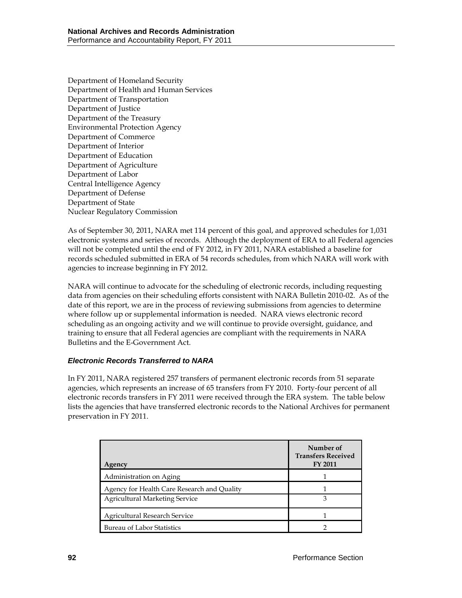Department of Homeland Security Department of Health and Human Services Department of Transportation Department of Justice Department of the Treasury Environmental Protection Agency Department of Commerce Department of Interior Department of Education Department of Agriculture Department of Labor Central Intelligence Agency Department of Defense Department of State Nuclear Regulatory Commission

As of September 30, 2011, NARA met 114 percent of this goal, and approved schedules for 1,031 electronic systems and series of records. Although the deployment of ERA to all Federal agencies will not be completed until the end of FY 2012, in FY 2011, NARA established a baseline for records scheduled submitted in ERA of 54 records schedules, from which NARA will work with agencies to increase beginning in FY 2012.

NARA will continue to advocate for the scheduling of electronic records, including requesting data from agencies on their scheduling efforts consistent with NARA Bulletin 2010-02. As of the date of this report, we are in the process of reviewing submissions from agencies to determine where follow up or supplemental information is needed. NARA views electronic record scheduling as an ongoing activity and we will continue to provide oversight, guidance, and training to ensure that all Federal agencies are compliant with the requirements in NARA Bulletins and the E-Government Act.

#### *Electronic Records Transferred to NARA*

In FY 2011, NARA registered 257 transfers of permanent electronic records from 51 separate agencies, which represents an increase of 65 transfers from FY 2010. Forty-four percent of all electronic records transfers in FY 2011 were received through the ERA system. The table below lists the agencies that have transferred electronic records to the National Archives for permanent preservation in FY 2011.

| Agencv                                      | Number of<br><b>Transfers Received</b><br>FY 2011 |
|---------------------------------------------|---------------------------------------------------|
| Administration on Aging                     |                                                   |
| Agency for Health Care Research and Quality |                                                   |
| <b>Agricultural Marketing Service</b>       | З                                                 |
| Agricultural Research Service               |                                                   |
| <b>Bureau of Labor Statistics</b>           |                                                   |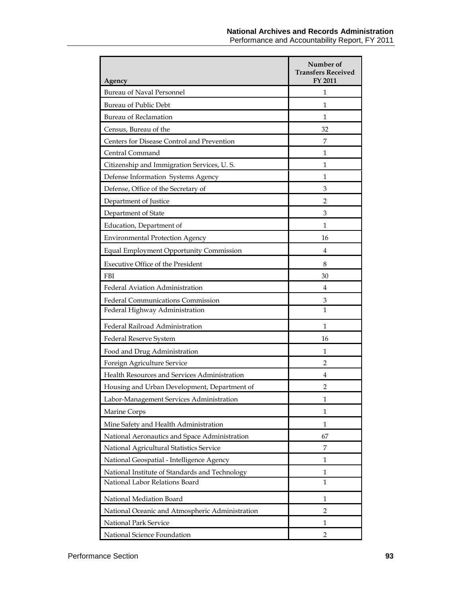| Agency                                          | Number of<br><b>Transfers Received</b><br>FY 2011 |
|-------------------------------------------------|---------------------------------------------------|
| Bureau of Naval Personnel                       | 1                                                 |
| Bureau of Public Debt                           | 1                                                 |
| <b>Bureau of Reclamation</b>                    | 1                                                 |
| Census, Bureau of the                           | 32                                                |
| Centers for Disease Control and Prevention      | 7                                                 |
| Central Command                                 | 1                                                 |
| Citizenship and Immigration Services, U.S.      | 1                                                 |
| Defense Information Systems Agency              | 1                                                 |
| Defense, Office of the Secretary of             | 3                                                 |
| Department of Justice                           | 2                                                 |
| Department of State                             | 3                                                 |
| Education, Department of                        | 1                                                 |
| <b>Environmental Protection Agency</b>          | 16                                                |
| <b>Equal Employment Opportunity Commission</b>  | 4                                                 |
| Executive Office of the President               | 8                                                 |
| <b>FBI</b>                                      | 30                                                |
| Federal Aviation Administration                 | 4                                                 |
| Federal Communications Commission               | 3                                                 |
| Federal Highway Administration                  | 1                                                 |
| Federal Railroad Administration                 | 1                                                 |
| Federal Reserve System                          | 16                                                |
| Food and Drug Administration                    | 1                                                 |
| Foreign Agriculture Service                     | 2                                                 |
| Health Resources and Services Administration    | 4                                                 |
| Housing and Urban Development, Department of    | 2                                                 |
| Labor-Management Services Administration        | $\mathbf{1}$                                      |
| Marine Corps                                    | 1                                                 |
| Mine Safety and Health Administration           | 1                                                 |
| National Aeronautics and Space Administration   | 67                                                |
| National Agricultural Statistics Service        | 7                                                 |
| National Geospatial - Intelligence Agency       | 1                                                 |
| National Institute of Standards and Technology  | $\mathbf{1}$                                      |
| National Labor Relations Board                  | $\mathbf{1}$                                      |
| National Mediation Board                        | 1                                                 |
| National Oceanic and Atmospheric Administration | 2                                                 |
| National Park Service                           | 1                                                 |
| National Science Foundation                     | $\overline{2}$                                    |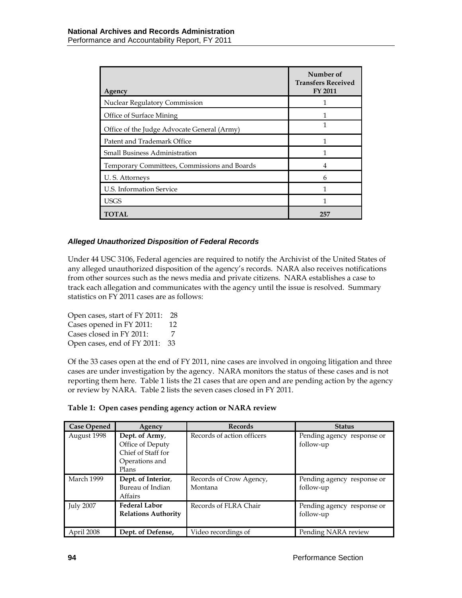| Agency                                       | Number of<br><b>Transfers Received</b><br><b>FY 2011</b> |
|----------------------------------------------|----------------------------------------------------------|
| Nuclear Regulatory Commission                |                                                          |
| Office of Surface Mining                     |                                                          |
| Office of the Judge Advocate General (Army)  |                                                          |
| Patent and Trademark Office                  |                                                          |
| <b>Small Business Administration</b>         |                                                          |
| Temporary Committees, Commissions and Boards | 4                                                        |
| U.S. Attorneys                               | 6                                                        |
| U.S. Information Service                     |                                                          |
| <b>USGS</b>                                  |                                                          |
| TOTAL                                        | 257                                                      |

### *Alleged Unauthorized Disposition of Federal Records*

Under 44 USC 3106, Federal agencies are required to notify the Archivist of the United States of any alleged unauthorized disposition of the agency's records. NARA also receives notifications from other sources such as the news media and private citizens. NARA establishes a case to track each allegation and communicates with the agency until the issue is resolved. Summary statistics on FY 2011 cases are as follows:

Open cases, start of FY 2011: 28 Cases opened in FY 2011: 12 Cases closed in FY 2011: 7 Open cases, end of FY 2011: 33

Of the 33 cases open at the end of FY 2011, nine cases are involved in ongoing litigation and three cases are under investigation by the agency. NARA monitors the status of these cases and is not reporting them here. Table 1 lists the 21 cases that are open and are pending action by the agency or review by NARA. Table 2 lists the seven cases closed in FY 2011.

| <b>Case Opened</b> | Agency                                                                              | <b>Records</b>                     | <b>Status</b>                           |
|--------------------|-------------------------------------------------------------------------------------|------------------------------------|-----------------------------------------|
| August 1998        | Dept. of Army,<br>Office of Deputy<br>Chief of Staff for<br>Operations and<br>Plans | Records of action officers         | Pending agency response or<br>follow-up |
| March 1999         | Dept. of Interior,<br>Bureau of Indian<br>Affairs                                   | Records of Crow Agency,<br>Montana | Pending agency response or<br>follow-up |
| <b>July 2007</b>   | <b>Federal Labor</b><br><b>Relations Authority</b>                                  | Records of FLRA Chair              | Pending agency response or<br>follow-up |
| April 2008         | Dept. of Defense,                                                                   | Video recordings of                | Pending NARA review                     |

**Table 1: Open cases pending agency action or NARA review**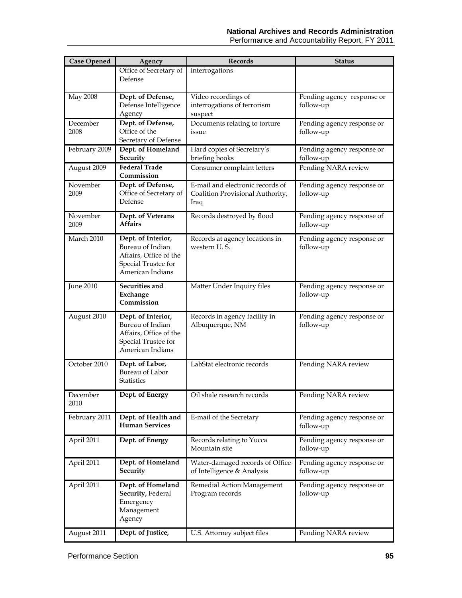| <b>Case Opened</b> | Agency                                                                                                      | Records                                                                      | <b>Status</b>                           |
|--------------------|-------------------------------------------------------------------------------------------------------------|------------------------------------------------------------------------------|-----------------------------------------|
|                    | Office of Secretary of<br>Defense                                                                           | interrogations                                                               |                                         |
| May 2008           | Dept. of Defense,<br>Defense Intelligence<br>Agency                                                         | Video recordings of<br>interrogations of terrorism<br>suspect                | Pending agency response or<br>follow-up |
| December<br>2008   | Dept. of Defense,<br>Office of the<br>Secretary of Defense                                                  | Documents relating to torture<br>issue                                       | Pending agency response or<br>follow-up |
| February 2009      | Dept. of Homeland<br>Security                                                                               | Hard copies of Secretary's<br>briefing books                                 | Pending agency response or<br>follow-up |
| August 2009        | <b>Federal Trade</b><br>Commission                                                                          | Consumer complaint letters                                                   | Pending NARA review                     |
| November<br>2009   | Dept. of Defense,<br>Office of Secretary of<br>Defense                                                      | E-mail and electronic records of<br>Coalition Provisional Authority,<br>Iraq | Pending agency response or<br>follow-up |
| November<br>2009   | Dept. of Veterans<br><b>Affairs</b>                                                                         | Records destroyed by flood                                                   | Pending agency response of<br>follow-up |
| March 2010         | Dept. of Interior,<br>Bureau of Indian<br>Affairs, Office of the<br>Special Trustee for<br>American Indians | Records at agency locations in<br>western U.S.                               | Pending agency response or<br>follow-up |
| June 2010          | Securities and<br>Exchange<br>Commission                                                                    | Matter Under Inquiry files                                                   | Pending agency response or<br>follow-up |
| August 2010        | Dept. of Interior,<br>Bureau of Indian<br>Affairs, Office of the<br>Special Trustee for<br>American Indians | Records in agency facility in<br>Albuquerque, NM                             | Pending agency response or<br>follow-up |
| October 2010       | Dept. of Labor,<br>Bureau of Labor<br><b>Statistics</b>                                                     | LabStat electronic records                                                   | Pending NARA review                     |
| December<br>2010   | Dept. of Energy                                                                                             | Oil shale research records                                                   | Pending NARA review                     |
| February 2011      | Dept. of Health and<br><b>Human Services</b>                                                                | E-mail of the Secretary                                                      | Pending agency response or<br>follow-up |
| April 2011         | Dept. of Energy                                                                                             | Records relating to Yucca<br>Mountain site                                   | Pending agency response or<br>follow-up |
| April 2011         | Dept. of Homeland<br><b>Security</b>                                                                        | Water-damaged records of Office<br>of Intelligence & Analysis                | Pending agency response or<br>follow-up |
| April 2011         | Dept. of Homeland<br>Security, Federal<br>Emergency<br>Management<br>Agency                                 | Remedial Action Management<br>Program records                                | Pending agency response or<br>follow-up |
| August 2011        | Dept. of Justice,                                                                                           | U.S. Attorney subject files                                                  | Pending NARA review                     |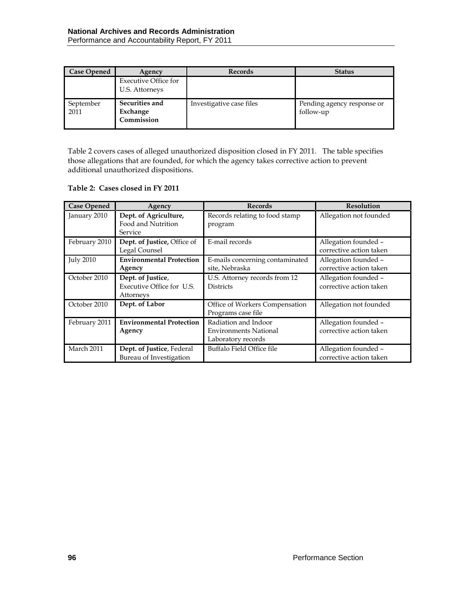| <b>Case Opened</b> | Agency                                        | <b>Records</b>           | <b>Status</b>                           |
|--------------------|-----------------------------------------------|--------------------------|-----------------------------------------|
|                    | <b>Executive Office for</b><br>U.S. Attorneys |                          |                                         |
| September<br>2011  | Securities and<br>Exchange<br>Commission      | Investigative case files | Pending agency response or<br>follow-up |

Table 2 covers cases of alleged unauthorized disposition closed in FY 2011. The table specifies those allegations that are founded, for which the agency takes corrective action to prevent additional unauthorized dispositions.

#### **Table 2: Cases closed in FY 2011**

| <b>Case Opened</b> | Agency                                                      | <b>Records</b>                                                             | <b>Resolution</b>                               |
|--------------------|-------------------------------------------------------------|----------------------------------------------------------------------------|-------------------------------------------------|
| January 2010       | Dept. of Agriculture,<br>Food and Nutrition<br>Service      | Records relating to food stamp<br>program                                  | Allegation not founded                          |
| February 2010      | Dept. of Justice, Office of<br>Legal Counsel                | E-mail records                                                             | Allegation founded -<br>corrective action taken |
| <b>July 2010</b>   | <b>Environmental Protection</b><br>Agency                   | E-mails concerning contaminated<br>site, Nebraska                          | Allegation founded -<br>corrective action taken |
| October 2010       | Dept. of Justice,<br>Executive Office for U.S.<br>Attorneys | U.S. Attorney records from 12<br><b>Districts</b>                          | Allegation founded -<br>corrective action taken |
| October 2010       | Dept. of Labor                                              | Office of Workers Compensation<br>Programs case file                       | Allegation not founded                          |
| February 2011      | <b>Environmental Protection</b><br>Agency                   | Radiation and Indoor<br><b>Environments National</b><br>Laboratory records | Allegation founded -<br>corrective action taken |
| March 2011         | Dept. of Justice, Federal<br>Bureau of Investigation        | Buffalo Field Office file                                                  | Allegation founded -<br>corrective action taken |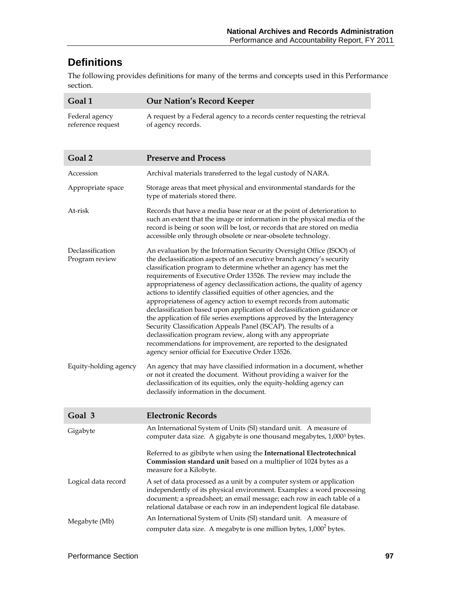# **Definitions**

The following provides definitions for many of the terms and concepts used in this Performance section.

| Goal 1                              | <b>Our Nation's Record Keeper</b>                                                                                                                                                                                                                                                                                                                                                                                                                                                                                                                                                                                                                                                                                                                                                                                                                                                                                             |
|-------------------------------------|-------------------------------------------------------------------------------------------------------------------------------------------------------------------------------------------------------------------------------------------------------------------------------------------------------------------------------------------------------------------------------------------------------------------------------------------------------------------------------------------------------------------------------------------------------------------------------------------------------------------------------------------------------------------------------------------------------------------------------------------------------------------------------------------------------------------------------------------------------------------------------------------------------------------------------|
| Federal agency<br>reference request | A request by a Federal agency to a records center requesting the retrieval<br>of agency records.                                                                                                                                                                                                                                                                                                                                                                                                                                                                                                                                                                                                                                                                                                                                                                                                                              |
| Goal 2                              | <b>Preserve and Process</b>                                                                                                                                                                                                                                                                                                                                                                                                                                                                                                                                                                                                                                                                                                                                                                                                                                                                                                   |
| Accession                           | Archival materials transferred to the legal custody of NARA.                                                                                                                                                                                                                                                                                                                                                                                                                                                                                                                                                                                                                                                                                                                                                                                                                                                                  |
| Appropriate space                   | Storage areas that meet physical and environmental standards for the<br>type of materials stored there.                                                                                                                                                                                                                                                                                                                                                                                                                                                                                                                                                                                                                                                                                                                                                                                                                       |
| At-risk                             | Records that have a media base near or at the point of deterioration to<br>such an extent that the image or information in the physical media of the<br>record is being or soon will be lost, or records that are stored on media<br>accessible only through obsolete or near-obsolete technology.                                                                                                                                                                                                                                                                                                                                                                                                                                                                                                                                                                                                                            |
| Declassification<br>Program review  | An evaluation by the Information Security Oversight Office (ISOO) of<br>the declassification aspects of an executive branch agency's security<br>classification program to determine whether an agency has met the<br>requirements of Executive Order 13526. The review may include the<br>appropriateness of agency declassification actions, the quality of agency<br>actions to identify classified equities of other agencies, and the<br>appropriateness of agency action to exempt records from automatic<br>declassification based upon application of declassification guidance or<br>the application of file series exemptions approved by the Interagency<br>Security Classification Appeals Panel (ISCAP). The results of a<br>declassification program review, along with any appropriate<br>recommendations for improvement, are reported to the designated<br>agency senior official for Executive Order 13526. |
| Equity-holding agency               | An agency that may have classified information in a document, whether<br>or not it created the document. Without providing a waiver for the<br>declassification of its equities, only the equity-holding agency can<br>declassify information in the document.                                                                                                                                                                                                                                                                                                                                                                                                                                                                                                                                                                                                                                                                |
| Goal 3                              | <b>Electronic Records</b>                                                                                                                                                                                                                                                                                                                                                                                                                                                                                                                                                                                                                                                                                                                                                                                                                                                                                                     |
| Gigabyte                            | An International System of Units (SI) standard unit. A measure of<br>computer data size. A gigabyte is one thousand megabytes, 1,0003 bytes.                                                                                                                                                                                                                                                                                                                                                                                                                                                                                                                                                                                                                                                                                                                                                                                  |
|                                     | Referred to as gibibyte when using the International Electrotechnical<br>Commission standard unit based on a multiplier of 1024 bytes as a<br>measure for a Kilobyte.                                                                                                                                                                                                                                                                                                                                                                                                                                                                                                                                                                                                                                                                                                                                                         |
| Logical data record                 | A set of data processed as a unit by a computer system or application<br>independently of its physical environment. Examples: a word processing<br>document; a spreadsheet; an email message; each row in each table of a<br>relational database or each row in an independent logical file database.                                                                                                                                                                                                                                                                                                                                                                                                                                                                                                                                                                                                                         |
| Megabyte (Mb)                       | An International System of Units (SI) standard unit. A measure of<br>computer data size. A megabyte is one million bytes, 1,000 <sup>2</sup> bytes.                                                                                                                                                                                                                                                                                                                                                                                                                                                                                                                                                                                                                                                                                                                                                                           |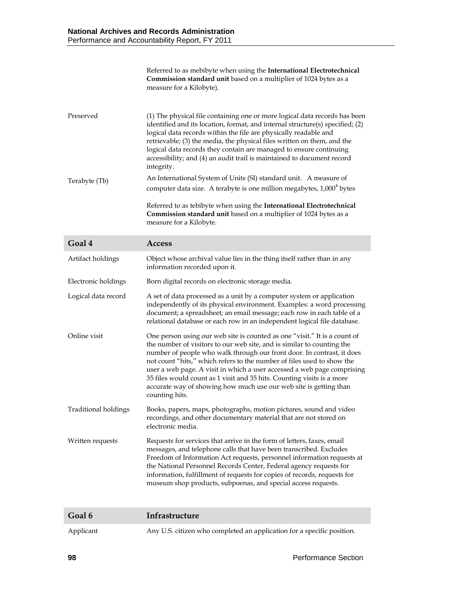|               | Referred to as mebibyte when using the International Electrotechnical<br>Commission standard unit based on a multiplier of 1024 bytes as a<br>measure for a Kilobyte).                                                                                                                                                                                                                                                                                                   |
|---------------|--------------------------------------------------------------------------------------------------------------------------------------------------------------------------------------------------------------------------------------------------------------------------------------------------------------------------------------------------------------------------------------------------------------------------------------------------------------------------|
| Preserved     | (1) The physical file containing one or more logical data records has been<br>identified and its location, format, and internal structure(s) specified; (2)<br>logical data records within the file are physically readable and<br>retrievable; (3) the media, the physical files written on them, and the<br>logical data records they contain are managed to ensure continuing<br>accessibility; and (4) an audit trail is maintained to document record<br>integrity. |
| Terabyte (Tb) | An International System of Units (SI) standard unit. A measure of<br>computer data size. A terabyte is one million megabytes, 1,000 <sup>4</sup> bytes<br>Referred to as tebibyte when using the International Electrotechnical                                                                                                                                                                                                                                          |
|               | Commission standard unit based on a multiplier of 1024 bytes as a<br>measure for a Kilobyte.                                                                                                                                                                                                                                                                                                                                                                             |

| Goal 4                      | <b>Access</b>                                                                                                                                                                                                                                                                                                                                                                                                                                                                                                                                       |
|-----------------------------|-----------------------------------------------------------------------------------------------------------------------------------------------------------------------------------------------------------------------------------------------------------------------------------------------------------------------------------------------------------------------------------------------------------------------------------------------------------------------------------------------------------------------------------------------------|
| Artifact holdings           | Object whose archival value lies in the thing itself rather than in any<br>information recorded upon it.                                                                                                                                                                                                                                                                                                                                                                                                                                            |
| Electronic holdings         | Born digital records on electronic storage media.                                                                                                                                                                                                                                                                                                                                                                                                                                                                                                   |
| Logical data record         | A set of data processed as a unit by a computer system or application<br>independently of its physical environment. Examples: a word processing<br>document; a spreadsheet; an email message; each row in each table of a<br>relational database or each row in an independent logical file database.                                                                                                                                                                                                                                               |
| Online visit                | One person using our web site is counted as one "visit." It is a count of<br>the number of visitors to our web site, and is similar to counting the<br>number of people who walk through our front door. In contrast, it does<br>not count "hits," which refers to the number of files used to show the<br>user a web page. A visit in which a user accessed a web page comprising<br>35 files would count as 1 visit and 35 hits. Counting visits is a more<br>accurate way of showing how much use our web site is getting than<br>counting hits. |
| <b>Traditional holdings</b> | Books, papers, maps, photographs, motion pictures, sound and video<br>recordings, and other documentary material that are not stored on<br>electronic media.                                                                                                                                                                                                                                                                                                                                                                                        |
| Written requests            | Requests for services that arrive in the form of letters, faxes, email<br>messages, and telephone calls that have been transcribed. Excludes<br>Freedom of Information Act requests, personnel information requests at<br>the National Personnel Records Center, Federal agency requests for<br>information, fulfillment of requests for copies of records, requests for<br>museum shop products, subpoenas, and special access requests.                                                                                                           |

| Goal 6    | Infrastructure                                                         |
|-----------|------------------------------------------------------------------------|
| Applicant | Any U.S. citizen who completed an application for a specific position. |